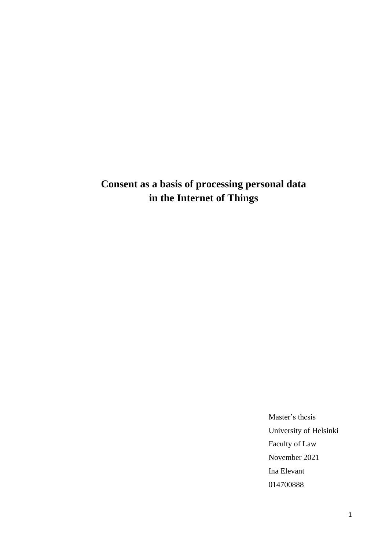# **Consent as a basis of processing personal data in the Internet of Things**

Master's thesis University of Helsinki Faculty of Law November 2021 Ina Elevant 014700888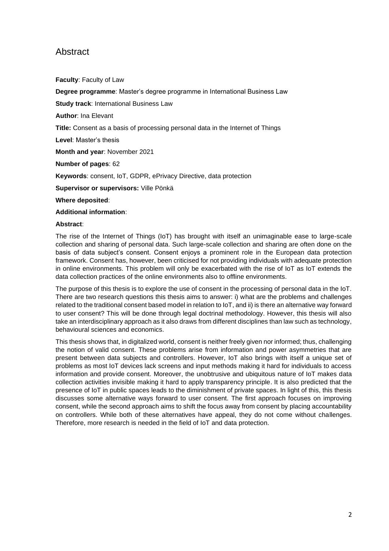## Abstract

**Faculty**: Faculty of Law

**Degree programme**: Master's degree programme in International Business Law

**Study track**: International Business Law

**Author**: Ina Elevant

**Title:** Consent as a basis of processing personal data in the Internet of Things

**Level**: Master's thesis

**Month and year**: November 2021

**Number of pages**: 62

**Keywords**: consent, IoT, GDPR, ePrivacy Directive, data protection

**Supervisor or supervisors:** Ville Pönkä

**Where deposited**:

#### **Additional information**:

#### **Abstract**:

The rise of the Internet of Things (IoT) has brought with itself an unimaginable ease to large-scale collection and sharing of personal data. Such large-scale collection and sharing are often done on the basis of data subject's consent. Consent enjoys a prominent role in the European data protection framework. Consent has, however, been criticised for not providing individuals with adequate protection in online environments. This problem will only be exacerbated with the rise of IoT as IoT extends the data collection practices of the online environments also to offline environments.

The purpose of this thesis is to explore the use of consent in the processing of personal data in the IoT. There are two research questions this thesis aims to answer: i) what are the problems and challenges related to the traditional consent based model in relation to IoT, and ii) is there an alternative way forward to user consent? This will be done through legal doctrinal methodology. However, this thesis will also take an interdisciplinary approach as it also draws from different disciplines than law such as technology, behavioural sciences and economics.

This thesis shows that, in digitalized world, consent is neither freely given nor informed; thus, challenging the notion of valid consent. These problems arise from information and power asymmetries that are present between data subjects and controllers. However, IoT also brings with itself a unique set of problems as most IoT devices lack screens and input methods making it hard for individuals to access information and provide consent. Moreover, the unobtrusive and ubiquitous nature of IoT makes data collection activities invisible making it hard to apply transparency principle. It is also predicted that the presence of IoT in public spaces leads to the diminishment of private spaces. In light of this, this thesis discusses some alternative ways forward to user consent. The first approach focuses on improving consent, while the second approach aims to shift the focus away from consent by placing accountability on controllers. While both of these alternatives have appeal, they do not come without challenges. Therefore, more research is needed in the field of IoT and data protection.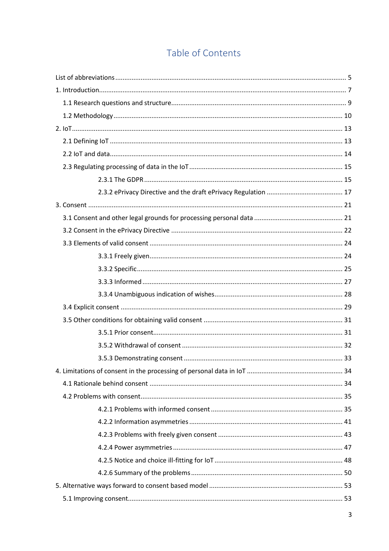## Table of Contents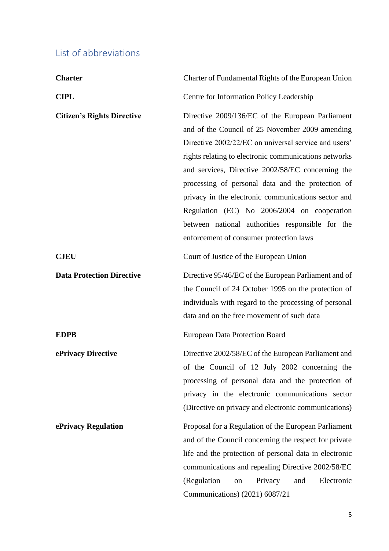## <span id="page-4-0"></span>List of abbreviations

| <b>Charter</b>                    | Charter of Fundamental Rights of the European Union                                                                                                                                                                                                                                                                                                                                                                                                                                                                                 |
|-----------------------------------|-------------------------------------------------------------------------------------------------------------------------------------------------------------------------------------------------------------------------------------------------------------------------------------------------------------------------------------------------------------------------------------------------------------------------------------------------------------------------------------------------------------------------------------|
| <b>CIPL</b>                       | Centre for Information Policy Leadership                                                                                                                                                                                                                                                                                                                                                                                                                                                                                            |
| <b>Citizen's Rights Directive</b> | Directive 2009/136/EC of the European Parliament<br>and of the Council of 25 November 2009 amending<br>Directive 2002/22/EC on universal service and users'<br>rights relating to electronic communications networks<br>and services, Directive 2002/58/EC concerning the<br>processing of personal data and the protection of<br>privacy in the electronic communications sector and<br>Regulation (EC) No 2006/2004 on cooperation<br>between national authorities responsible for the<br>enforcement of consumer protection laws |
| <b>CJEU</b>                       | Court of Justice of the European Union                                                                                                                                                                                                                                                                                                                                                                                                                                                                                              |
| <b>Data Protection Directive</b>  | Directive 95/46/EC of the European Parliament and of<br>the Council of 24 October 1995 on the protection of<br>individuals with regard to the processing of personal<br>data and on the free movement of such data                                                                                                                                                                                                                                                                                                                  |
| <b>EDPB</b>                       | <b>European Data Protection Board</b>                                                                                                                                                                                                                                                                                                                                                                                                                                                                                               |
| ePrivacy Directive                | Directive 2002/58/EC of the European Parliament and<br>of the Council of 12 July 2002 concerning the<br>processing of personal data and the protection of<br>privacy in the electronic communications sector<br>(Directive on privacy and electronic communications)                                                                                                                                                                                                                                                                |
| ePrivacy Regulation               | Proposal for a Regulation of the European Parliament<br>and of the Council concerning the respect for private<br>life and the protection of personal data in electronic<br>communications and repealing Directive 2002/58/EC<br>(Regulation<br>Electronic<br>Privacy<br>and<br>on<br>Communications) (2021) 6087/21                                                                                                                                                                                                                 |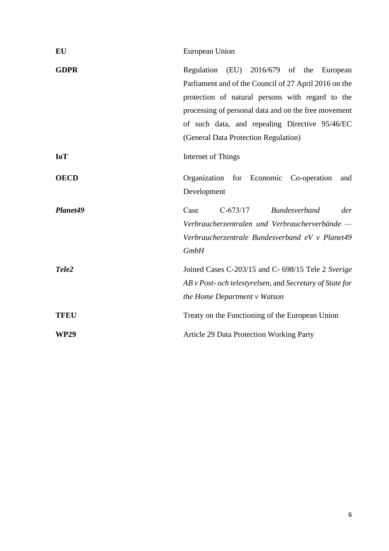| EU          | European Union                                                                                                                                                                                                                                                                                                |
|-------------|---------------------------------------------------------------------------------------------------------------------------------------------------------------------------------------------------------------------------------------------------------------------------------------------------------------|
| <b>GDPR</b> | (EU) 2016/679 of the<br>Regulation<br>European<br>Parliament and of the Council of 27 April 2016 on the<br>protection of natural persons with regard to the<br>processing of personal data and on the free movement<br>of such data, and repealing Directive 95/46/EC<br>(General Data Protection Regulation) |
| <b>IoT</b>  | Internet of Things                                                                                                                                                                                                                                                                                            |
| <b>OECD</b> | Organization for Economic Co-operation<br>and<br>Development                                                                                                                                                                                                                                                  |
| Planet49    | $C-673/17$<br><b>Bundesverband</b><br>Case<br>der<br>Verbraucherzentralen und Verbraucherverbände —<br>Verbraucherzentrale Bundesverband eV v Planet49<br><b>GmbH</b>                                                                                                                                         |
| Tele2       | Joined Cases C-203/15 and C- 698/15 Tele 2 Sverige<br>AB v Post- och telestyrelsen, and Secretary of State for<br>the Home Department v Watson                                                                                                                                                                |
| <b>TFEU</b> | Treaty on the Functioning of the European Union                                                                                                                                                                                                                                                               |
| <b>WP29</b> | <b>Article 29 Data Protection Working Party</b>                                                                                                                                                                                                                                                               |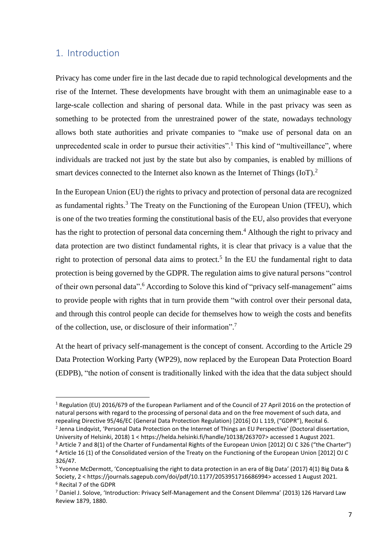## <span id="page-6-0"></span>1. Introduction

Privacy has come under fire in the last decade due to rapid technological developments and the rise of the Internet. These developments have brought with them an unimaginable ease to a large-scale collection and sharing of personal data. While in the past privacy was seen as something to be protected from the unrestrained power of the state, nowadays technology allows both state authorities and private companies to "make use of personal data on an unprecedented scale in order to pursue their activities".<sup>1</sup> This kind of "multiveillance", where individuals are tracked not just by the state but also by companies, is enabled by millions of smart devices connected to the Internet also known as the Internet of Things  $(IoT)<sup>2</sup>$ 

In the European Union (EU) the rights to privacy and protection of personal data are recognized as fundamental rights.<sup>3</sup> The Treaty on the Functioning of the European Union (TFEU), which is one of the two treaties forming the constitutional basis of the EU, also provides that everyone has the right to protection of personal data concerning them.<sup>4</sup> Although the right to privacy and data protection are two distinct fundamental rights, it is clear that privacy is a value that the right to protection of personal data aims to protect.<sup>5</sup> In the EU the fundamental right to data protection is being governed by the GDPR. The regulation aims to give natural persons "control of their own personal data".<sup>6</sup> According to Solove this kind of "privacy self-management" aims to provide people with rights that in turn provide them "with control over their personal data, and through this control people can decide for themselves how to weigh the costs and benefits of the collection, use, or disclosure of their information". 7

At the heart of privacy self-management is the concept of consent. According to the Article 29 Data Protection Working Party (WP29), now replaced by the European Data Protection Board (EDPB), "the notion of consent is traditionally linked with the idea that the data subject should

<sup>1</sup> Regulation (EU) 2016/679 of the European Parliament and of the Council of 27 April 2016 on the protection of natural persons with regard to the processing of personal data and on the free movement of such data, and repealing Directive 95/46/EC (General Data Protection Regulation) [2016] OJ L 119, ("GDPR"), Recital 6. <sup>2</sup> Jenna Lindqvist, 'Personal Data Protection on the Internet of Things an EU Perspective' (Doctoral dissertation,

University of Helsinki, 2018) 1 < https://helda.helsinki.fi/handle/10138/263707> accessed 1 August 2021.

<sup>&</sup>lt;sup>3</sup> Article 7 and 8(1) of the Charter of Fundamental Rights of the European Union [2012] OJ C 326 ("the Charter") <sup>4</sup> Article 16 (1) of the Consolidated version of the Treaty on the Functioning of the European Union [2012] OJ C 326/47.

<sup>5</sup> Yvonne McDermott, 'Conceptualising the right to data protection in an era of Big Data' (2017) 4(1) Big Data & Society, 2 < https://journals.sagepub.com/doi/pdf/10.1177/2053951716686994> accessed 1 August 2021. <sup>6</sup> Recital 7 of the GDPR

<sup>7</sup> Daniel J. Solove, 'Introduction: Privacy Self-Management and the Consent Dilemma' (2013) 126 Harvard Law Review 1879, 1880.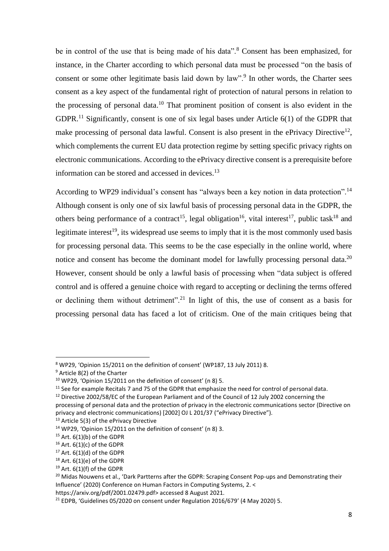be in control of the use that is being made of his data".<sup>8</sup> Consent has been emphasized, for instance, in the Charter according to which personal data must be processed "on the basis of consent or some other legitimate basis laid down by law".<sup>9</sup> In other words, the Charter sees consent as a key aspect of the fundamental right of protection of natural persons in relation to the processing of personal data. <sup>10</sup> That prominent position of consent is also evident in the GDPR.<sup>11</sup> Significantly, consent is one of six legal bases under Article  $6(1)$  of the GDPR that make processing of personal data lawful. Consent is also present in the ePrivacy Directive<sup>12</sup>, which complements the current EU data protection regime by setting specific privacy rights on electronic communications. According to the ePrivacy directive consent is a prerequisite before information can be stored and accessed in devices.<sup>13</sup>

According to WP29 individual's consent has "always been a key notion in data protection".<sup>14</sup> Although consent is only one of six lawful basis of processing personal data in the GDPR, the others being performance of a contract<sup>15</sup>, legal obligation<sup>16</sup>, vital interest<sup>17</sup>, public task<sup>18</sup> and legitimate interest<sup>19</sup>, its widespread use seems to imply that it is the most commonly used basis for processing personal data. This seems to be the case especially in the online world, where notice and consent has become the dominant model for lawfully processing personal data.<sup>20</sup> However, consent should be only a lawful basis of processing when "data subject is offered control and is offered a genuine choice with regard to accepting or declining the terms offered or declining them without detriment".<sup>21</sup> In light of this, the use of consent as a basis for processing personal data has faced a lot of criticism. One of the main critiques being that

<sup>8</sup> WP29, 'Opinion 15/2011 on the definition of consent' (WP187, 13 July 2011) 8.

<sup>9</sup> Article 8(2) of the Charter

 $10$  WP29, 'Opinion 15/2011 on the definition of consent' (n 8) 5.

<sup>&</sup>lt;sup>11</sup> See for example Recitals 7 and 75 of the GDPR that emphasize the need for control of personal data.

<sup>&</sup>lt;sup>12</sup> Directive 2002/58/EC of the European Parliament and of the Council of 12 July 2002 concerning the

processing of personal data and the protection of privacy in the electronic communications sector (Directive on privacy and electronic communications) [2002] OJ L 201/37 ("ePrivacy Directive").

<sup>&</sup>lt;sup>13</sup> Article 5(3) of the ePrivacy Directive

<sup>14</sup> WP29, 'Opinion 15/2011 on the definition of consent' (n 8) 3.

 $15$  Art.  $6(1)(b)$  of the GDPR

 $16$  Art.  $6(1)(c)$  of the GDPR

 $17$  Art.  $6(1)(d)$  of the GDPR

 $18$  Art. 6(1)(e) of the GDPR

 $19$  Art. 6(1)(f) of the GDPR

<sup>&</sup>lt;sup>20</sup> Midas Nouwens et al., 'Dark Partterns after the GDPR: Scraping Consent Pop-ups and Demonstrating their Influence' (2020) Conference on Human Factors in Computing Systems, 2. <

https://arxiv.org/pdf/2001.02479.pdf> accessed 8 August 2021.

 $21$  EDPB, 'Guidelines 05/2020 on consent under Regulation 2016/679' (4 May 2020) 5.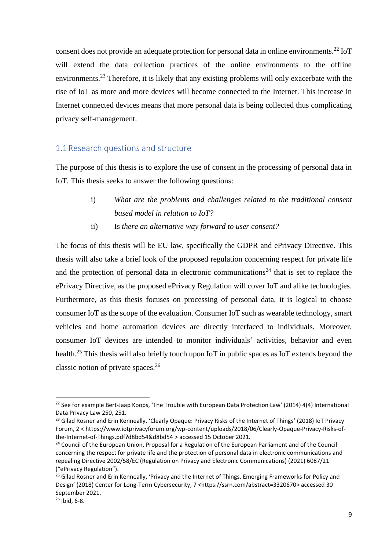consent does not provide an adequate protection for personal data in online environments.<sup>22</sup> IoT will extend the data collection practices of the online environments to the offline environments.<sup>23</sup> Therefore, it is likely that any existing problems will only exacerbate with the rise of IoT as more and more devices will become connected to the Internet. This increase in Internet connected devices means that more personal data is being collected thus complicating privacy self-management.

### <span id="page-8-0"></span>1.1 Research questions and structure

The purpose of this thesis is to explore the use of consent in the processing of personal data in IoT. This thesis seeks to answer the following questions:

- i) *What are the problems and challenges related to the traditional consent based model in relation to IoT?*
- ii) Is *there an alternative way forward to user consent?*

The focus of this thesis will be EU law, specifically the GDPR and ePrivacy Directive. This thesis will also take a brief look of the proposed regulation concerning respect for private life and the protection of personal data in electronic communications<sup>24</sup> that is set to replace the ePrivacy Directive, as the proposed ePrivacy Regulation will cover IoT and alike technologies. Furthermore, as this thesis focuses on processing of personal data, it is logical to choose consumer IoT as the scope of the evaluation. Consumer IoT such as wearable technology, smart vehicles and home automation devices are directly interfaced to individuals. Moreover, consumer IoT devices are intended to monitor individuals' activities, behavior and even health.<sup>25</sup> This thesis will also briefly touch upon IoT in public spaces as IoT extends beyond the classic notion of private spaces.<sup>26</sup>

 $22$  See for example Bert-Jaap Koops, 'The Trouble with European Data Protection Law' (2014) 4(4) International Data Privacy Law 250, 251.

<sup>&</sup>lt;sup>23</sup> Gilad Rosner and Erin Kenneally, 'Clearly Opaque: Privacy Risks of the Internet of Things' (2018) IoT Privacy Forum, 2 < https://www.iotprivacyforum.org/wp-content/uploads/2018/06/Clearly-Opaque-Privacy-Risks-ofthe-Internet-of-Things.pdf?d8bd54&d8bd54 > accessed 15 October 2021.

<sup>&</sup>lt;sup>24</sup> Council of the European Union, Proposal for a Regulation of the European Parliament and of the Council concerning the respect for private life and the protection of personal data in electronic communications and repealing Directive 2002/58/EC (Regulation on Privacy and Electronic Communications) (2021) 6087/21 ("ePrivacy Regulation").

<sup>&</sup>lt;sup>25</sup> Gilad Rosner and Erin Kenneally, 'Privacy and the Internet of Things. Emerging Frameworks for Policy and Design' (2018) Center for Long-Term Cybersecurity, 7 [<https://ssrn.com/abstract=3320670>](https://ssrn.com/abstract=3320670) accessed 30 September 2021.

<sup>26</sup> Ibid, 6-8.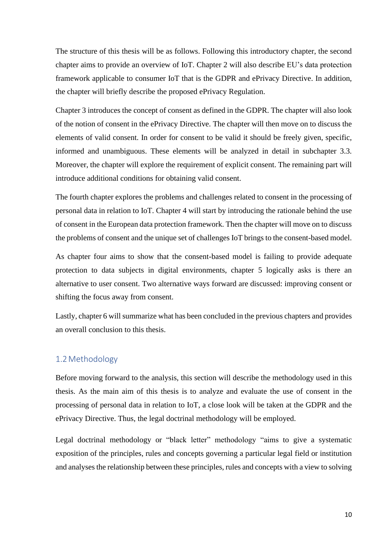The structure of this thesis will be as follows. Following this introductory chapter, the second chapter aims to provide an overview of IoT. Chapter 2 will also describe EU's data protection framework applicable to consumer IoT that is the GDPR and ePrivacy Directive. In addition, the chapter will briefly describe the proposed ePrivacy Regulation.

Chapter 3 introduces the concept of consent as defined in the GDPR. The chapter will also look of the notion of consent in the ePrivacy Directive. The chapter will then move on to discuss the elements of valid consent. In order for consent to be valid it should be freely given, specific, informed and unambiguous. These elements will be analyzed in detail in subchapter 3.3. Moreover, the chapter will explore the requirement of explicit consent. The remaining part will introduce additional conditions for obtaining valid consent.

The fourth chapter explores the problems and challenges related to consent in the processing of personal data in relation to IoT. Chapter 4 will start by introducing the rationale behind the use of consent in the European data protection framework. Then the chapter will move on to discuss the problems of consent and the unique set of challenges IoT brings to the consent-based model.

As chapter four aims to show that the consent-based model is failing to provide adequate protection to data subjects in digital environments, chapter 5 logically asks is there an alternative to user consent. Two alternative ways forward are discussed: improving consent or shifting the focus away from consent.

Lastly, chapter 6 will summarize what has been concluded in the previous chapters and provides an overall conclusion to this thesis.

## <span id="page-9-0"></span>1.2Methodology

Before moving forward to the analysis, this section will describe the methodology used in this thesis. As the main aim of this thesis is to analyze and evaluate the use of consent in the processing of personal data in relation to IoT, a close look will be taken at the GDPR and the ePrivacy Directive. Thus, the legal doctrinal methodology will be employed.

Legal doctrinal methodology or "black letter" methodology "aims to give a systematic exposition of the principles, rules and concepts governing a particular legal field or institution and analyses the relationship between these principles, rules and concepts with a view to solving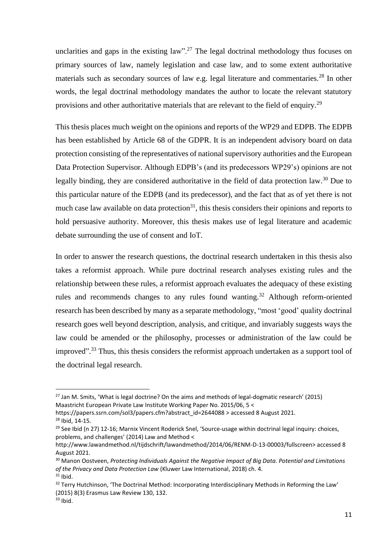unclarities and gaps in the existing law".<sup>27</sup> The legal doctrinal methodology thus focuses on primary sources of law, namely legislation and case law, and to some extent authoritative materials such as secondary sources of law e.g. legal literature and commentaries.<sup>28</sup> In other words, the legal doctrinal methodology mandates the author to locate the relevant statutory provisions and other authoritative materials that are relevant to the field of enquiry.<sup>29</sup>

This thesis places much weight on the opinions and reports of the WP29 and EDPB. The EDPB has been established by Article 68 of the GDPR. It is an independent advisory board on data protection consisting of the representatives of national supervisory authorities and the European Data Protection Supervisor. Although EDPB's (and its predecessors WP29's) opinions are not legally binding, they are considered authoritative in the field of data protection law.<sup>30</sup> Due to this particular nature of the EDPB (and its predecessor), and the fact that as of yet there is not much case law available on data protection<sup>31</sup>, this thesis considers their opinions and reports to hold persuasive authority. Moreover, this thesis makes use of legal literature and academic debate surrounding the use of consent and IoT.

In order to answer the research questions, the doctrinal research undertaken in this thesis also takes a reformist approach. While pure doctrinal research analyses existing rules and the relationship between these rules, a reformist approach evaluates the adequacy of these existing rules and recommends changes to any rules found wanting.<sup>32</sup> Although reform-oriented research has been described by many as a separate methodology, "most 'good' quality doctrinal research goes well beyond description, analysis, and critique, and invariably suggests ways the law could be amended or the philosophy, processes or administration of the law could be improved".<sup>33</sup> Thus, this thesis considers the reformist approach undertaken as a support tool of the doctrinal legal research.

 $27$  Jan M. Smits, 'What is legal doctrine? On the aims and methods of legal-dogmatic research' (2015) Maastricht European Private Law Institute Working Paper No. 2015/06, 5 <

https://papers.ssrn.com/sol3/papers.cfm?abstract\_id=2644088 > accessed 8 August 2021. <sup>28</sup> Ibid, 14-15.

<sup>&</sup>lt;sup>29</sup> See Ibid (n 27) 12-16; Marnix Vincent Roderick Snel, 'Source-usage within doctrinal legal inquiry: choices, problems, and challenges' (2014) Law and Method <

http://www.lawandmethod.nl/tijdschrift/lawandmethod/2014/06/RENM-D-13-00003/fullscreen> accessed 8 August 2021.

<sup>30</sup> Manon Oostveen, *Protecting Individuals Against the Negative Impact of Big Data. Potential and Limitations of the Privacy and Data Protection Law* (Kluwer Law International, 2018) ch. 4.  $31$  Ibid.

<sup>&</sup>lt;sup>32</sup> Terry Hutchinson, 'The Doctrinal Method: Incorporating Interdisciplinary Methods in Reforming the Law' (2015) 8(3) Erasmus Law Review 130, 132.

 $33$  Ibid.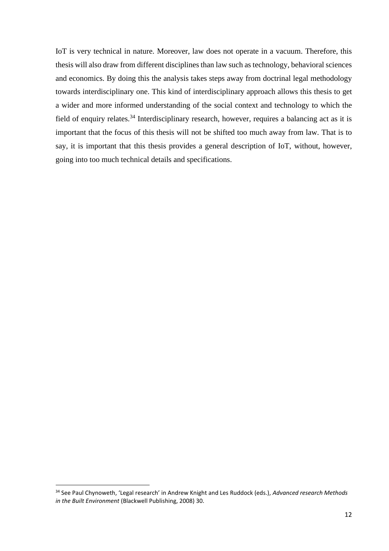IoT is very technical in nature. Moreover, law does not operate in a vacuum. Therefore, this thesis will also draw from different disciplines than law such as technology, behavioral sciences and economics. By doing this the analysis takes steps away from doctrinal legal methodology towards interdisciplinary one. This kind of interdisciplinary approach allows this thesis to get a wider and more informed understanding of the social context and technology to which the field of enquiry relates.<sup>34</sup> Interdisciplinary research, however, requires a balancing act as it is important that the focus of this thesis will not be shifted too much away from law. That is to say, it is important that this thesis provides a general description of IoT, without, however, going into too much technical details and specifications.

<sup>34</sup> See Paul Chynoweth, 'Legal research' in Andrew Knight and Les Ruddock (eds.), *Advanced research Methods in the Built Environment* (Blackwell Publishing, 2008) 30.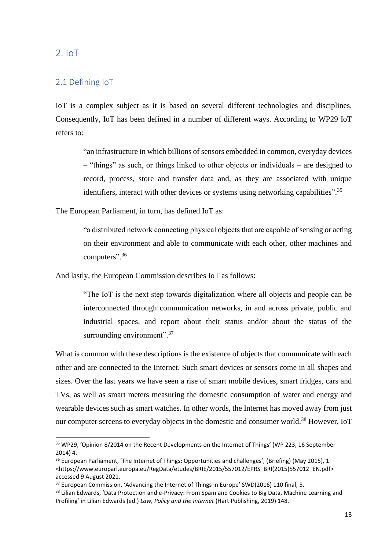<span id="page-12-0"></span>2. IoT

## <span id="page-12-1"></span>2.1 Defining IoT

IoT is a complex subject as it is based on several different technologies and disciplines. Consequently, IoT has been defined in a number of different ways. According to WP29 IoT refers to:

"an infrastructure in which billions of sensors embedded in common, everyday devices – "things" as such, or things linked to other objects or individuals – are designed to record, process, store and transfer data and, as they are associated with unique identifiers, interact with other devices or systems using networking capabilities".<sup>35</sup>

The European Parliament, in turn, has defined IoT as:

"a distributed network connecting physical objects that are capable of sensing or acting on their environment and able to communicate with each other, other machines and computers".<sup>36</sup>

And lastly, the European Commission describes IoT as follows:

"The IoT is the next step towards digitalization where all objects and people can be interconnected through communication networks, in and across private, public and industrial spaces, and report about their status and/or about the status of the surrounding environment".<sup>37</sup>

What is common with these descriptions is the existence of objects that communicate with each other and are connected to the Internet. Such smart devices or sensors come in all shapes and sizes. Over the last years we have seen a rise of smart mobile devices, smart fridges, cars and TVs, as well as smart meters measuring the domestic consumption of water and energy and wearable devices such as smart watches. In other words, the Internet has moved away from just our computer screens to everyday objects in the domestic and consumer world.<sup>38</sup> However, IoT

<sup>&</sup>lt;sup>35</sup> WP29, 'Opinion 8/2014 on the Recent Developments on the Internet of Things' (WP 223, 16 September 2014) 4.

<sup>&</sup>lt;sup>36</sup> European Parliament, 'The Internet of Things: Opportunities and challenges', (Briefing) (May 2015), 1 <https://www.europarl.europa.eu/RegData/etudes/BRIE/2015/557012/EPRS\_BRI(2015)557012\_EN.pdf> accessed 9 August 2021.

<sup>&</sup>lt;sup>37</sup> European Commission, 'Advancing the Internet of Things in Europe' SWD(2016) 110 final, 5.

<sup>38</sup> Lilian Edwards, 'Data Protection and e-Privacy: From Spam and Cookies to Big Data, Machine Learning and Profiling' in Lilian Edwards (ed.) *Law, Policy and the Internet* (Hart Publishing, 2019) 148.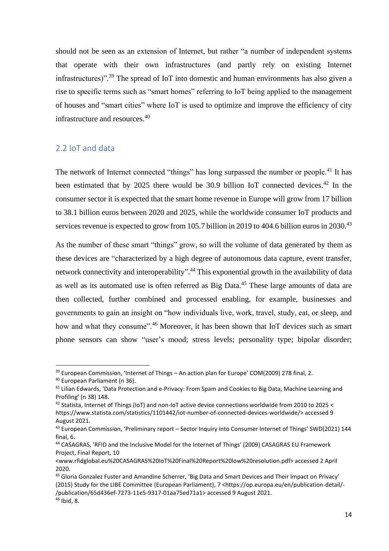should not be seen as an extension of Internet, but rather "a number of independent systems that operate with their own infrastructures (and partly rely on existing Internet infrastructures)".<sup>39</sup> The spread of IoT into domestic and human environments has also given a rise to specific terms such as "smart homes" referring to IoT being applied to the management of houses and "smart cities" where IoT is used to optimize and improve the efficiency of city infrastructure and resources. 40

### <span id="page-13-0"></span>2.2 IoT and data

The network of Internet connected "things" has long surpassed the number or people.<sup>41</sup> It has been estimated that by 2025 there would be 30.9 billion IoT connected devices.<sup>42</sup> In the consumer sector it is expected that the smart home revenue in Europe will grow from 17 billion to 38.1 billion euros between 2020 and 2025, while the worldwide consumer IoT products and services revenue is expected to grow from 105.7 billion in 2019 to 404.6 billion euros in 2030.<sup>43</sup>

As the number of these smart "things" grow, so will the volume of data generated by them as these devices are "characterized by a high degree of autonomous data capture, event transfer, network connectivity and interoperability".<sup>44</sup> This exponential growth in the availability of data as well as its automated use is often referred as Big Data.<sup>45</sup> These large amounts of data are then collected, further combined and processed enabling, for example, businesses and governments to gain an insight on "how individuals live, work, travel, study, eat, or sleep, and how and what they consume".<sup>46</sup> Moreover, it has been shown that IoT devices such as smart phone sensors can show "user's mood; stress levels; personality type; bipolar disorder;

<sup>39</sup> European Commission, 'Internet of Things – An action plan for Europe' COM(2009) 278 final, 2.

<sup>40</sup> European Parliament (n 36).

<sup>41</sup> Lilian Edwards, 'Data Protection and e-Privacy: From Spam and Cookies to Big Data, Machine Learning and Profiling' (n 38) 148.

<sup>42</sup> Statista, Internet of Things (IoT) and non-IoT active device connections worldwide from 2010 to 2025 < https://www.statista.com/statistics/1101442/iot-number-of-connected-devices-worldwide/> accessed 9 August 2021.

<sup>43</sup> European Commission, 'Preliminary report – Sector Inquiry into Consumer Internet of Things' SWD(2021) 144 final, 6.

<sup>44</sup> CASAGRAS, 'RFID and the Inclusive Model for the Internet of Things' (2009) CASAGRAS EU Framework Project, Final Report, 10

<sup>&</sup>lt;www.rfidglobal.eu%20CASAGRAS%20IoT%20Final%20Report%20low%20resolution.pdf> accessed 2 April 2020.

<sup>45</sup> Gloria Gonzalez Fuster and Amandine Scherrer, 'Big Data and Smart Devices and Their Impact on Privacy' (2015) Study for the LIBE Committee (European Parliament), 7 <https://op.europa.eu/en/publication-detail/- /publication/65d436ef-7273-11e5-9317-01aa75ed71a1> accessed 9 August 2021. <sup>46</sup> Ibid, 8.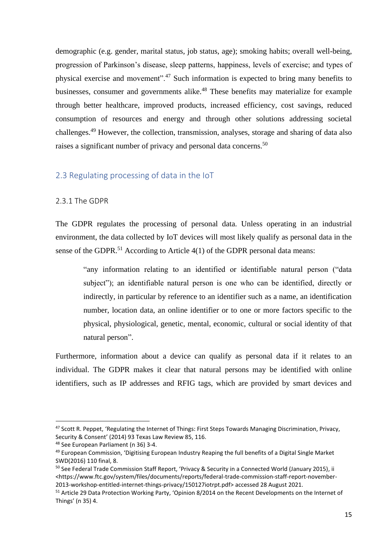demographic (e.g. gender, marital status, job status, age); smoking habits; overall well-being, progression of Parkinson's disease, sleep patterns, happiness, levels of exercise; and types of physical exercise and movement".<sup>47</sup> Such information is expected to bring many benefits to businesses, consumer and governments alike.<sup>48</sup> These benefits may materialize for example through better healthcare, improved products, increased efficiency, cost savings, reduced consumption of resources and energy and through other solutions addressing societal challenges.<sup>49</sup> However, the collection, transmission, analyses, storage and sharing of data also raises a significant number of privacy and personal data concerns.<sup>50</sup>

#### <span id="page-14-0"></span>2.3 Regulating processing of data in the IoT

#### <span id="page-14-1"></span>2.3.1 The GDPR

The GDPR regulates the processing of personal data. Unless operating in an industrial environment, the data collected by IoT devices will most likely qualify as personal data in the sense of the GDPR.<sup>51</sup> According to Article  $4(1)$  of the GDPR personal data means:

"any information relating to an identified or identifiable natural person ("data subject"); an identifiable natural person is one who can be identified, directly or indirectly, in particular by reference to an identifier such as a name, an identification number, location data, an online identifier or to one or more factors specific to the physical, physiological, genetic, mental, economic, cultural or social identity of that natural person".

Furthermore, information about a device can qualify as personal data if it relates to an individual. The GDPR makes it clear that natural persons may be identified with online identifiers, such as IP addresses and RFIG tags, which are provided by smart devices and

<sup>47</sup> Scott R. Peppet, 'Regulating the Internet of Things: First Steps Towards Managing Discrimination, Privacy, Security & Consent' (2014) 93 Texas Law Review 85, 116.

<sup>48</sup> See European Parliament (n 36) 3-4.

<sup>&</sup>lt;sup>49</sup> European Commission, 'Digitising European Industry Reaping the full benefits of a Digital Single Market SWD(2016) 110 final, 8.

<sup>&</sup>lt;sup>50</sup> See Federal Trade Commission Staff Report, 'Privacy & Security in a Connected World (January 2015), ii <https://www.ftc.gov/system/files/documents/reports/federal-trade-commission-staff-report-november-2013-workshop-entitled-internet-things-privacy/150127iotrpt.pdf> accessed 28 August 2021.

<sup>51</sup> Article 29 Data Protection Working Party, 'Opinion 8/2014 on the Recent Developments on the Internet of Things' (n 35) 4.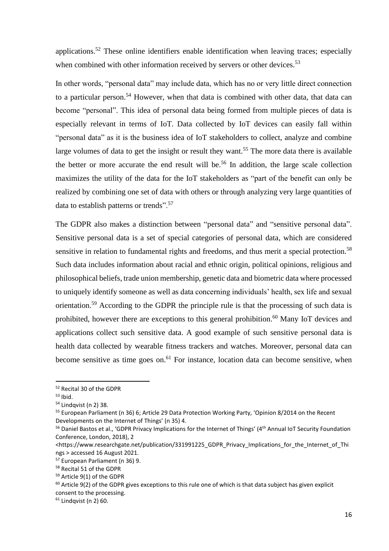applications.<sup>52</sup> These online identifiers enable identification when leaving traces; especially when combined with other information received by servers or other devices.<sup>53</sup>

In other words, "personal data" may include data, which has no or very little direct connection to a particular person.<sup>54</sup> However, when that data is combined with other data, that data can become "personal". This idea of personal data being formed from multiple pieces of data is especially relevant in terms of IoT. Data collected by IoT devices can easily fall within "personal data" as it is the business idea of IoT stakeholders to collect, analyze and combine large volumes of data to get the insight or result they want.<sup>55</sup> The more data there is available the better or more accurate the end result will be.<sup>56</sup> In addition, the large scale collection maximizes the utility of the data for the IoT stakeholders as "part of the benefit can only be realized by combining one set of data with others or through analyzing very large quantities of data to establish patterns or trends".<sup>57</sup>

The GDPR also makes a distinction between "personal data" and "sensitive personal data". Sensitive personal data is a set of special categories of personal data, which are considered sensitive in relation to fundamental rights and freedoms, and thus merit a special protection.<sup>58</sup> Such data includes information about racial and ethnic origin, political opinions, religious and philosophical beliefs, trade union membership, genetic data and biometric data where processed to uniquely identify someone as well as data concerning individuals' health, sex life and sexual orientation.<sup>59</sup> According to the GDPR the principle rule is that the processing of such data is prohibited, however there are exceptions to this general prohibition.<sup>60</sup> Many IoT devices and applications collect such sensitive data. A good example of such sensitive personal data is health data collected by wearable fitness trackers and watches. Moreover, personal data can become sensitive as time goes on.<sup>61</sup> For instance, location data can become sensitive, when

<sup>52</sup> Recital 30 of the GDPR

 $53$  Ibid.

<sup>54</sup> Lindqvist (n 2) 38.

<sup>55</sup> European Parliament (n 36) 6; Article 29 Data Protection Working Party, 'Opinion 8/2014 on the Recent Developments on the Internet of Things' (n 35) 4.

<sup>&</sup>lt;sup>56</sup> Daniel Bastos et al., 'GDPR Privacy Implications for the Internet of Things' (4<sup>th</sup> Annual IoT Security Foundation Conference, London, 2018), 2

<sup>&</sup>lt;https://www.researchgate.net/publication/331991225\_GDPR\_Privacy\_Implications\_for\_the\_Internet\_of\_Thi ngs > accessed 16 August 2021.

<sup>57</sup> European Parliament (n 36) 9.

<sup>58</sup> Recital 51 of the GDPR

<sup>59</sup> Article 9(1) of the GDPR

 $60$  Article 9(2) of the GDPR gives exceptions to this rule one of which is that data subject has given explicit consent to the processing.

 $61$  Lindqvist (n 2) 60.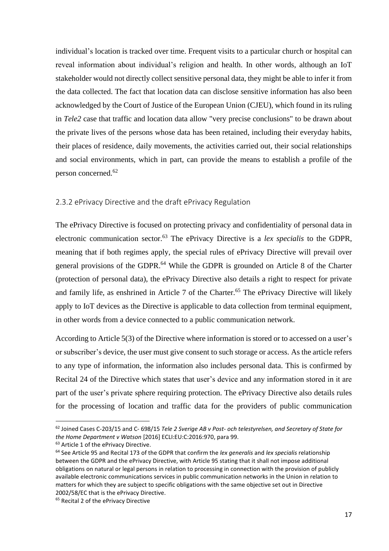individual's location is tracked over time. Frequent visits to a particular church or hospital can reveal information about individual's religion and health. In other words, although an IoT stakeholder would not directly collect sensitive personal data, they might be able to infer it from the data collected. The fact that location data can disclose sensitive information has also been acknowledged by the Court of Justice of the European Union (CJEU), which found in its ruling in *Tele2* case that traffic and location data allow "very precise conclusions" to be drawn about the private lives of the persons whose data has been retained, including their everyday habits, their places of residence, daily movements, the activities carried out, their social relationships and social environments, which in part, can provide the means to establish a profile of the person concerned.<sup>62</sup>

#### <span id="page-16-0"></span>2.3.2 ePrivacy Directive and the draft ePrivacy Regulation

The ePrivacy Directive is focused on protecting privacy and confidentiality of personal data in electronic communication sector. <sup>63</sup> The ePrivacy Directive is a *lex specialis* to the GDPR, meaning that if both regimes apply, the special rules of ePrivacy Directive will prevail over general provisions of the GDPR.<sup>64</sup> While the GDPR is grounded on Article 8 of the Charter (protection of personal data), the ePrivacy Directive also details a right to respect for private and family life, as enshrined in Article 7 of the Charter.<sup>65</sup> The ePrivacy Directive will likely apply to IoT devices as the Directive is applicable to data collection from terminal equipment, in other words from a device connected to a public communication network.

According to Article 5(3) of the Directive where information is stored or to accessed on a user's or subscriber's device, the user must give consent to such storage or access. As the article refers to any type of information, the information also includes personal data. This is confirmed by Recital 24 of the Directive which states that user's device and any information stored in it are part of the user's private sphere requiring protection. The ePrivacy Directive also details rules for the processing of location and traffic data for the providers of public communication

<sup>62</sup> Joined Cases C-203/15 and C- 698/15 *Tele 2 Sverige AB v Post- och telestyrelsen, and Secretary of State for the Home Department v Watson* [2016] ECLI:EU:C:2016:970, para 99.

<sup>&</sup>lt;sup>63</sup> Article 1 of the ePrivacy Directive.

<sup>64</sup> See Article 95 and Recital 173 of the GDPR that confirm the *lex generalis* and *lex specialis* relationship between the GDPR and the ePrivacy Directive, with Article 95 stating that it shall not impose additional obligations on natural or legal persons in relation to processing in connection with the provision of publicly available electronic communications services in public communication networks in the Union in relation to matters for which they are subject to specific obligations with the same objective set out in Directive 2002/58/EC that is the ePrivacy Directive.

<sup>&</sup>lt;sup>65</sup> Recital 2 of the ePrivacy Directive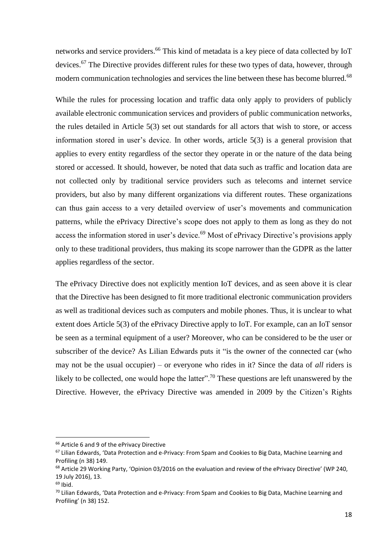networks and service providers. <sup>66</sup> This kind of metadata is a key piece of data collected by IoT devices.<sup>67</sup> The Directive provides different rules for these two types of data, however, through modern communication technologies and services the line between these has become blurred.<sup>68</sup>

While the rules for processing location and traffic data only apply to providers of publicly available electronic communication services and providers of public communication networks, the rules detailed in Article 5(3) set out standards for all actors that wish to store, or access information stored in user's device. In other words, article 5(3) is a general provision that applies to every entity regardless of the sector they operate in or the nature of the data being stored or accessed. It should, however, be noted that data such as traffic and location data are not collected only by traditional service providers such as telecoms and internet service providers, but also by many different organizations via different routes. These organizations can thus gain access to a very detailed overview of user's movements and communication patterns, while the ePrivacy Directive's scope does not apply to them as long as they do not access the information stored in user's device.<sup>69</sup> Most of ePrivacy Directive's provisions apply only to these traditional providers, thus making its scope narrower than the GDPR as the latter applies regardless of the sector.

The ePrivacy Directive does not explicitly mention IoT devices, and as seen above it is clear that the Directive has been designed to fit more traditional electronic communication providers as well as traditional devices such as computers and mobile phones. Thus, it is unclear to what extent does Article 5(3) of the ePrivacy Directive apply to IoT. For example, can an IoT sensor be seen as a terminal equipment of a user? Moreover, who can be considered to be the user or subscriber of the device? As Lilian Edwards puts it "is the owner of the connected car (who may not be the usual occupier) – or everyone who rides in it? Since the data of *all* riders is likely to be collected, one would hope the latter".<sup>70</sup> These questions are left unanswered by the Directive. However, the ePrivacy Directive was amended in 2009 by the Citizen's Rights

<sup>66</sup> Article 6 and 9 of the ePrivacy Directive

<sup>&</sup>lt;sup>67</sup> Lilian Edwards, 'Data Protection and e-Privacy: From Spam and Cookies to Big Data, Machine Learning and Profiling (n 38) 149.

<sup>&</sup>lt;sup>68</sup> Article 29 Working Party, 'Opinion 03/2016 on the evaluation and review of the ePrivacy Directive' (WP 240, 19 July 2016), 13.

 $69$  Ibid.

<sup>&</sup>lt;sup>70</sup> Lilian Edwards, 'Data Protection and e-Privacy: From Spam and Cookies to Big Data, Machine Learning and Profiling' (n 38) 152.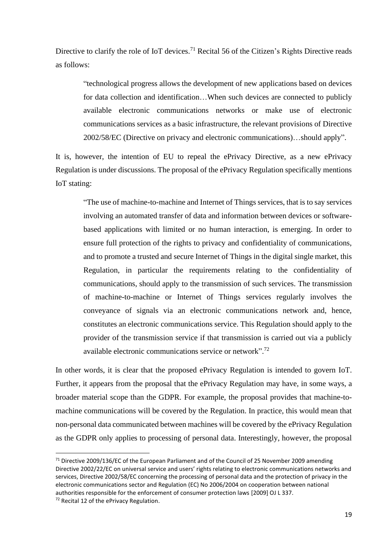Directive to clarify the role of IoT devices.<sup>71</sup> Recital 56 of the Citizen's Rights Directive reads as follows:

"technological progress allows the development of new applications based on devices for data collection and identification…When such devices are connected to publicly available electronic communications networks or make use of electronic communications services as a basic infrastructure, the relevant provisions of Directive 2002/58/EC (Directive on privacy and electronic communications)…should apply".

It is, however, the intention of EU to repeal the ePrivacy Directive, as a new ePrivacy Regulation is under discussions. The proposal of the ePrivacy Regulation specifically mentions IoT stating:

"The use of machine-to-machine and Internet of Things services, that is to say services involving an automated transfer of data and information between devices or softwarebased applications with limited or no human interaction, is emerging. In order to ensure full protection of the rights to privacy and confidentiality of communications, and to promote a trusted and secure Internet of Things in the digital single market, this Regulation, in particular the requirements relating to the confidentiality of communications, should apply to the transmission of such services. The transmission of machine-to-machine or Internet of Things services regularly involves the conveyance of signals via an electronic communications network and, hence, constitutes an electronic communications service. This Regulation should apply to the provider of the transmission service if that transmission is carried out via a publicly available electronic communications service or network".<sup>72</sup>

In other words, it is clear that the proposed ePrivacy Regulation is intended to govern IoT. Further, it appears from the proposal that the ePrivacy Regulation may have, in some ways, a broader material scope than the GDPR. For example, the proposal provides that machine-tomachine communications will be covered by the Regulation. In practice, this would mean that non-personal data communicated between machines will be covered by the ePrivacy Regulation as the GDPR only applies to processing of personal data. Interestingly, however, the proposal

 $71$  Directive 2009/136/EC of the European Parliament and of the Council of 25 November 2009 amending Directive 2002/22/EC on universal service and users' rights relating to electronic communications networks and services, Directive 2002/58/EC concerning the processing of personal data and the protection of privacy in the electronic communications sector and Regulation (EC) No 2006/2004 on cooperation between national authorities responsible for the enforcement of consumer protection laws [2009] OJ L 337.

<sup>72</sup> Recital 12 of the ePrivacy Regulation.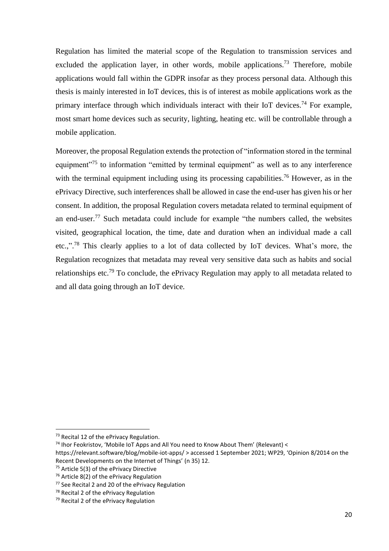Regulation has limited the material scope of the Regulation to transmission services and excluded the application layer, in other words, mobile applications.<sup>73</sup> Therefore, mobile applications would fall within the GDPR insofar as they process personal data. Although this thesis is mainly interested in IoT devices, this is of interest as mobile applications work as the primary interface through which individuals interact with their IoT devices.<sup>74</sup> For example, most smart home devices such as security, lighting, heating etc. will be controllable through a mobile application.

Moreover, the proposal Regulation extends the protection of "information stored in the terminal equipment<sup>"75</sup> to information "emitted by terminal equipment" as well as to any interference with the terminal equipment including using its processing capabilities.<sup>76</sup> However, as in the ePrivacy Directive, such interferences shall be allowed in case the end-user has given his or her consent. In addition, the proposal Regulation covers metadata related to terminal equipment of an end-user.<sup>77</sup> Such metadata could include for example "the numbers called, the websites visited, geographical location, the time, date and duration when an individual made a call etc.,".<sup>78</sup> This clearly applies to a lot of data collected by IoT devices. What's more, the Regulation recognizes that metadata may reveal very sensitive data such as habits and social relationships etc.<sup>79</sup> To conclude, the ePrivacy Regulation may apply to all metadata related to and all data going through an IoT device.

<sup>&</sup>lt;sup>73</sup> Recital 12 of the ePrivacy Regulation.

 $74$  Ihor Feokristov, 'Mobile IoT Apps and All You need to Know About Them' (Relevant) <

https://relevant.software/blog/mobile-iot-apps/ > accessed 1 September 2021; WP29, 'Opinion 8/2014 on the Recent Developments on the Internet of Things' (n 35) 12.

<sup>&</sup>lt;sup>75</sup> Article 5(3) of the ePrivacy Directive

<sup>76</sup> Article 8(2) of the ePrivacy Regulation

<sup>77</sup> See Recital 2 and 20 of the ePrivacy Regulation

<sup>78</sup> Recital 2 of the ePrivacy Regulation

<sup>79</sup> Recital 2 of the ePrivacy Regulation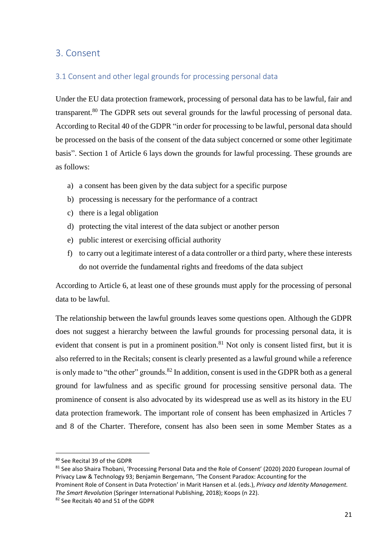## <span id="page-20-0"></span>3. Consent

### <span id="page-20-1"></span>3.1 Consent and other legal grounds for processing personal data

Under the EU data protection framework, processing of personal data has to be lawful, fair and transparent.<sup>80</sup> The GDPR sets out several grounds for the lawful processing of personal data. According to Recital 40 of the GDPR "in order for processing to be lawful, personal data should be processed on the basis of the [consent](https://www.i-scoop.eu/gdpr/consent-gdpr/) of the data subject concerned or some other legitimate basis". Section 1 of Article 6 lays down the grounds for lawful processing. These grounds are as follows:

- a) a consent has been given by the data subject for a specific purpose
- b) processing is necessary for the performance of a contract
- c) there is a legal obligation
- d) protecting the vital interest of the data subject or another person
- e) public interest or exercising official authority
- f) to carry out a legitimate interest of a data controller or a third party, where these interests do not override the fundamental rights and freedoms of the data subject

According to Article 6, at least one of these grounds must apply for the processing of personal data to be lawful.

The relationship between the lawful grounds leaves some questions open. Although the GDPR does not suggest a hierarchy between the lawful grounds for processing personal data, it is evident that consent is put in a prominent position.<sup>81</sup> Not only is consent listed first, but it is also referred to in the Recitals; consent is clearly presented as a lawful ground while a reference is only made to "the other" grounds.  $82$  In addition, consent is used in the GDPR both as a general ground for lawfulness and as specific ground for processing sensitive personal data. The prominence of consent is also advocated by its widespread use as well as its history in the EU data protection framework. The important role of consent has been emphasized in Articles 7 and 8 of the Charter. Therefore, consent has also been seen in some Member States as a

<sup>80</sup> See Recital 39 of the GDPR

<sup>81</sup> See also Shaira Thobani, 'Processing Personal Data and the Role of Consent' (2020) 2020 European Journal of Privacy Law & Technology 93; Benjamin Bergemann, 'The Consent Paradox: Accounting for the

Prominent Role of Consent in Data Protection' in Marit Hansen et al. (eds.), *Privacy and Identity Management. The Smart Revolution* (Springer International Publishing, 2018); Koops (n 22).

<sup>82</sup> See Recitals 40 and 51 of the GDPR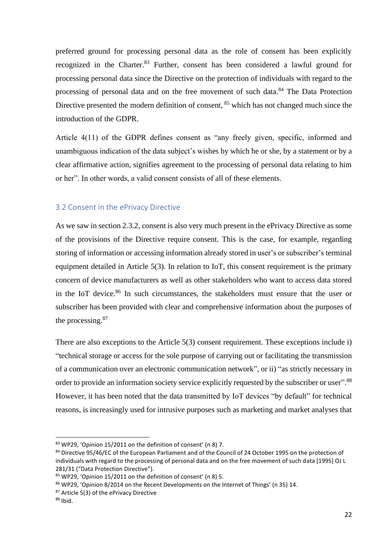preferred ground for processing personal data as the role of consent has been explicitly recognized in the Charter.<sup>83</sup> Further, consent has been considered a lawful ground for processing personal data since the Directive on the protection of individuals with regard to the processing of personal data and on the free movement of such data.<sup>84</sup> The Data Protection Directive presented the modern definition of consent, <sup>85</sup> which has not changed much since the introduction of the GDPR.

Article 4(11) of the GDPR defines consent as "any freely given, specific, informed and unambiguous indication of the data subject's wishes by which he or she, by a statement or by a clear affirmative action, signifies agreement to the processing of personal data relating to him or her". In other words, a valid consent consists of all of these elements.

#### <span id="page-21-0"></span>3.2 Consent in the ePrivacy Directive

As we saw in section 2.3.2, consent is also very much present in the ePrivacy Directive as some of the provisions of the Directive require consent. This is the case, for example, regarding storing of information or accessing information already stored in user's or subscriber's terminal equipment detailed in Article 5(3). In relation to IoT, this consent requirement is the primary concern of device manufacturers as well as other stakeholders who want to access data stored in the IoT device. <sup>86</sup> In such circumstances, the stakeholders must ensure that the user or subscriber has been provided with clear and comprehensive information about the purposes of the processing.<sup>87</sup>

There are also exceptions to the Article 5(3) consent requirement. These exceptions include i) "technical storage or access for the sole purpose of carrying out or facilitating the transmission of a communication over an electronic communication network", or ii) "as strictly necessary in order to provide an information society service explicitly requested by the subscriber or user".<sup>88</sup> However, it has been noted that the data transmitted by IoT devices "by default" for technical reasons, is increasingly used for intrusive purposes such as marketing and market analyses that

<sup>86</sup> WP29, 'Opinion 8/2014 on the Recent Developments on the Internet of Things' (n 35) 14.

<sup>87</sup> Article 5(3) of the ePrivacy Directive

<sup>83</sup> WP29, 'Opinion 15/2011 on the definition of consent' (n 8) 7.

<sup>84</sup> Directive 95/46/EC of the European Parliament and of the Council of 24 October 1995 on the protection of individuals with regard to the processing of personal data and on the free movement of such data [1995] OJ L 281/31 ("Data Protection Directive").

<sup>85</sup> WP29, 'Opinion 15/2011 on the definition of consent' (n 8) 5.

 $88$  Ibid.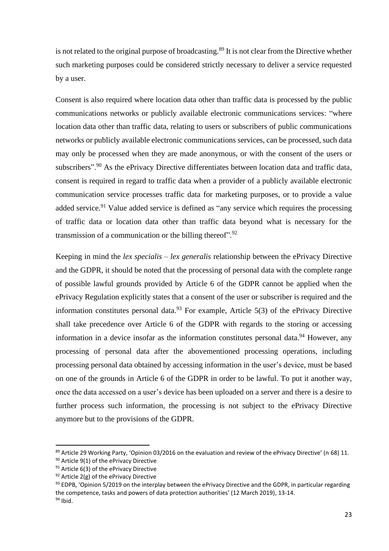is not related to the original purpose of broadcasting.<sup>89</sup> It is not clear from the Directive whether such marketing purposes could be considered strictly necessary to deliver a service requested by a user.

Consent is also required where location data other than traffic data is processed by the public communications networks or publicly available electronic communications services: "where location data other than traffic data, relating to users or subscribers of public communications networks or publicly available electronic communications services, can be processed, such data may only be processed when they are made anonymous, or with the consent of the users or subscribers".<sup>90</sup> As the ePrivacy Directive differentiates between location data and traffic data, consent is required in regard to traffic data when a provider of a publicly available electronic communication service processes traffic data for marketing purposes, or to provide a value added service.<sup>91</sup> Value added service is defined as "any service which requires the processing of traffic data or location data other than traffic data beyond what is necessary for the transmission of a communication or the billing thereof".<sup>92</sup>

Keeping in mind the *lex specialis – lex generalis* relationship between the ePrivacy Directive and the GDPR, it should be noted that the processing of personal data with the complete range of possible lawful grounds provided by Article 6 of the GDPR cannot be applied when the ePrivacy Regulation explicitly states that a consent of the user or subscriber is required and the information constitutes personal data.<sup>93</sup> For example, Article  $5(3)$  of the ePrivacy Directive shall take precedence over Article 6 of the GDPR with regards to the storing or accessing information in a device insofar as the information constitutes personal data.<sup>94</sup> However, any processing of personal data after the abovementioned processing operations, including processing personal data obtained by accessing information in the user's device, must be based on one of the grounds in Article 6 of the GDPR in order to be lawful. To put it another way, once the data accessed on a user's device has been uploaded on a server and there is a desire to further process such information, the processing is not subject to the ePrivacy Directive anymore but to the provisions of the GDPR.

<sup>&</sup>lt;sup>89</sup> Article 29 Working Party, 'Opinion 03/2016 on the evaluation and review of the ePrivacy Directive' (n 68) 11.

<sup>90</sup> Article 9(1) of the ePrivacy Directive

<sup>&</sup>lt;sup>91</sup> Article 6(3) of the ePrivacy Directive

 $92$  Article 2(g) of the ePrivacy Directive

 $93$  EDPB, 'Opinion 5/2019 on the interplay between the ePrivacy Directive and the GDPR, in particular regarding the competence, tasks and powers of data protection authorities' (12 March 2019), 13-14. <sup>94</sup> Ibid.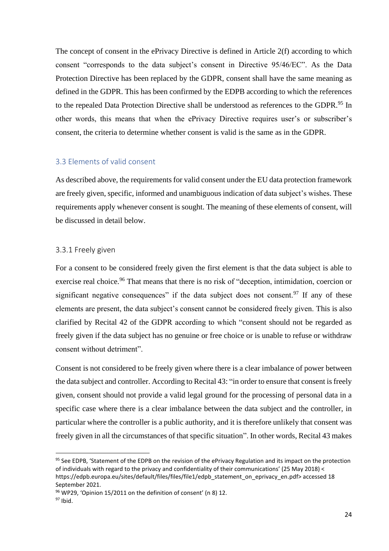The concept of consent in the ePrivacy Directive is defined in Article 2(f) according to which consent "corresponds to the data subject's consent in Directive 95/46/EC". As the Data Protection Directive has been replaced by the GDPR, consent shall have the same meaning as defined in the GDPR. This has been confirmed by the EDPB according to which the references to the repealed Data Protection Directive shall be understood as references to the GDPR.<sup>95</sup> In other words, this means that when the ePrivacy Directive requires user's or subscriber's consent, the criteria to determine whether consent is valid is the same as in the GDPR.

#### <span id="page-23-0"></span>3.3 Elements of valid consent

As described above, the requirements for valid consent under the EU data protection framework are freely given, specific, informed and unambiguous indication of data subject's wishes. These requirements apply whenever consent is sought. The meaning of these elements of consent, will be discussed in detail below.

#### <span id="page-23-1"></span>3.3.1 Freely given

For a consent to be considered freely given the first element is that the data subject is able to exercise real choice.<sup>96</sup> That means that there is no risk of "deception, intimidation, coercion or significant negative consequences" if the data subject does not consent. <sup>97</sup> If any of these elements are present, the data subject's consent cannot be considered freely given. This is also clarified by Recital 42 of the GDPR according to which "consent should not be regarded as freely given if the data subject has no genuine or free choice or is unable to refuse or withdraw consent without detriment".

Consent is not considered to be freely given where there is a clear imbalance of power between the data subject and controller. According to Recital 43: "in order to ensure that consent is freely given, consent should not provide a valid legal ground for the processing of personal data in a specific case where there is a clear imbalance between the data subject and the controller, in particular where the controller is a public authority, and it is therefore unlikely that consent was freely given in all the circumstances of that specific situation". In other words, Recital 43 makes

<sup>&</sup>lt;sup>95</sup> See EDPB, 'Statement of the EDPB on the revision of the ePrivacy Regulation and its impact on the protection of individuals with regard to the privacy and confidentiality of their communications' (25 May 2018) < https://edpb.europa.eu/sites/default/files/files/file1/edpb\_statement\_on\_eprivacy\_en.pdf> accessed 18 September 2021.

<sup>96</sup> WP29, 'Opinion 15/2011 on the definition of consent' (n 8) 12.

 $97$  Ibid.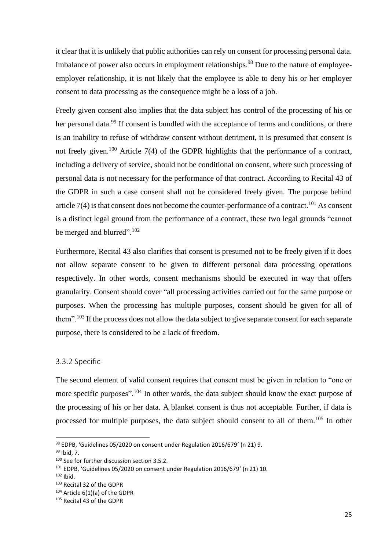it clear that it is unlikely that public authorities can rely on consent for processing personal data. Imbalance of power also occurs in employment relationships.<sup>98</sup> Due to the nature of employeeemployer relationship, it is not likely that the employee is able to deny his or her employer consent to data processing as the consequence might be a loss of a job.

Freely given consent also implies that the data subject has control of the processing of his or her personal data.<sup>99</sup> If consent is bundled with the acceptance of terms and conditions, or there is an inability to refuse of withdraw consent without detriment, it is presumed that consent is not freely given.<sup>100</sup> Article 7(4) of the GDPR highlights that the performance of a contract, including a delivery of service, should not be conditional on consent, where such processing of personal data is not necessary for the performance of that contract. According to Recital 43 of the GDPR in such a case consent shall not be considered freely given. The purpose behind article  $7(4)$  is that consent does not become the counter-performance of a contract.<sup>101</sup> As consent is a distinct legal ground from the performance of a contract, these two legal grounds "cannot be merged and blurred".<sup>102</sup>

Furthermore, Recital 43 also clarifies that consent is presumed not to be freely given if it does not allow separate consent to be given to different personal data processing operations respectively. In other words, consent mechanisms should be executed in way that offers granularity. Consent should cover "all processing activities carried out for the same purpose or purposes. When the processing has multiple purposes, consent should be given for all of them".<sup>103</sup> If the process does not allow the data subject to give separate consent for each separate purpose, there is considered to be a lack of freedom.

#### <span id="page-24-0"></span>3.3.2 Specific

The second element of valid consent requires that consent must be given in relation to "one or more specific purposes".<sup>104</sup> In other words, the data subject should know the exact purpose of the processing of his or her data. A blanket consent is thus not acceptable. Further, if data is processed for multiple purposes, the data subject should consent to all of them.<sup>105</sup> In other

<sup>98</sup> EDPB, 'Guidelines 05/2020 on consent under Regulation 2016/679' (n 21) 9.

<sup>99</sup> Ibid, 7.

<sup>&</sup>lt;sup>100</sup> See for further discussion section 3.5.2.

<sup>101</sup> EDPB, 'Guidelines 05/2020 on consent under Regulation 2016/679' (n 21) 10.

 $102$  Ibid.

<sup>103</sup> Recital 32 of the GDPR

<sup>104</sup> Article 6(1)(a) of the GDPR

<sup>105</sup> Recital 43 of the GDPR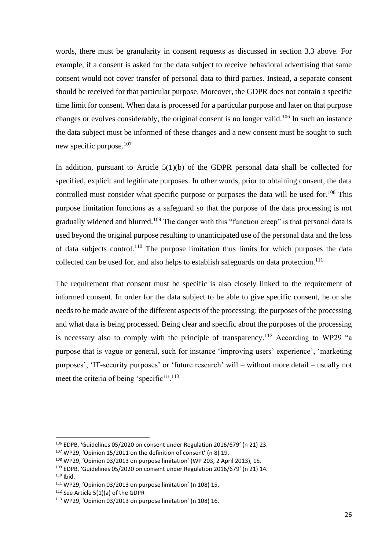words, there must be granularity in consent requests as discussed in section 3.3 above. For example, if a consent is asked for the data subject to receive behavioral advertising that same consent would not cover transfer of personal data to third parties. Instead, a separate consent should be received for that particular purpose. Moreover, the GDPR does not contain a specific time limit for consent. When data is processed for a particular purpose and later on that purpose changes or evolves considerably, the original consent is no longer valid.<sup>106</sup> In such an instance the data subject must be informed of these changes and a new consent must be sought to such new specific purpose.<sup>107</sup>

In addition, pursuant to Article  $5(1)(b)$  of the GDPR personal data shall be collected for specified, explicit and legitimate purposes. In other words, prior to obtaining consent, the data controlled must consider what specific purpose or purposes the data will be used for.<sup>108</sup> This purpose limitation functions as a safeguard so that the purpose of the data processing is not gradually widened and blurred.<sup>109</sup> The danger with this "function creep" is that personal data is used beyond the original purpose resulting to unanticipated use of the personal data and the loss of data subjects control.<sup>110</sup> The purpose limitation thus limits for which purposes the data collected can be used for, and also helps to establish safeguards on data protection.<sup>111</sup>

The requirement that consent must be specific is also closely linked to the requirement of informed consent. In order for the data subject to be able to give specific consent, he or she needs to be made aware of the different aspects of the processing: the purposes of the processing and what data is being processed. Being clear and specific about the purposes of the processing is necessary also to comply with the principle of transparency.<sup>112</sup> According to WP29 "a purpose that is vague or general, such for instance 'improving users' experience', 'marketing purposes', 'IT-security purposes' or 'future research' will – without more detail – usually not meet the criteria of being 'specific'".<sup>113</sup>

<sup>106</sup> EDPB, 'Guidelines 05/2020 on consent under Regulation 2016/679' (n 21) 23.

<sup>107</sup> WP29, 'Opinion 15/2011 on the definition of consent' (n 8) 19.

<sup>108</sup> WP29, 'Opinion 03/2013 on purpose limitation' (WP 203, 2 April 2013), 15.

<sup>109</sup> EDPB, 'Guidelines 05/2020 on consent under Regulation 2016/679' (n 21) 14.  $110$  Ibid.

<sup>111</sup> WP29, 'Opinion 03/2013 on purpose limitation' (n 108) 15.

<sup>112</sup> See Article 5(1)(a) of the GDPR

<sup>113</sup> WP29, 'Opinion 03/2013 on purpose limitation' (n 108) 16.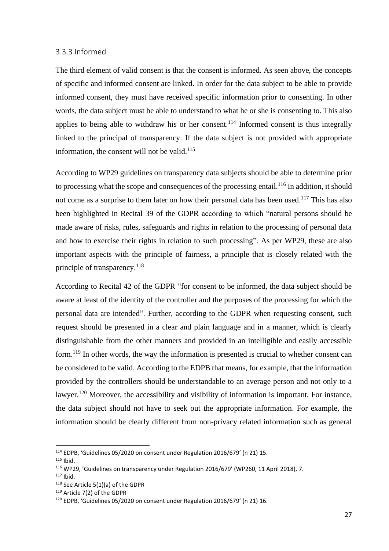#### <span id="page-26-0"></span>3.3.3 Informed

The third element of valid consent is that the consent is informed. As seen above, the concepts of specific and informed consent are linked. In order for the data subject to be able to provide informed consent, they must have received specific information prior to consenting. In other words, the data subject must be able to understand to what he or she is consenting to. This also applies to being able to withdraw his or her consent.<sup>114</sup> Informed consent is thus integrally linked to the principal of transparency. If the data subject is not provided with appropriate information, the consent will not be valid. $115$ 

According to WP29 guidelines on transparency data subjects should be able to determine prior to processing what the scope and consequences of the processing entail.<sup>116</sup> In addition, it should not come as a surprise to them later on how their personal data has been used.<sup>117</sup> This has also been highlighted in Recital 39 of the GDPR according to which "natural persons should be made aware of risks, rules, safeguards and rights in relation to the processing of personal data and how to exercise their rights in relation to such processing". As per WP29, these are also important aspects with the principle of fairness, a principle that is closely related with the principle of transparency.<sup>118</sup>

According to Recital 42 of the GDPR "for consent to be informed, the data subject should be aware at least of the identity of the controller and the purposes of the processing for which the personal data are intended". Further, according to the GDPR when requesting consent, such request should be presented in a clear and plain language and in a manner, which is clearly distinguishable from the other manners and provided in an intelligible and easily accessible form.<sup>119</sup> In other words, the way the information is presented is crucial to whether consent can be considered to be valid. According to the EDPB that means, for example, that the information provided by the controllers should be understandable to an average person and not only to a lawyer.<sup>120</sup> Moreover, the accessibility and visibility of information is important. For instance, the data subject should not have to seek out the appropriate information. For example, the information should be clearly different from non-privacy related information such as general

<sup>114</sup> EDPB, 'Guidelines 05/2020 on consent under Regulation 2016/679' (n 21) 15.

<sup>115</sup> Ibid.

<sup>116</sup> WP29, 'Guidelines on transparency under Regulation 2016/679' (WP260, 11 April 2018), 7.

 $117$  Ibid.

<sup>118</sup> See Article 5(1)(a) of the GDPR

<sup>119</sup> Article 7(2) of the GDPR

<sup>120</sup> EDPB, 'Guidelines 05/2020 on consent under Regulation 2016/679' (n 21) 16.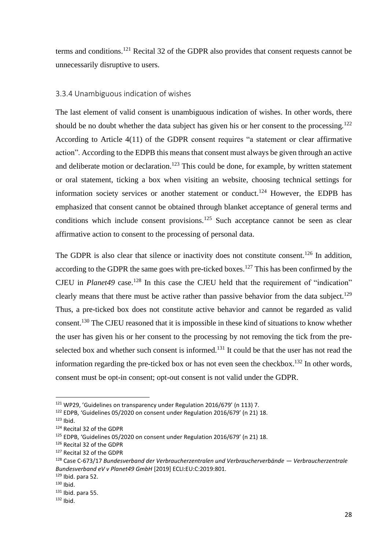terms and conditions.<sup>121</sup> Recital 32 of the GDPR also provides that consent requests cannot be unnecessarily disruptive to users.

#### <span id="page-27-0"></span>3.3.4 Unambiguous indication of wishes

The last element of valid consent is unambiguous indication of wishes. In other words, there should be no doubt whether the data subject has given his or her consent to the processing.<sup>122</sup> According to Article 4(11) of the GDPR consent requires "a statement or clear affirmative action". According to the EDPB this means that consent must always be given through an active and deliberate motion or declaration.<sup>123</sup> This could be done, for example, by written statement or oral statement, ticking a box when visiting an website, choosing technical settings for information society services or another statement or conduct.<sup>124</sup> However, the EDPB has emphasized that consent cannot be obtained through blanket acceptance of general terms and conditions which include consent provisions.<sup>125</sup> Such acceptance cannot be seen as clear affirmative action to consent to the processing of personal data.

The GDPR is also clear that silence or inactivity does not constitute consent.<sup>126</sup> In addition, according to the GDPR the same goes with pre-ticked boxes.<sup>127</sup> This has been confirmed by the CJEU in *Planet49* case.<sup>128</sup> In this case the CJEU held that the requirement of "indication" clearly means that there must be active rather than passive behavior from the data subject.<sup>129</sup> Thus, a pre-ticked box does not constitute active behavior and cannot be regarded as valid consent. <sup>130</sup> The CJEU reasoned that it is impossible in these kind of situations to know whether the user has given his or her consent to the processing by not removing the tick from the preselected box and whether such consent is informed.<sup>131</sup> It could be that the user has not read the information regarding the pre-ticked box or has not even seen the checkbox.<sup>132</sup> In other words, consent must be opt-in consent; opt-out consent is not valid under the GDPR.

<sup>121</sup> WP29, 'Guidelines on transparency under Regulation 2016/679' (n 113) 7.

<sup>122</sup> EDPB, 'Guidelines 05/2020 on consent under Regulation 2016/679' (n 21) 18.

 $123$  Ibid.

<sup>124</sup> Recital 32 of the GDPR

<sup>125</sup> EDPB, 'Guidelines 05/2020 on consent under Regulation 2016/679' (n 21) 18.

<sup>126</sup> Recital 32 of the GDPR

<sup>127</sup> Recital 32 of the GDPR

<sup>128</sup> Case C‑673/17 *Bundesverband der Verbraucherzentralen und Verbraucherverbände — Verbraucherzentrale Bundesverband eV v Planet49 GmbH* [2019] ECLI:EU:C:2019:801.

 $129$  Ibid. para 52.

 $130$  Ibid.

<sup>131</sup> Ibid. para 55.

 $132$  Ibid.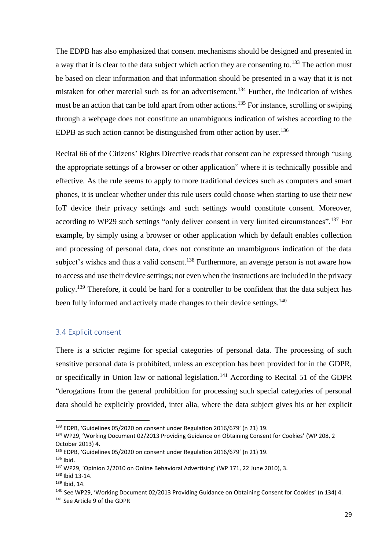The EDPB has also emphasized that consent mechanisms should be designed and presented in a way that it is clear to the data subject which action they are consenting to.<sup>133</sup> The action must be based on clear information and that information should be presented in a way that it is not mistaken for other material such as for an advertisement.<sup>134</sup> Further, the indication of wishes must be an action that can be told apart from other actions.<sup>135</sup> For instance, scrolling or swiping through a webpage does not constitute an unambiguous indication of wishes according to the EDPB as such action cannot be distinguished from other action by user.<sup>136</sup>

Recital 66 of the Citizens' Rights Directive reads that consent can be expressed through "using the appropriate settings of a browser or other application" where it is technically possible and effective. As the rule seems to apply to more traditional devices such as computers and smart phones, it is unclear whether under this rule users could choose when starting to use their new IoT device their privacy settings and such settings would constitute consent. Moreover, according to WP29 such settings "only deliver consent in very limited circumstances".<sup>137</sup> For example, by simply using a browser or other application which by default enables collection and processing of personal data, does not constitute an unambiguous indication of the data subject's wishes and thus a valid consent.<sup>138</sup> Furthermore, an average person is not aware how to access and use their device settings; not even when the instructions are included in the privacy policy.<sup>139</sup> Therefore, it could be hard for a controller to be confident that the data subject has been fully informed and actively made changes to their device settings.<sup>140</sup>

#### <span id="page-28-0"></span>3.4 Explicit consent

There is a stricter regime for special categories of personal data. The processing of such sensitive personal data is prohibited, unless an exception has been provided for in the GDPR, or specifically in Union law or national legislation.<sup>141</sup> According to Recital 51 of the GDPR "derogations from the general prohibition for processing such special categories of personal data should be explicitly provided, inter alia, where the data subject gives his or her explicit

<sup>133</sup> EDPB, 'Guidelines 05/2020 on consent under Regulation 2016/679' (n 21) 19.

<sup>134</sup> WP29, 'Working Document 02/2013 Providing Guidance on Obtaining Consent for Cookies' (WP 208, 2 October 2013) 4.

<sup>&</sup>lt;sup>135</sup> EDPB, 'Guidelines 05/2020 on consent under Regulation 2016/679' (n 21) 19.

<sup>136</sup> Ibid.

<sup>137</sup> WP29, 'Opinion 2/2010 on Online Behavioral Advertising' (WP 171, 22 June 2010), 3.

<sup>138</sup> Ibid 13-14.

 $139$  Ibid, 14.

<sup>140</sup> See WP29, 'Working Document 02/2013 Providing Guidance on Obtaining Consent for Cookies' (n 134) 4.

<sup>141</sup> See Article 9 of the GDPR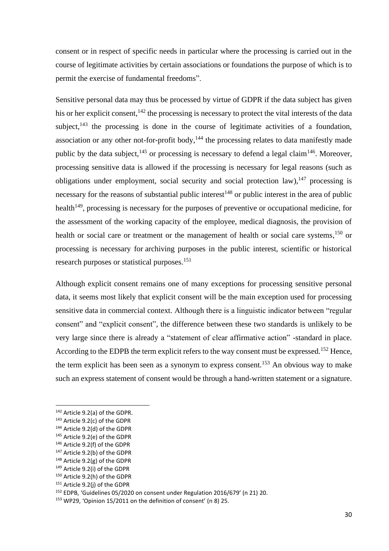consent or in respect of specific needs in particular where the processing is carried out in the course of legitimate activities by certain associations or foundations the purpose of which is to permit the exercise of fundamental freedoms".

Sensitive personal data may thus be processed by virtue of GDPR if the data subject has given his or her explicit consent,  $142$  the processing is necessary to protect the vital interests of the data subject,  $143$  the processing is done in the course of legitimate activities of a foundation, association or any other not-for-profit body, $144$  the processing relates to data manifestly made public by the data subject,  $^{145}$  or processing is necessary to defend a legal claim<sup>146</sup>. Moreover, processing sensitive data is allowed if the processing is necessary for legal reasons (such as obligations under employment, social security and social protection law),  $147$  processing is necessary for the reasons of substantial public interest<sup>148</sup> or public interest in the area of public health<sup>149</sup>, processing is necessary for the purposes of preventive or occupational medicine, for the assessment of the working capacity of the employee, medical diagnosis, the provision of health or social care or treatment or the management of health or social care systems,<sup>150</sup> or processing is necessary for archiving purposes in the public interest, scientific or historical research purposes or statistical purposes. 151

Although explicit consent remains one of many exceptions for processing sensitive personal data, it seems most likely that explicit consent will be the main exception used for processing sensitive data in commercial context. Although there is a linguistic indicator between "regular consent" and "explicit consent", the difference between these two standards is unlikely to be very large since there is already a "statement of clear affirmative action" -standard in place. According to the EDPB the term explicit refers to the way consent must be expressed.<sup>152</sup> Hence, the term explicit has been seen as a synonym to express consent.<sup>153</sup> An obvious way to make such an express statement of consent would be through a hand-written statement or a signature.

<sup>142</sup> Article 9.2(a) of the GDPR.

<sup>143</sup> Article 9.2(c) of the GDPR

<sup>144</sup> Article 9.2(d) of the GDPR

<sup>145</sup> Article 9.2(e) of the GDPR

<sup>146</sup> Article 9.2(f) of the GDPR

<sup>147</sup> Article 9.2(b) of the GDPR

<sup>148</sup> Article 9.2(g) of the GDPR

<sup>149</sup> Article 9.2(i) of the GDPR

<sup>150</sup> Article 9.2(h) of the GDPR

<sup>151</sup> Article 9.2(j) of the GDPR

<sup>152</sup> EDPB, 'Guidelines 05/2020 on consent under Regulation 2016/679' (n 21) 20.

<sup>153</sup> WP29, 'Opinion 15/2011 on the definition of consent' (n 8) 25.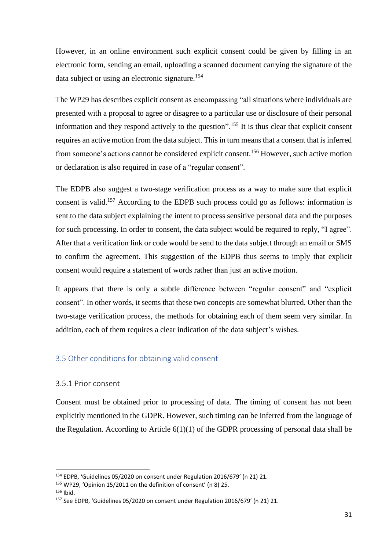However, in an online environment such explicit consent could be given by filling in an electronic form, sending an email, uploading a scanned document carrying the signature of the data subject or using an electronic signature.<sup>154</sup>

The WP29 has describes explicit consent as encompassing "all situations where individuals are presented with a proposal to agree or disagree to a particular use or disclosure of their personal information and they respond actively to the question".<sup>155</sup> It is thus clear that explicit consent requires an active motion from the data subject. This in turn means that a consent that is inferred from someone's actions cannot be considered explicit consent.<sup>156</sup> However, such active motion or declaration is also required in case of a "regular consent".

The EDPB also suggest a two-stage verification process as a way to make sure that explicit consent is valid.<sup>157</sup> According to the EDPB such process could go as follows: information is sent to the data subject explaining the intent to process sensitive personal data and the purposes for such processing. In order to consent, the data subject would be required to reply, "I agree". After that a verification link or code would be send to the data subject through an email or SMS to confirm the agreement. This suggestion of the EDPB thus seems to imply that explicit consent would require a statement of words rather than just an active motion.

It appears that there is only a subtle difference between "regular consent" and "explicit consent". In other words, it seems that these two concepts are somewhat blurred. Other than the two-stage verification process, the methods for obtaining each of them seem very similar. In addition, each of them requires a clear indication of the data subject's wishes.

#### <span id="page-30-0"></span>3.5 Other conditions for obtaining valid consent

#### <span id="page-30-1"></span>3.5.1 Prior consent

Consent must be obtained prior to processing of data. The timing of consent has not been explicitly mentioned in the GDPR. However, such timing can be inferred from the language of the Regulation. According to Article  $6(1)(1)$  of the GDPR processing of personal data shall be

<sup>154</sup> EDPB, 'Guidelines 05/2020 on consent under Regulation 2016/679' (n 21) 21.

<sup>155</sup> WP29, 'Opinion 15/2011 on the definition of consent' (n 8) 25.

<sup>156</sup> Ibid.

<sup>157</sup> See EDPB, 'Guidelines 05/2020 on consent under Regulation 2016/679' (n 21) 21.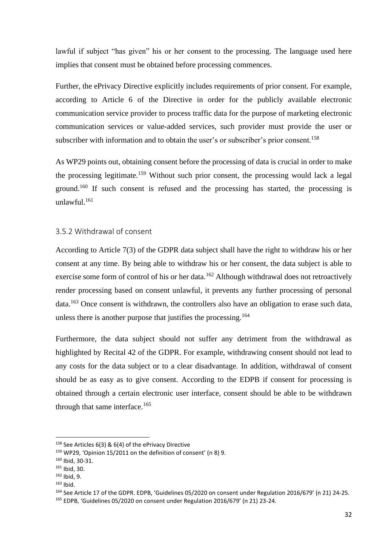lawful if subject "has given" his or her consent to the processing. The language used here implies that consent must be obtained before processing commences.

Further, the ePrivacy Directive explicitly includes requirements of prior consent. For example, according to Article 6 of the Directive in order for the publicly available electronic communication service provider to process traffic data for the purpose of marketing electronic communication services or value-added services, such provider must provide the user or subscriber with information and to obtain the user's or subscriber's prior consent.<sup>158</sup>

As WP29 points out, obtaining consent before the processing of data is crucial in order to make the processing legitimate.<sup>159</sup> Without such prior consent, the processing would lack a legal ground.<sup>160</sup> If such consent is refused and the processing has started, the processing is unlawful.<sup>161</sup>

#### <span id="page-31-0"></span>3.5.2 Withdrawal of consent

According to Article 7(3) of the GDPR data subject shall have the right to withdraw his or her consent at any time. By being able to withdraw his or her consent, the data subject is able to exercise some form of control of his or her data.<sup>162</sup> Although withdrawal does not retroactively render processing based on consent unlawful, it prevents any further processing of personal  $data<sup>163</sup>$  Once consent is withdrawn, the controllers also have an obligation to erase such data, unless there is another purpose that justifies the processing.<sup>164</sup>

Furthermore, the data subject should not suffer any detriment from the withdrawal as highlighted by Recital 42 of the GDPR. For example, withdrawing consent should not lead to any costs for the data subject or to a clear disadvantage. In addition, withdrawal of consent should be as easy as to give consent. According to the EDPB if consent for processing is obtained through a certain electronic user interface, consent should be able to be withdrawn through that same interface.<sup>165</sup>

<sup>158</sup> See Articles 6(3) & 6(4) of the ePrivacy Directive

<sup>159</sup> WP29, 'Opinion 15/2011 on the definition of consent' (n 8) 9.

<sup>160</sup> Ibid, 30-31.

<sup>161</sup> Ibid, 30.

<sup>162</sup> Ibid, 9.

 $163$  Ibid.

<sup>164</sup> See Article 17 of the GDPR. EDPB, 'Guidelines 05/2020 on consent under Regulation 2016/679' (n 21) 24-25.

<sup>165</sup> EDPB, 'Guidelines 05/2020 on consent under Regulation 2016/679' (n 21) 23-24.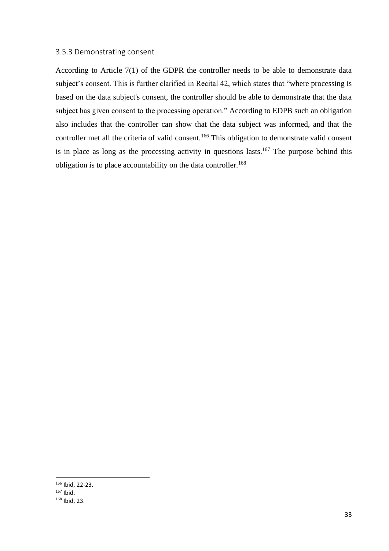#### <span id="page-32-0"></span>3.5.3 Demonstrating consent

According to Article 7(1) of the GDPR the controller needs to be able to demonstrate data subject's consent. This is further clarified in Recital 42, which states that "where processing is based on the data subject's consent, the controller should be able to demonstrate that the data subject has given consent to the processing operation." According to EDPB such an obligation also includes that the controller can show that the data subject was informed, and that the controller met all the criteria of valid consent.<sup>166</sup> This obligation to demonstrate valid consent is in place as long as the processing activity in questions lasts.<sup>167</sup> The purpose behind this obligation is to place accountability on the data controller.<sup>168</sup>

<sup>166</sup> Ibid, 22-23. <sup>167</sup> Ibid. <sup>168</sup> Ibid, 23.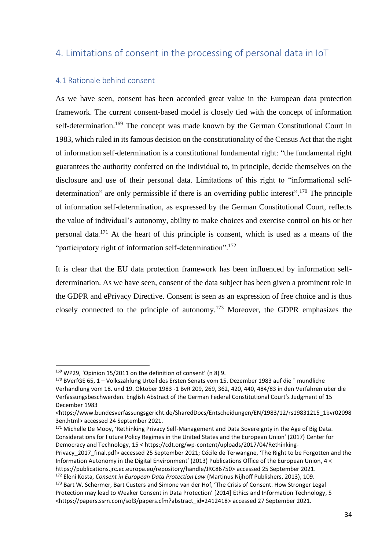## <span id="page-33-0"></span>4. Limitations of consent in the processing of personal data in IoT

#### <span id="page-33-1"></span>4.1 Rationale behind consent

As we have seen, consent has been accorded great value in the European data protection framework. The current consent-based model is closely tied with the concept of information self-determination.<sup>169</sup> The concept was made known by the German Constitutional Court in 1983, which ruled in its famous decision on the constitutionality of the Census Act that the right of information self-determination is a constitutional fundamental right: "the fundamental right guarantees the authority conferred on the individual to, in principle, decide themselves on the disclosure and use of their personal data. Limitations of this right to "informational selfdetermination" are only permissible if there is an overriding public interest".<sup>170</sup> The principle of information self-determination, as expressed by the German Constitutional Court, reflects the value of individual's autonomy, ability to make choices and exercise control on his or her personal data. <sup>171</sup> At the heart of this principle is consent, which is used as a means of the "participatory right of information self-determination".<sup>172</sup>

It is clear that the EU data protection framework has been influenced by information selfdetermination. As we have seen, consent of the data subject has been given a prominent role in the GDPR and ePrivacy Directive. Consent is seen as an expression of free choice and is thus closely connected to the principle of autonomy.<sup>173</sup> Moreover, the GDPR emphasizes the

<sup>171</sup> Michelle De Mooy, 'Rethinking Privacy Self-Management and Data Sovereignty in the Age of Big Data. Considerations for Future Policy Regimes in the United States and the European Union' (2017) Center for Democracy and Technology, 15 < https://cdt.org/wp-content/uploads/2017/04/Rethinking-

<sup>169</sup> WP29, 'Opinion 15/2011 on the definition of consent' (n 8) 9.

<sup>170</sup> BVerfGE 65, 1 – Volkszahlung Urteil des Ersten Senats vom 15. Dezember 1983 auf die ¨ mundliche Verhandlung vom 18. und 19. Oktober 1983 -1 BvR 209, 269, 362, 420, 440, 484/83 in den Verfahren uber die Verfassungsbeschwerden. English Abstract of the German Federal Constitutional Court's Judgment of 15 December 1983

<sup>&</sup>lt;https://www.bundesverfassungsgericht.de/SharedDocs/Entscheidungen/EN/1983/12/rs19831215\_1bvr02098 3en.html> accessed 24 September 2021.

Privacy 2017 final.pdf> accessed 25 September 2021; Cécile de Terwangne, 'The Right to be Forgotten and the Information Autonomy in the Digital Environment' (2013) Publications Office of the European Union, 4 < https://publications.jrc.ec.europa.eu/repository/handle/JRC86750> accessed 25 September 2021. <sup>172</sup> Eleni Kosta, *Consent in European Data Protection Law* (Martinus Nijhoff Publishers, 2013), 109.

<sup>173</sup> Bart W. Schermer, Bart Custers and Simone van der Hof, 'The Crisis of Consent. How Stronger Legal Protection may lead to Weaker Consent in Data Protection' [2014] Ethics and Information Technology, 5 <https://papers.ssrn.com/sol3/papers.cfm?abstract\_id=2412418> accessed 27 September 2021.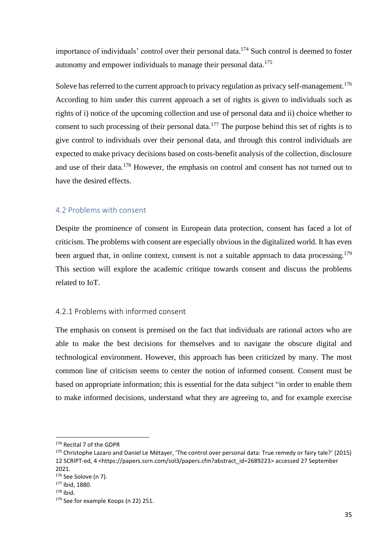importance of individuals' control over their personal data.<sup>174</sup> Such control is deemed to foster autonomy and empower individuals to manage their personal data.<sup>175</sup>

Soleve has referred to the current approach to privacy regulation as privacy self-management.<sup>176</sup> According to him under this current approach a set of rights is given to individuals such as rights of i) notice of the upcoming collection and use of personal data and ii) choice whether to consent to such processing of their personal data.<sup>177</sup> The purpose behind this set of rights is to give control to individuals over their personal data, and through this control individuals are expected to make privacy decisions based on costs-benefit analysis of the collection, disclosure and use of their data.<sup>178</sup> However, the emphasis on control and consent has not turned out to have the desired effects.

#### <span id="page-34-0"></span>4.2 Problems with consent

Despite the prominence of consent in European data protection, consent has faced a lot of criticism. The problems with consent are especially obvious in the digitalized world. It has even been argued that, in online context, consent is not a suitable approach to data processing.<sup>179</sup> This section will explore the academic critique towards consent and discuss the problems related to IoT.

#### <span id="page-34-1"></span>4.2.1 Problems with informed consent

The emphasis on consent is premised on the fact that individuals are rational actors who are able to make the best decisions for themselves and to navigate the obscure digital and technological environment. However, this approach has been criticized by many. The most common line of criticism seems to center the notion of informed consent. Consent must be based on appropriate information; this is essential for the data subject "in order to enable them to make informed decisions, understand what they are agreeing to, and for example exercise

<sup>174</sup> Recital 7 of the GDPR

<sup>&</sup>lt;sup>175</sup> Christophe Lazaro and Daniel Le Métayer, 'The control over personal data: True remedy or fairy tale?' (2015) 12 SCRIPT-ed, 4 <https://papers.ssrn.com/sol3/papers.cfm?abstract\_id=2689223> accessed 27 September 2021.

<sup>176</sup> See Solove (n 7).

<sup>177</sup> Ibid, 1880.

 $178$  Ibid.

<sup>179</sup> See for example Koops (n 22) 251.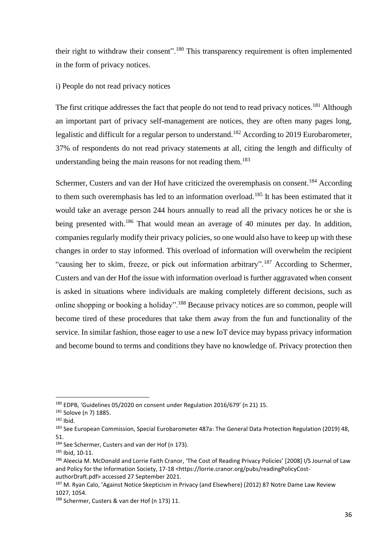their right to withdraw their consent".<sup>180</sup> This transparency requirement is often implemented in the form of privacy notices.

#### i) People do not read privacy notices

The first critique addresses the fact that people do not tend to read privacy notices.<sup>181</sup> Although an important part of privacy self-management are notices, they are often many pages long, legalistic and difficult for a regular person to understand.<sup>182</sup> According to 2019 Eurobarometer, 37% of respondents do not read privacy statements at all, citing the length and difficulty of understanding being the main reasons for not reading them.<sup>183</sup>

Schermer, Custers and van der Hof have criticized the overemphasis on consent.<sup>184</sup> According to them such overemphasis has led to an information overload.<sup>185</sup> It has been estimated that it would take an average person 244 hours annually to read all the privacy notices he or she is being presented with.<sup>186</sup> That would mean an average of 40 minutes per day. In addition, companies regularly modify their privacy policies, so one would also have to keep up with these changes in order to stay informed. This overload of information will overwhelm the recipient "causing her to skim, freeze, or pick out information arbitrary".<sup>187</sup> According to Schermer, Custers and van der Hof the issue with information overload is further aggravated when consent is asked in situations where individuals are making completely different decisions, such as online shopping or booking a holiday".<sup>188</sup> Because privacy notices are so common, people will become tired of these procedures that take them away from the fun and functionality of the service. In similar fashion, those eager to use a new IoT device may bypass privacy information and become bound to terms and conditions they have no knowledge of. Privacy protection then

<sup>180</sup> EDPB, 'Guidelines 05/2020 on consent under Regulation 2016/679' (n 21) 15.

<sup>181</sup> Solove (n 7) 1885.

<sup>182</sup> Ibid.

<sup>&</sup>lt;sup>183</sup> See European Commission, Special Eurobarometer 487a: The General Data Protection Regulation (2019) 48, 51.

<sup>184</sup> See Schermer, Custers and van der Hof (n 173).

<sup>185</sup> Ibid, 10-11.

<sup>186</sup> Aleecia M. McDonald and Lorrie Faith Cranor, 'The Cost of Reading Privacy Policies' [2008] I/S Journal of Law and Policy for the Information Society, 17-18 <https://lorrie.cranor.org/pubs/readingPolicyCostauthorDraft.pdf> accessed 27 September 2021.

<sup>&</sup>lt;sup>187</sup> M. Ryan Calo, 'Against Notice Skepticism in Privacy (and Elsewhere) (2012) 87 Notre Dame Law Review 1027, 1054.

<sup>188</sup> Schermer, Custers & van der Hof (n 173) 11.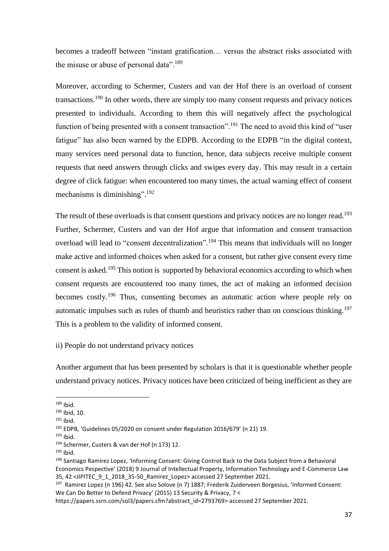becomes a tradeoff between "instant gratification… versus the abstract risks associated with the misuse or abuse of personal data".<sup>189</sup>

Moreover, according to Schermer, Custers and van der Hof there is an overload of consent transactions.<sup>190</sup> In other words, there are simply too many consent requests and privacy notices presented to individuals. According to them this will negatively affect the psychological function of being presented with a consent transaction".<sup>191</sup> The need to avoid this kind of "user fatigue" has also been warned by the EDPB. According to the EDPB "in the digital context, many services need personal data to function, hence, data subjects receive multiple consent requests that need answers through clicks and swipes every day. This may result in a certain degree of click fatigue: when encountered too many times, the actual warning effect of consent mechanisms is diminishing".<sup>192</sup>

The result of these overloads is that consent questions and privacy notices are no longer read.<sup>193</sup> Further, Schermer, Custers and van der Hof argue that information and consent transaction overload will lead to "consent decentralization".<sup>194</sup> This means that individuals will no longer make active and informed choices when asked for a consent, but rather give consent every time consent is asked.<sup>195</sup> This notion is supported by behavioral economics according to which when consent requests are encountered too many times, the act of making an informed decision becomes costly.<sup>196</sup> Thus, consenting becomes an automatic action where people rely on automatic impulses such as rules of thumb and heuristics rather than on conscious thinking.<sup>197</sup> This is a problem to the validity of informed consent.

### ii) People do not understand privacy notices

Another argument that has been presented by scholars is that it is questionable whether people understand privacy notices. Privacy notices have been criticized of being inefficient as they are

 $195$  Ibid.

 $189$  Ibid.

<sup>190</sup> Ibid, 10.

 $191$  Ibid.

<sup>192</sup> EDPB, 'Guidelines 05/2020 on consent under Regulation 2016/679' (n 21) 19.

<sup>193</sup> Ibid.

<sup>194</sup> Schermer, Custers & van der Hof (n 173) 12.

<sup>196</sup> [Santiago Ramirez Lopez](https://www.jipitec.eu/author?contributor=Ram%C3%ADrez%20L%C3%B3pez,%20Santiago), 'Informing Consent: Giving Control Back to the Data Subject from a Behavioral Economics Pespective' (2018) 9 Journal of Intellectual Property, Information Technology and E-Commerce Law 35, 42 <JIPITEC\_9\_1\_2018\_35-50\_Ramirez\_Lopez> accessed 27 September 2021.

<sup>&</sup>lt;sup>197</sup> Ramirez Lopez (n 196) 42. See also Solove (n 7) 1887; Frederik Zuiderveen Borgesius, 'Informed Consent: We Can Do Better to Defend Privacy' (2015) 13 Security & Privacy, 7 <

https://papers.ssrn.com/sol3/papers.cfm?abstract\_id=2793769> accessed 27 September 2021.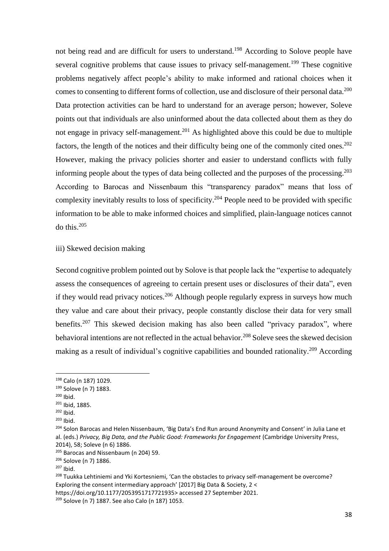not being read and are difficult for users to understand.<sup>198</sup> According to Solove people have several cognitive problems that cause issues to privacy self-management.<sup>199</sup> These cognitive problems negatively affect people's ability to make informed and rational choices when it comes to consenting to different forms of collection, use and disclosure of their personal data.<sup>200</sup> Data protection activities can be hard to understand for an average person; however, Soleve points out that individuals are also uninformed about the data collected about them as they do not engage in privacy self-management.<sup>201</sup> As highlighted above this could be due to multiple factors, the length of the notices and their difficulty being one of the commonly cited ones.<sup>202</sup> However, making the privacy policies shorter and easier to understand conflicts with fully informing people about the types of data being collected and the purposes of the processing. 203 According to Barocas and Nissenbaum this "transparency paradox" means that loss of complexity inevitably results to loss of specificity.<sup>204</sup> People need to be provided with specific information to be able to make informed choices and simplified, plain-language notices cannot do this  $205$ 

iii) Skewed decision making

Second cognitive problem pointed out by Solove is that people lack the "expertise to adequately assess the consequences of agreeing to certain present uses or disclosures of their data", even if they would read privacy notices.<sup>206</sup> Although people regularly express in surveys how much they value and care about their privacy, people constantly disclose their data for very small benefits.<sup>207</sup> This skewed decision making has also been called "privacy paradox", where behavioral intentions are not reflected in the actual behavior.<sup>208</sup> Soleve sees the skewed decision making as a result of individual's cognitive capabilities and bounded rationality.<sup>209</sup> According

 $200$  Ibid.

<sup>198</sup> Calo (n 187) 1029.

<sup>199</sup> Solove (n 7) 1883.

<sup>201</sup> Ibid, 1885.

<sup>202</sup> Ibid.

 $203$  Ibid.

<sup>204</sup> Solon Barocas and Helen Nissenbaum, 'Big Data's End Run around Anonymity and Consent' in Julia Lane et al. (eds.) *Privacy, Big Data, and the Public Good: Frameworks for Engagement* (Cambridge University Press, 2014), 58; Soleve (n 6) 1886.

<sup>&</sup>lt;sup>205</sup> Barocas and Nissenbaum (n 204) 59.

<sup>206</sup> Solove (n 7) 1886.

 $207$  Ibid.

<sup>&</sup>lt;sup>208</sup> Tuukka Lehtiniemi and Yki Kortesniemi, 'Can the obstacles to privacy self-management be overcome? Exploring the consent intermediary approach' [2017] Big Data & Society, 2 <

[https://doi.org/10.1177/2053951717721935>](https://doi.org/10.1177%2F2053951717721935) accessed 27 September 2021.

<sup>209</sup> Solove (n 7) 1887. See also Calo (n 187) 1053.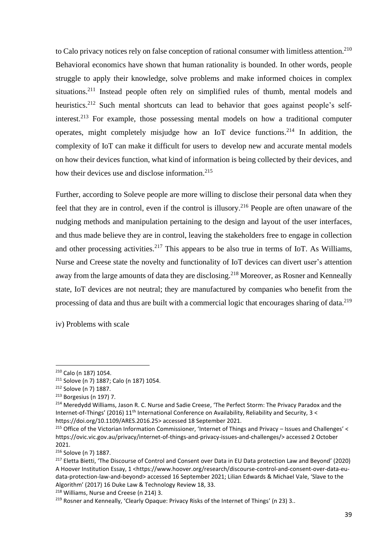to Calo privacy notices rely on false conception of rational consumer with limitless attention. $210$ Behavioral economics have shown that human rationality is bounded. In other words, people struggle to apply their knowledge, solve problems and make informed choices in complex situations.<sup>211</sup> Instead people often rely on simplified rules of thumb, mental models and heuristics.<sup>212</sup> Such mental shortcuts can lead to behavior that goes against people's selfinterest.<sup>213</sup> For example, those possessing mental models on how a traditional computer operates, might completely misjudge how an IoT device functions. <sup>214</sup> In addition, the complexity of IoT can make it difficult for users to develop new and accurate mental models on how their devices function, what kind of information is being collected by their devices, and how their devices use and disclose information. 215

Further, according to Soleve people are more willing to disclose their personal data when they feel that they are in control, even if the control is illusory.<sup>216</sup> People are often unaware of the nudging methods and manipulation pertaining to the design and layout of the user interfaces, and thus made believe they are in control, leaving the stakeholders free to engage in collection and other processing activities.<sup>217</sup> This appears to be also true in terms of IoT. As Williams, Nurse and Creese state the novelty and functionality of IoT devices can divert user's attention away from the large amounts of data they are disclosing.<sup>218</sup> Moreover, as Rosner and Kenneally state, IoT devices are not neutral; they are manufactured by companies who benefit from the processing of data and thus are built with a commercial logic that encourages sharing of data.<sup>219</sup>

iv) Problems with scale

<sup>210</sup> Calo (n 187) 1054.

<sup>211</sup> Solove (n 7) 1887; Calo (n 187) 1054.

<sup>212</sup> Solove (n 7) 1887.

<sup>213</sup> Borgesius (n 197) 7.

<sup>&</sup>lt;sup>214</sup> Meredydd Williams, Jason R. C. Nurse and Sadie Creese, 'The Perfect Storm: The Privacy Paradox and the Internet-of-Things' (2016) 11<sup>th</sup> International Conference on Availability, Reliability and Security, 3 < https://doi.org/10.1109/ARES.2016.25> accessed 18 September 2021.

<sup>&</sup>lt;sup>215</sup> Office of the Victorian Information Commissioner, 'Internet of Things and Privacy – Issues and Challenges' < https://ovic.vic.gov.au/privacy/internet-of-things-and-privacy-issues-and-challenges/> accessed 2 October 2021.

<sup>216</sup> Solove (n 7) 1887.

<sup>&</sup>lt;sup>217</sup> Eletta Bietti, 'The Discourse of Control and Consent over Data in EU Data protection Law and Beyond' (2020) A Hoover Institution Essay, 1 <https://www.hoover.org/research/discourse-control-and-consent-over-data-eudata-protection-law-and-beyond> accessed 16 September 2021; Lilian Edwards & Michael Vale, 'Slave to the Algorithm' (2017) 16 Duke Law & Technology Review 18, 33.

<sup>218</sup> Williams, Nurse and Creese (n 214) 3.

<sup>&</sup>lt;sup>219</sup> Rosner and Kenneally, 'Clearly Opaque: Privacy Risks of the Internet of Things' (n 23) 3..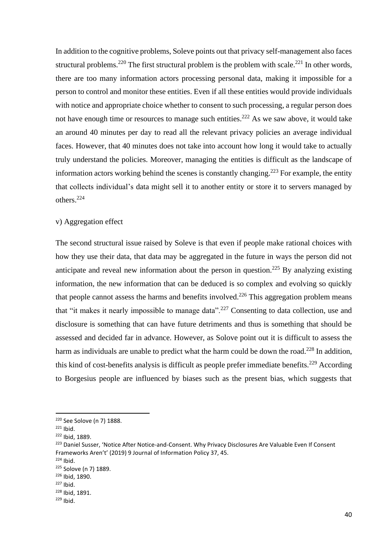In addition to the cognitive problems, Soleve points out that privacy self-management also faces structural problems.<sup>220</sup> The first structural problem is the problem with scale.<sup>221</sup> In other words, there are too many information actors processing personal data, making it impossible for a person to control and monitor these entities. Even if all these entities would provide individuals with notice and appropriate choice whether to consent to such processing, a regular person does not have enough time or resources to manage such entities.<sup>222</sup> As we saw above, it would take an around 40 minutes per day to read all the relevant privacy policies an average individual faces. However, that 40 minutes does not take into account how long it would take to actually truly understand the policies. Moreover, managing the entities is difficult as the landscape of information actors working behind the scenes is constantly changing.<sup>223</sup> For example, the entity that collects individual's data might sell it to another entity or store it to servers managed by others.<sup>224</sup>

### v) Aggregation effect

The second structural issue raised by Soleve is that even if people make rational choices with how they use their data, that data may be aggregated in the future in ways the person did not anticipate and reveal new information about the person in question.<sup>225</sup> By analyzing existing information, the new information that can be deduced is so complex and evolving so quickly that people cannot assess the harms and benefits involved.<sup>226</sup> This aggregation problem means that "it makes it nearly impossible to manage data".<sup>227</sup> Consenting to data collection, use and disclosure is something that can have future detriments and thus is something that should be assessed and decided far in advance. However, as Solove point out it is difficult to assess the harm as individuals are unable to predict what the harm could be down the road.<sup>228</sup> In addition, this kind of cost-benefits analysis is difficult as people prefer immediate benefits.<sup>229</sup> According to Borgesius people are influenced by biases such as the present bias, which suggests that

<sup>220</sup> See Solove (n 7) 1888.

 $221$  Ihid.

<sup>222</sup> Ibid, 1889.

<sup>&</sup>lt;sup>223</sup> Daniel Susser, 'Notice After Notice-and-Consent. Why Privacy Disclosures Are Valuable Even If Consent Frameworks Aren't' (2019) 9 Journal of Information Policy 37, 45.

<sup>224</sup> Ibid.

<sup>225</sup> Solove (n 7) 1889.

<sup>226</sup> Ibid, 1890.

<sup>227</sup> Ibid.

<sup>228</sup> Ibid, 1891.

 $229$  Ibid.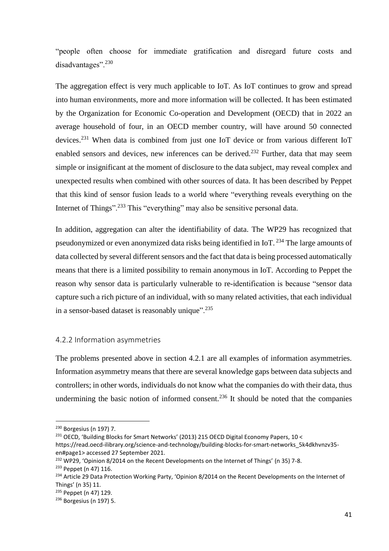"people often choose for immediate gratification and disregard future costs and disadvantages".<sup>230</sup>

The aggregation effect is very much applicable to IoT. As IoT continues to grow and spread into human environments, more and more information will be collected. It has been estimated by the Organization for Economic Co-operation and Development (OECD) that in 2022 an average household of four, in an OECD member country, will have around 50 connected devices.<sup>231</sup> When data is combined from just one IoT device or from various different IoT enabled sensors and devices, new inferences can be derived.<sup>232</sup> Further, data that may seem simple or insignificant at the moment of disclosure to the data subject, may reveal complex and unexpected results when combined with other sources of data. It has been described by Peppet that this kind of sensor fusion leads to a world where "everything reveals everything on the Internet of Things".<sup>233</sup> This "everything" may also be sensitive personal data.

In addition, aggregation can alter the identifiability of data. The WP29 has recognized that pseudonymized or even anonymized data risks being identified in IoT.<sup>234</sup> The large amounts of data collected by several different sensors and the fact that data is being processed automatically means that there is a limited possibility to remain anonymous in IoT. According to Peppet the reason why sensor data is particularly vulnerable to re-identification is because "sensor data capture such a rich picture of an individual, with so many related activities, that each individual in a sensor-based dataset is reasonably unique".<sup>235</sup>

### 4.2.2 Information asymmetries

The problems presented above in section 4.2.1 are all examples of information asymmetries. Information asymmetry means that there are several knowledge gaps between data subjects and controllers; in other words, individuals do not know what the companies do with their data, thus undermining the basic notion of informed consent.<sup>236</sup> It should be noted that the companies

https://read.oecd-ilibrary.org/science-and-technology/building-blocks-for-smart-networks\_5k4dkhvnzv35 en#page1> accessed 27 September 2021.

<sup>230</sup> Borgesius (n 197) 7.

<sup>&</sup>lt;sup>231</sup> OECD, 'Building Blocks for Smart Networks' (2013) 215 OECD Digital Economy Papers, 10 <

<sup>&</sup>lt;sup>232</sup> WP29, 'Opinion 8/2014 on the Recent Developments on the Internet of Things' (n 35) 7-8.

<sup>233</sup> Peppet (n 47) 116.

<sup>&</sup>lt;sup>234</sup> Article 29 Data Protection Working Party, 'Opinion 8/2014 on the Recent Developments on the Internet of Things' (n 35) 11.

<sup>235</sup> Peppet (n 47) 129.

<sup>236</sup> Borgesius (n 197) 5.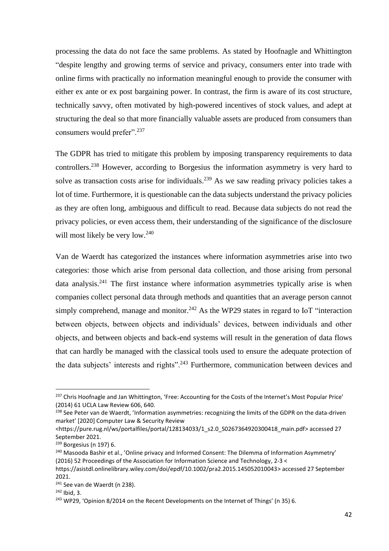processing the data do not face the same problems. As stated by Hoofnagle and Whittington "despite lengthy and growing terms of service and privacy, consumers enter into trade with online firms with practically no information meaningful enough to provide the consumer with either ex ante or ex post bargaining power. In contrast, the firm is aware of its cost structure, technically savvy, often motivated by high-powered incentives of stock values, and adept at structuring the deal so that more financially valuable assets are produced from consumers than consumers would prefer".<sup>237</sup>

The GDPR has tried to mitigate this problem by imposing transparency requirements to data controllers.<sup>238</sup> However, according to Borgesius the information asymmetry is very hard to solve as transaction costs arise for individuals.<sup>239</sup> As we saw reading privacy policies takes a lot of time. Furthermore, it is questionable can the data subjects understand the privacy policies as they are often long, ambiguous and difficult to read. Because data subjects do not read the privacy policies, or even access them, their understanding of the significance of the disclosure will most likely be very low.<sup>240</sup>

Van de Waerdt has categorized the instances where information asymmetries arise into two categories: those which arise from personal data collection, and those arising from personal data analysis.<sup>241</sup> The first instance where information asymmetries typically arise is when companies collect personal data through methods and quantities that an average person cannot simply comprehend, manage and monitor.<sup>242</sup> As the WP29 states in regard to IoT "interaction between objects, between objects and individuals' devices, between individuals and other objects, and between objects and back-end systems will result in the generation of data flows that can hardly be managed with the classical tools used to ensure the adequate protection of the data subjects' interests and rights".<sup>243</sup> Furthermore, communication between devices and

<sup>&</sup>lt;sup>237</sup> Chris Hoofnagle and Jan Whittington, 'Free: Accounting for the Costs of the Internet's Most Popular Price' (2014) 61 UCLA Law Review 606, 640.

<sup>&</sup>lt;sup>238</sup> See Peter van de Waerdt, 'Information asymmetries: recognizing the limits of the GDPR on the data-driven market' [2020] Computer Law & Security Review

<sup>&</sup>lt;https://pure.rug.nl/ws/portalfiles/portal/128134033/1\_s2.0\_S0267364920300418\_main.pdf> accessed 27 September 2021.

<sup>239</sup> Borgesius (n 197) 6.

<sup>&</sup>lt;sup>240</sup> Masooda Bashir et al., 'Online privacy and Informed Consent: The Dilemma of Information Asymmetry' (2016) 52 Proceedings of the Association for Information Science and Technology, 2-3 <

https://asistdl.onlinelibrary.wiley.com/doi/epdf/10.1002/pra2.2015.145052010043> accessed 27 September 2021.

<sup>&</sup>lt;sup>241</sup> See van de Waerdt (n 238).

 $242$  Ibid, 3.

<sup>&</sup>lt;sup>243</sup> WP29, 'Opinion 8/2014 on the Recent Developments on the Internet of Things' (n 35) 6.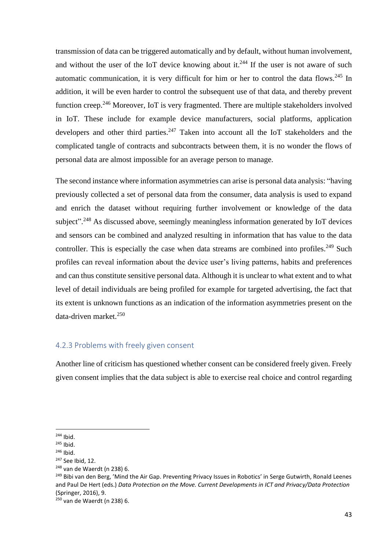transmission of data can be triggered automatically and by default, without human involvement, and without the user of the IoT device knowing about it.<sup>244</sup> If the user is not aware of such automatic communication, it is very difficult for him or her to control the data flows.<sup>245</sup> In addition, it will be even harder to control the subsequent use of that data, and thereby prevent function creep.<sup>246</sup> Moreover, IoT is very fragmented. There are multiple stakeholders involved in IoT. These include for example device manufacturers, social platforms, application developers and other third parties.<sup>247</sup> Taken into account all the IoT stakeholders and the complicated tangle of contracts and subcontracts between them, it is no wonder the flows of personal data are almost impossible for an average person to manage.

The second instance where information asymmetries can arise is personal data analysis: "having previously collected a set of personal data from the consumer, data analysis is used to expand and enrich the dataset without requiring further involvement or knowledge of the data subject".<sup>248</sup> As discussed above, seemingly meaningless information generated by IoT devices and sensors can be combined and analyzed resulting in information that has value to the data controller. This is especially the case when data streams are combined into profiles.<sup>249</sup> Such profiles can reveal information about the device user's living patterns, habits and preferences and can thus constitute sensitive personal data. Although it is unclear to what extent and to what level of detail individuals are being profiled for example for targeted advertising, the fact that its extent is unknown functions as an indication of the information asymmetries present on the data-driven market.<sup>250</sup>

### 4.2.3 Problems with freely given consent

Another line of criticism has questioned whether consent can be considered freely given. Freely given consent implies that the data subject is able to exercise real choice and control regarding

<sup>244</sup> Ibid.

 $245$  Ibid.

<sup>246</sup> Ibid.

<sup>247</sup> See Ibid, 12.

<sup>248</sup> van de Waerdt (n 238) 6.

<sup>&</sup>lt;sup>249</sup> Bibi van den Berg, 'Mind the Air Gap. Preventing Privacy Issues in Robotics' in Serge Gutwirth, Ronald Leenes and Paul De Hert (eds.) *Data Protection on the Move. Current Developments in ICT and Privacy/Data Protection*  (Springer, 2016), 9.

<sup>250</sup> van de Waerdt (n 238) 6.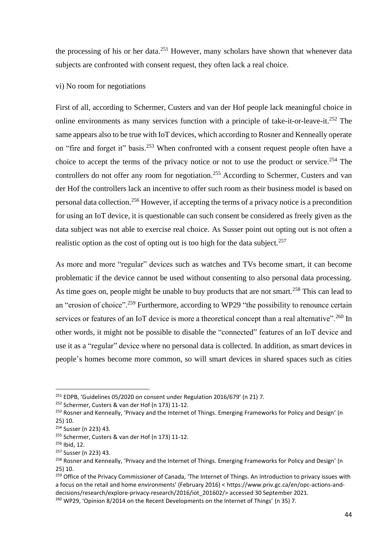the processing of his or her data.<sup>251</sup> However, many scholars have shown that whenever data subjects are confronted with consent request, they often lack a real choice.

### vi) No room for negotiations

First of all, according to Schermer, Custers and van der Hof people lack meaningful choice in online environments as many services function with a principle of take-it-or-leave-it.<sup>252</sup> The same appears also to be true with IoT devices, which according to Rosner and Kenneally operate on "fire and forget it" basis.<sup>253</sup> When confronted with a consent request people often have a choice to accept the terms of the privacy notice or not to use the product or service.<sup>254</sup> The controllers do not offer any room for negotiation.<sup>255</sup> According to Schermer, Custers and van der Hof the controllers lack an incentive to offer such room as their business model is based on personal data collection.<sup>256</sup> However, if accepting the terms of a privacy notice is a precondition for using an IoT device, it is questionable can such consent be considered as freely given as the data subject was not able to exercise real choice. As Susser point out opting out is not often a realistic option as the cost of opting out is too high for the data subject.<sup>257</sup>

As more and more "regular" devices such as watches and TVs become smart, it can become problematic if the device cannot be used without consenting to also personal data processing. As time goes on, people might be unable to buy products that are not smart.<sup>258</sup> This can lead to an "erosion of choice".<sup>259</sup> Furthermore, according to WP29 "the possibility to renounce certain services or features of an IoT device is more a theoretical concept than a real alternative".<sup>260</sup> In other words, it might not be possible to disable the "connected" features of an IoT device and use it as a "regular" device where no personal data is collected. In addition, as smart devices in people's homes become more common, so will smart devices in shared spaces such as cities

<sup>&</sup>lt;sup>251</sup> EDPB, 'Guidelines 05/2020 on consent under Regulation 2016/679' (n 21) 7.

<sup>252</sup> Schermer, Custers & van der Hof (n 173) 11-12.

<sup>&</sup>lt;sup>253</sup> Rosner and Kenneally, 'Privacy and the Internet of Things. Emerging Frameworks for Policy and Design' (n 25) 10.

<sup>254</sup> Susser (n 223) 43.

<sup>255</sup> Schermer, Custers & van der Hof (n 173) 11-12.

<sup>256</sup> Ibid, 12.

<sup>257</sup> Susser (n 223) 43.

<sup>&</sup>lt;sup>258</sup> Rosner and Kenneally, 'Privacy and the Internet of Things. Emerging Frameworks for Policy and Design' (n 25) 10.

<sup>&</sup>lt;sup>259</sup> Office of the Privacy Commissioner of Canada, 'The Internet of Things. An Introduction to privacy issues with a focus on the retail and home environments' (February 2016) < https://www.priv.gc.ca/en/opc-actions-anddecisions/research/explore-privacy-research/2016/iot\_201602/> accessed 30 September 2021.

<sup>&</sup>lt;sup>260</sup> WP29, 'Opinion 8/2014 on the Recent Developments on the Internet of Things' (n 35) 7.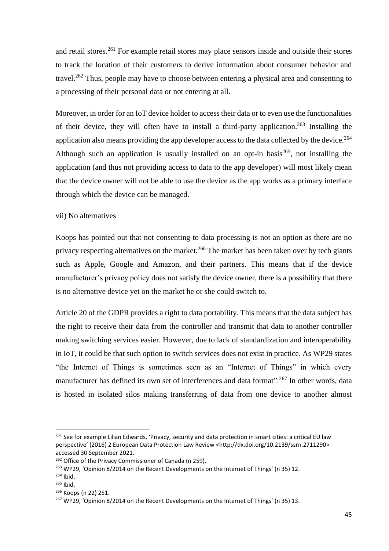and retail stores.<sup>261</sup> For example retail stores may place sensors inside and outside their stores to track the location of their customers to derive information about consumer behavior and travel.<sup>262</sup> Thus, people may have to choose between entering a physical area and consenting to a processing of their personal data or not entering at all.

Moreover, in order for an IoT device holder to access their data or to even use the functionalities of their device, they will often have to install a third-party application.<sup>263</sup> Installing the application also means providing the app developer access to the data collected by the device.<sup>264</sup> Although such an application is usually installed on an opt-in basis<sup>265</sup>, not installing the application (and thus not providing access to data to the app developer) will most likely mean that the device owner will not be able to use the device as the app works as a primary interface through which the device can be managed.

### vii) No alternatives

Koops has pointed out that not consenting to data processing is not an option as there are no privacy respecting alternatives on the market.<sup>266</sup> The market has been taken over by tech giants such as Apple, Google and Amazon, and their partners. This means that if the device manufacturer's privacy policy does not satisfy the device owner, there is a possibility that there is no alternative device yet on the market he or she could switch to.

Article 20 of the GDPR provides a right to data portability. This means that the data subject has the right to receive their data from the controller and transmit that data to another controller making switching services easier. However, due to lack of standardization and interoperability in IoT, it could be that such option to switch services does not exist in practice. As WP29 states "the Internet of Things is sometimes seen as an "Internet of Things" in which every manufacturer has defined its own set of interferences and data format".<sup>267</sup> In other words, data is hosted in isolated silos making transferring of data from one device to another almost

<sup>&</sup>lt;sup>261</sup> See for example Lilian Edwards, 'Privacy, security and data protection in smart cities: a critical EU law perspective' (2016) 2 European Data Protection Law Review <[http://dx.doi.org/10.2139/ssrn.2711290>](https://dx.doi.org/10.2139/ssrn.2711290) accessed 30 September 2021.

<sup>&</sup>lt;sup>262</sup> Office of the Privacy Commissioner of Canada (n 259).

<sup>&</sup>lt;sup>263</sup> WP29, 'Opinion 8/2014 on the Recent Developments on the Internet of Things' (n 35) 12.

<sup>264</sup> Ibid.

<sup>265</sup> Ibid.

<sup>266</sup> Koops (n 22) 251.

<sup>&</sup>lt;sup>267</sup> WP29, 'Opinion 8/2014 on the Recent Developments on the Internet of Things' (n 35) 13.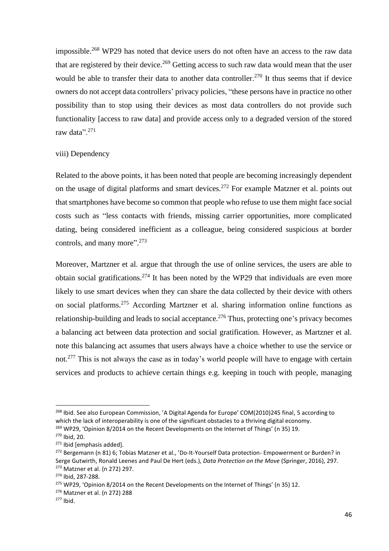impossible.<sup>268</sup> WP29 has noted that device users do not often have an access to the raw data that are registered by their device.<sup>269</sup> Getting access to such raw data would mean that the user would be able to transfer their data to another data controller.<sup>270</sup> It thus seems that if device owners do not accept data controllers' privacy policies, "these persons have in practice no other possibility than to stop using their devices as most data controllers do not provide such functionality access to raw datal and provide access only to a degraded version of the stored raw data".<sup>271</sup>

#### viii) Dependency

Related to the above points, it has been noted that people are becoming increasingly dependent on the usage of digital platforms and smart devices.<sup>272</sup> For example Matzner et al. points out that smartphones have become so common that people who refuse to use them might face social costs such as "less contacts with friends, missing carrier opportunities, more complicated dating, being considered inefficient as a colleague, being considered suspicious at border controls, and many more".<sup>273</sup>

Moreover, Martzner et al. argue that through the use of online services, the users are able to obtain social gratifications.<sup>274</sup> It has been noted by the WP29 that individuals are even more likely to use smart devices when they can share the data collected by their device with others on social platforms. <sup>275</sup> According Martzner et al. sharing information online functions as relationship-building and leads to social acceptance.<sup>276</sup> Thus, protecting one's privacy becomes a balancing act between data protection and social gratification. However, as Martzner et al. note this balancing act assumes that users always have a choice whether to use the service or not.<sup>277</sup> This is not always the case as in today's world people will have to engage with certain services and products to achieve certain things e.g. keeping in touch with people, managing

<sup>&</sup>lt;sup>268</sup> Ibid. See also European Commission, 'A Digital Agenda for Europe' COM(2010)245 final, 5 according to which the lack of interoperability is one of the significant obstacles to a thriving digital economy.  $^{269}$  WP29, 'Opinion 8/2014 on the Recent Developments on the Internet of Things' (n 35) 19.

<sup>270</sup> Ibid, 20.

<sup>&</sup>lt;sup>271</sup> Ibid [emphasis added].

<sup>&</sup>lt;sup>272</sup> Bergemann (n 81) 6; Tobias Matzner et al., 'Do-It-Yourself Data protection- Empowerment or Burden? in Serge Gutwirth, Ronald Leenes and Paul De Hert (eds.), *Data Protection on the Move* (Springer, 2016), 297. <sup>273</sup> Matzner et al. (n 272) 297.

<sup>274</sup> Ibid, 287-288.

<sup>&</sup>lt;sup>275</sup> WP29, 'Opinion 8/2014 on the Recent Developments on the Internet of Things' (n 35) 12.

<sup>276</sup> Matzner et al. (n 272) 288

 $277$  Ibid.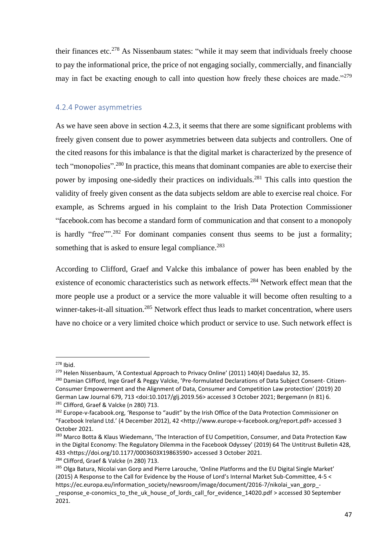their finances etc.<sup>278</sup> As Nissenbaum states: "while it may seem that individuals freely choose to pay the informational price, the price of not engaging socially, commercially, and financially may in fact be exacting enough to call into question how freely these choices are made."<sup>279</sup>

### 4.2.4 Power asymmetries

As we have seen above in section 4.2.3, it seems that there are some significant problems with freely given consent due to power asymmetries between data subjects and controllers. One of the cited reasons for this imbalance is that the digital market is characterized by the presence of tech "monopolies".<sup>280</sup> In practice, this means that dominant companies are able to exercise their power by imposing one-sidedly their practices on individuals.<sup>281</sup> This calls into question the validity of freely given consent as the data subjects seldom are able to exercise real choice. For example, as Schrems argued in his complaint to the Irish Data Protection Commissioner "facebook.com has become a standard form of communication and that consent to a monopoly is hardly "free"<sup>", 282</sup> For dominant companies consent thus seems to be just a formality; something that is asked to ensure legal compliance.<sup>283</sup>

According to Clifford, Graef and Valcke this imbalance of power has been enabled by the existence of economic characteristics such as network effects.<sup>284</sup> Network effect mean that the more people use a product or a service the more valuable it will become often resulting to a winner-takes-it-all situation.<sup>285</sup> Network effect thus leads to market concentration, where users have no choice or a very limited choice which product or service to use. Such network effect is

 $278$  Ibid.

<sup>&</sup>lt;sup>279</sup> Helen Nissenbaum, 'A Contextual Approach to Privacy Online' (2011) 140(4) Daedalus 32, 35.

<sup>280</sup> Damian Clifford, Inge Graef & Peggy Valcke, 'Pre-formulated Declarations of Data Subject Consent- Citizen-Consumer Empowerment and the Alignment of Data, Consumer and Competition Law protection' (2019) 20 German Law Journal 679, 713 <doi:10.1017/glj.2019.56> accessed 3 October 2021; Bergemann (n 81) 6. <sup>281</sup> Clifford, Graef & Valcke (n 280) 713.

<sup>&</sup>lt;sup>282</sup> Europe-v-facabook.org, 'Response to "audit" by the Irish Office of the Data Protection Commissioner on "Facebook Ireland Ltd.' (4 December 2012), 42 <http://www.europe-v-facebook.org/report.pdf> accessed 3 October 2021.

<sup>&</sup>lt;sup>283</sup> Marco Botta & Klaus Wiedemann, 'The Interaction of EU Competition, Consumer, and Data Protection Kaw in the Digital Economy: The Regulatory Dilemma in the Facebook Odyssey' (2019) 64 The Untitrust Bulletin 428, 433 <https://doi.org/10.1177/0003603X19863590> accessed 3 October 2021.

<sup>&</sup>lt;sup>284</sup> Clifford, Graef & Valcke (n 280) 713.

<sup>&</sup>lt;sup>285</sup> Olga Batura, Nicolai van Gorp and Pierre Larouche, 'Online Platforms and the EU Digital Single Market' (2015) A Response to the Call for Evidence by the House of Lord's Internal Market Sub-Committee, 4-5 < https://ec.europa.eu/information\_society/newsroom/image/document/2016-7/nikolai\_van\_gorp\_-\_response\_e-conomics\_to\_the\_uk\_house\_of\_lords\_call\_for\_evidence\_14020.pdf > accessed 30 September 2021.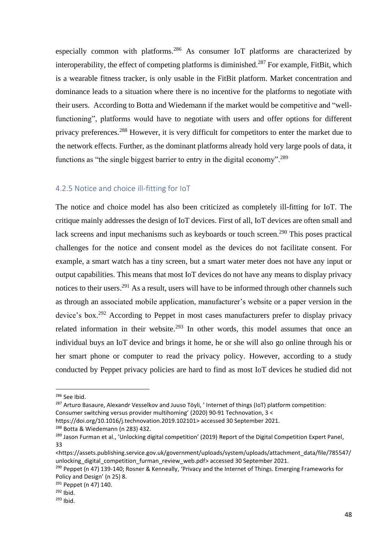especially common with platforms.<sup>286</sup> As consumer IoT platforms are characterized by interoperability, the effect of competing platforms is diminished.<sup>287</sup> For example, FitBit, which is a wearable fitness tracker, is only usable in the FitBit platform. Market concentration and dominance leads to a situation where there is no incentive for the platforms to negotiate with their users. According to Botta and Wiedemann if the market would be competitive and "wellfunctioning", platforms would have to negotiate with users and offer options for different privacy preferences.<sup>288</sup> However, it is very difficult for competitors to enter the market due to the network effects. Further, as the dominant platforms already hold very large pools of data, it functions as "the single biggest barrier to entry in the digital economy".<sup>289</sup>

### 4.2.5 Notice and choice ill-fitting for IoT

The notice and choice model has also been criticized as completely ill-fitting for IoT. The critique mainly addresses the design of IoT devices. First of all, IoT devices are often small and lack screens and input mechanisms such as keyboards or touch screen.<sup>290</sup> This poses practical challenges for the notice and consent model as the devices do not facilitate consent. For example, a smart watch has a tiny screen, but a smart water meter does not have any input or output capabilities. This means that most IoT devices do not have any means to display privacy notices to their users.<sup>291</sup> As a result, users will have to be informed through other channels such as through an associated mobile application, manufacturer's website or a paper version in the device's box.<sup>292</sup> According to Peppet in most cases manufacturers prefer to display privacy related information in their website.<sup>293</sup> In other words, this model assumes that once an individual buys an IoT device and brings it home, he or she will also go online through his or her smart phone or computer to read the privacy policy. However, according to a study conducted by Peppet privacy policies are hard to find as most IoT devices he studied did not

<sup>286</sup> See Ibid.

<sup>&</sup>lt;sup>287</sup> Arturo Basaure, Alexandr Vesselkov and Juuso Töyli, 'Internet of things (IoT) platform competition: Consumer switching versus provider multihoming' (2020) 90-91 Technovation, 3 <

https://doi.org/10.1016/j.technovation.2019.102101> accessed 30 September 2021.

<sup>288</sup> Botta & Wiedemann (n 283) 432.

<sup>&</sup>lt;sup>289</sup> Jason Furman et al., 'Unlocking digital competition' (2019) Report of the Digital Competition Expert Panel, 33

<sup>&</sup>lt;https://assets.publishing.service.gov.uk/government/uploads/system/uploads/attachment\_data/file/785547/ unlocking digital competition furman review web.pdf> accessed 30 September 2021.

<sup>&</sup>lt;sup>290</sup> Peppet (n 47) 139-140; Rosner & Kenneally, 'Privacy and the Internet of Things. Emerging Frameworks for Policy and Design' (n 25) 8.

<sup>291</sup> Peppet (n 47) 140.

 $292$  Ibid.

<sup>293</sup> Ibid.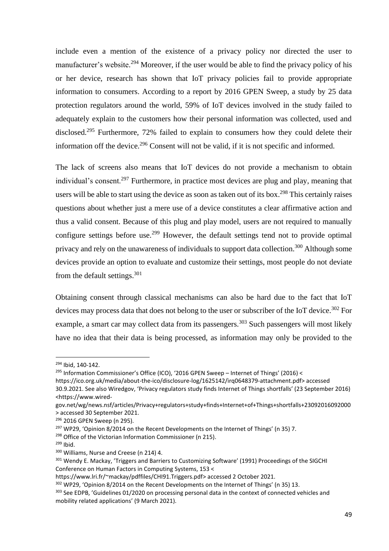include even a mention of the existence of a privacy policy nor directed the user to manufacturer's website.<sup>294</sup> Moreover, if the user would be able to find the privacy policy of his or her device, research has shown that IoT privacy policies fail to provide appropriate information to consumers. According to a report by 2016 GPEN Sweep, a study by 25 data protection regulators around the world, 59% of IoT devices involved in the study failed to adequately explain to the customers how their personal information was collected, used and disclosed.<sup>295</sup> Furthermore, 72% failed to explain to consumers how they could delete their information off the device.<sup>296</sup> Consent will not be valid, if it is not specific and informed.

The lack of screens also means that IoT devices do not provide a mechanism to obtain individual's consent.<sup>297</sup> Furthermore, in practice most devices are plug and play, meaning that users will be able to start using the device as soon as taken out of its box.<sup>298</sup> This certainly raises questions about whether just a mere use of a device constitutes a clear affirmative action and thus a valid consent. Because of this plug and play model, users are not required to manually configure settings before use.<sup>299</sup> However, the default settings tend not to provide optimal privacy and rely on the unawareness of individuals to support data collection.<sup>300</sup> Although some devices provide an option to evaluate and customize their settings, most people do not deviate from the default settings. 301

Obtaining consent through classical mechanisms can also be hard due to the fact that IoT devices may process data that does not belong to the user or subscriber of the IoT device.<sup>302</sup> For example, a smart car may collect data from its passengers.<sup>303</sup> Such passengers will most likely have no idea that their data is being processed, as information may only be provided to the

<sup>299</sup> Ibid.

<sup>294</sup> Ibid, 140-142.

<sup>&</sup>lt;sup>295</sup> Information Commissioner's Office (ICO), '2016 GPEN Sweep – Internet of Things' (2016) <

https://ico.org.uk/media/about-the-ico/disclosure-log/1625142/irq0648379-attachment.pdf> accessed

<sup>30.9.2021.</sup> See also Wiredgov, 'Privacy regulators study finds Internet of Things shortfalls' (23 September 2016) <https://www.wired-

gov.net/wg/news.nsf/articles/Privacy+regulators+study+finds+Internet+of+Things+shortfalls+23092016092000 > accessed 30 September 2021.

<sup>296</sup> 2016 GPEN Sweep (n 295).

 $297$  WP29, 'Opinion 8/2014 on the Recent Developments on the Internet of Things' (n 35) 7.

<sup>&</sup>lt;sup>298</sup> Office of the Victorian Information Commissioner (n 215).

<sup>300</sup> Williams, Nurse and Creese (n 214) 4.

<sup>&</sup>lt;sup>301</sup> Wendy E. Mackay, 'Triggers and Barriers to Customizing Software' (1991) Proceedings of the SIGCHI Conference on Human Factors in Computing Systems, 153 <

[https://www.lri.fr/~mackay/pdffiles/CHI91.Triggers.pdf>](https://www.lri.fr/~mackay/pdffiles/CHI91.Triggers.pdf) accessed 2 October 2021.

 $302$  WP29, 'Opinion 8/2014 on the Recent Developments on the Internet of Things' (n 35) 13.

<sup>&</sup>lt;sup>303</sup> See EDPB, 'Guidelines 01/2020 on processing personal data in the context of connected vehicles and mobility related applications' (9 March 2021).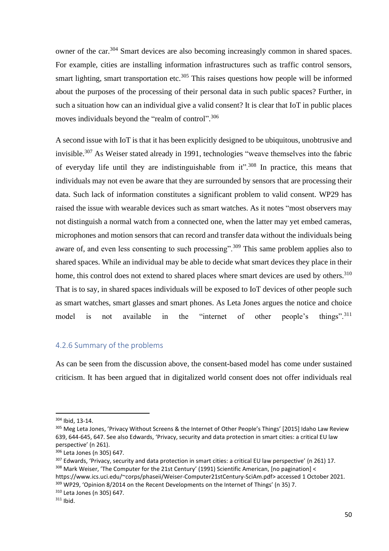owner of the car.<sup>304</sup> Smart devices are also becoming increasingly common in shared spaces. For example, cities are installing information infrastructures such as traffic control sensors, smart lighting, smart transportation etc.<sup>305</sup> This raises questions how people will be informed about the purposes of the processing of their personal data in such public spaces? Further, in such a situation how can an individual give a valid consent? It is clear that IoT in public places moves individuals beyond the "realm of control".<sup>306</sup>

A second issue with IoT is that it has been explicitly designed to be ubiquitous, unobtrusive and invisible.<sup>307</sup> As Weiser stated already in 1991, technologies "weave themselves into the fabric of everyday life until they are indistinguishable from  $it$ <sup>2,308</sup> In practice, this means that individuals may not even be aware that they are surrounded by sensors that are processing their data. Such lack of information constitutes a significant problem to valid consent. WP29 has raised the issue with wearable devices such as smart watches. As it notes "most observers may not distinguish a normal watch from a connected one, when the latter may yet embed cameras, microphones and motion sensors that can record and transfer data without the individuals being aware of, and even less consenting to such processing".<sup>309</sup> This same problem applies also to shared spaces. While an individual may be able to decide what smart devices they place in their home, this control does not extend to shared places where smart devices are used by others.<sup>310</sup> That is to say, in shared spaces individuals will be exposed to IoT devices of other people such as smart watches, smart glasses and smart phones. As Leta Jones argues the notice and choice model is not available in the "internet of other people's things".<sup>311</sup> things".<sup>311</sup>

### 4.2.6 Summary of the problems

As can be seen from the discussion above, the consent-based model has come under sustained criticism. It has been argued that in digitalized world consent does not offer individuals real

<sup>309</sup> WP29, 'Opinion 8/2014 on the Recent Developments on the Internet of Things' (n 35) 7.

<sup>304</sup> Ibid, 13-14.

<sup>305</sup> Meg Leta Jones, 'Privacy Without Screens & the Internet of Other People's Things' [2015] Idaho Law Review 639, 644-645, 647. See also Edwards, 'Privacy, security and data protection in smart cities: a critical EU law perspective' (n 261).

<sup>306</sup> Leta Jones (n 305) 647.

<sup>&</sup>lt;sup>307</sup> Edwards, 'Privacy, security and data protection in smart cities: a critical EU law perspective' (n 261) 17. <sup>308</sup> Mark Weiser, 'The Computer for the 21st Century' (1991) Scientific American, [no pagination] < https://www.ics.uci.edu/~corps/phaseii/Weiser-Computer21stCentury-SciAm.pdf> accessed 1 October 2021.

<sup>310</sup> Leta Jones (n 305) 647.

 $311$  Ibid.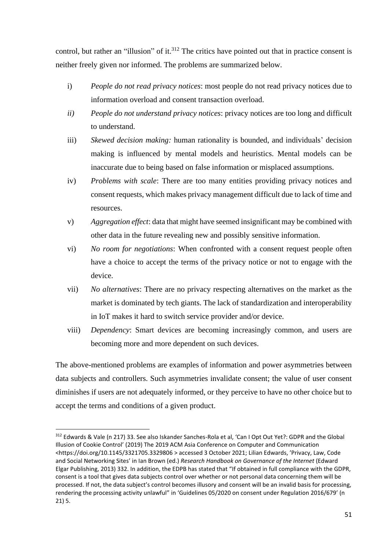control, but rather an "illusion" of it.<sup>312</sup> The critics have pointed out that in practice consent is neither freely given nor informed. The problems are summarized below.

- i) *People do not read privacy notices*: most people do not read privacy notices due to information overload and consent transaction overload.
- *ii) People do not understand privacy notices*: privacy notices are too long and difficult to understand.
- iii) *Skewed decision making:* human rationality is bounded, and individuals' decision making is influenced by mental models and heuristics. Mental models can be inaccurate due to being based on false information or misplaced assumptions.
- iv) *Problems with scale*: There are too many entities providing privacy notices and consent requests, which makes privacy management difficult due to lack of time and resources.
- v) *Aggregation effect*: data that might have seemed insignificant may be combined with other data in the future revealing new and possibly sensitive information.
- vi) *No room for negotiations*: When confronted with a consent request people often have a choice to accept the terms of the privacy notice or not to engage with the device.
- vii) *No alternatives*: There are no privacy respecting alternatives on the market as the market is dominated by tech giants. The lack of standardization and interoperability in IoT makes it hard to switch service provider and/or device.
- viii) *Dependency*: Smart devices are becoming increasingly common, and users are becoming more and more dependent on such devices.

The above-mentioned problems are examples of information and power asymmetries between data subjects and controllers. Such asymmetries invalidate consent; the value of user consent diminishes if users are not adequately informed, or they perceive to have no other choice but to accept the terms and conditions of a given product.

<sup>312</sup> Edwards & Vale (n 217) 33. See also Iskander Sanches-Rola et al, 'Can I Opt Out Yet?: GDPR and the Global Illusion of Cookie Control' (2019) The 2019 ACM Asia Conference on Computer and Communication <https://doi.org/10.1145/3321705.3329806 > accessed 3 October 2021; Lilian Edwards, 'Privacy, Law, Code and Social Networking Sites' in Ian Brown (ed.) *Research Handbook on Governance of the Internet* (Edward Elgar Publishing, 2013) 332. In addition, the EDPB has stated that "If obtained in full compliance with the GDPR, consent is a tool that gives data subjects control over whether or not personal data concerning them will be processed. If not, the data subject's control becomes illusory and consent will be an invalid basis for processing, rendering the processing activity unlawful" in 'Guidelines 05/2020 on consent under Regulation 2016/679' (n 21) 5.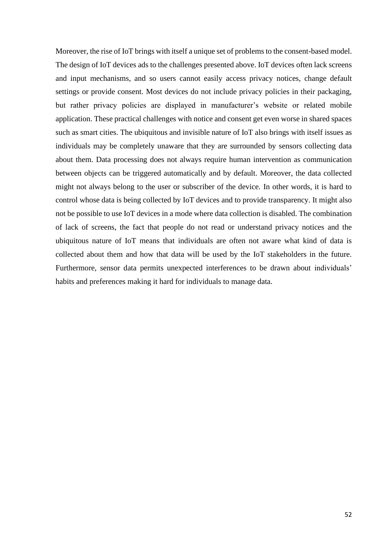Moreover, the rise of IoT brings with itself a unique set of problems to the consent-based model. The design of IoT devices ads to the challenges presented above. IoT devices often lack screens and input mechanisms, and so users cannot easily access privacy notices, change default settings or provide consent. Most devices do not include privacy policies in their packaging, but rather privacy policies are displayed in manufacturer's website or related mobile application. These practical challenges with notice and consent get even worse in shared spaces such as smart cities. The ubiquitous and invisible nature of IoT also brings with itself issues as individuals may be completely unaware that they are surrounded by sensors collecting data about them. Data processing does not always require human intervention as communication between objects can be triggered automatically and by default. Moreover, the data collected might not always belong to the user or subscriber of the device. In other words, it is hard to control whose data is being collected by IoT devices and to provide transparency. It might also not be possible to use IoT devices in a mode where data collection is disabled. The combination of lack of screens, the fact that people do not read or understand privacy notices and the ubiquitous nature of IoT means that individuals are often not aware what kind of data is collected about them and how that data will be used by the IoT stakeholders in the future. Furthermore, sensor data permits unexpected interferences to be drawn about individuals' habits and preferences making it hard for individuals to manage data.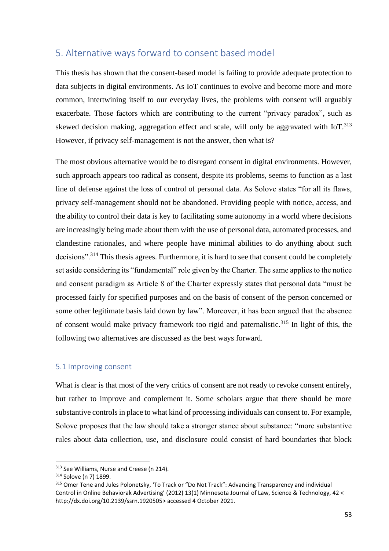# 5. Alternative ways forward to consent based model

This thesis has shown that the consent-based model is failing to provide adequate protection to data subjects in digital environments. As IoT continues to evolve and become more and more common, intertwining itself to our everyday lives, the problems with consent will arguably exacerbate. Those factors which are contributing to the current "privacy paradox", such as skewed decision making, aggregation effect and scale, will only be aggravated with IoT.<sup>313</sup> However, if privacy self-management is not the answer, then what is?

The most obvious alternative would be to disregard consent in digital environments. However, such approach appears too radical as consent, despite its problems, seems to function as a last line of defense against the loss of control of personal data. As Solove states "for all its flaws, privacy self-management should not be abandoned. Providing people with notice, access, and the ability to control their data is key to facilitating some autonomy in a world where decisions are increasingly being made about them with the use of personal data, automated processes, and clandestine rationales, and where people have minimal abilities to do anything about such decisions".<sup>314</sup> This thesis agrees. Furthermore, it is hard to see that consent could be completely set aside considering its "fundamental" role given by the Charter. The same applies to the notice and consent paradigm as Article 8 of the Charter expressly states that personal data "must be processed fairly for specified purposes and on the basis of consent of the person concerned or some other legitimate basis laid down by law". Moreover, it has been argued that the absence of consent would make privacy framework too rigid and paternalistic.<sup>315</sup> In light of this, the following two alternatives are discussed as the best ways forward.

### 5.1 Improving consent

What is clear is that most of the very critics of consent are not ready to revoke consent entirely, but rather to improve and complement it. Some scholars argue that there should be more substantive controls in place to what kind of processing individuals can consent to. For example, Solove proposes that the law should take a stronger stance about substance: "more substantive rules about data collection, use, and disclosure could consist of hard boundaries that block

<sup>&</sup>lt;sup>313</sup> See Williams, Nurse and Creese (n 214).

<sup>314</sup> Solove (n 7) 1899.

<sup>315</sup> Omer Tene and Jules Polonetsky, 'To Track or "Do Not Track": Advancing Transparency and individual Control in Online Behaviorak Advertising' (2012) 13(1) Minnesota Journal of Law, Science & Technology, 42 < http://dx.doi.org/10.2139/ssrn.1920505> accessed 4 October 2021.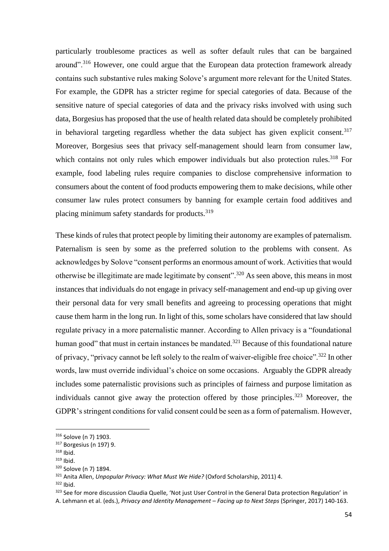particularly troublesome practices as well as softer default rules that can be bargained around".<sup>316</sup> However, one could argue that the European data protection framework already contains such substantive rules making Solove's argument more relevant for the United States. For example, the GDPR has a stricter regime for special categories of data. Because of the sensitive nature of special categories of data and the privacy risks involved with using such data, Borgesius has proposed that the use of health related data should be completely prohibited in behavioral targeting regardless whether the data subject has given explicit consent.<sup>317</sup> Moreover, Borgesius sees that privacy self-management should learn from consumer law, which contains not only rules which empower individuals but also protection rules.<sup>318</sup> For example, food labeling rules require companies to disclose comprehensive information to consumers about the content of food products empowering them to make decisions, while other consumer law rules protect consumers by banning for example certain food additives and placing minimum safety standards for products.<sup>319</sup>

These kinds of rules that protect people by limiting their autonomy are examples of paternalism. Paternalism is seen by some as the preferred solution to the problems with consent. As acknowledges by Solove "consent performs an enormous amount of work. Activities that would otherwise be illegitimate are made legitimate by consent".<sup>320</sup> As seen above, this means in most instances that individuals do not engage in privacy self-management and end-up up giving over their personal data for very small benefits and agreeing to processing operations that might cause them harm in the long run. In light of this, some scholars have considered that law should regulate privacy in a more paternalistic manner. According to Allen privacy is a "foundational human good" that must in certain instances be mandated.<sup>321</sup> Because of this foundational nature of privacy, "privacy cannot be left solely to the realm of waiver-eligible free choice".<sup>322</sup> In other words, law must override individual's choice on some occasions. Arguably the GDPR already includes some paternalistic provisions such as principles of fairness and purpose limitation as individuals cannot give away the protection offered by those principles.<sup>323</sup> Moreover, the GDPR's stringent conditions for valid consent could be seen as a form of paternalism. However,

<sup>316</sup> Solove (n 7) 1903.

<sup>317</sup> Borgesius (n 197) 9.

 $318$  Ibid.

<sup>319</sup> Ibid.

<sup>320</sup> Solove (n 7) 1894.

<sup>321</sup> Anita Allen, *Unpopular Privacy: What Must We Hide?* (Oxford Scholarship, 2011) 4.

 $322$  Ibid.

<sup>323</sup> See for more discussion Claudia Quelle, 'Not just User Control in the General Data protection Regulation' in

A. Lehmann et al. (eds.), *Privacy and Identity Management – Facing up to Next Steps* (Springer, 2017) 140-163.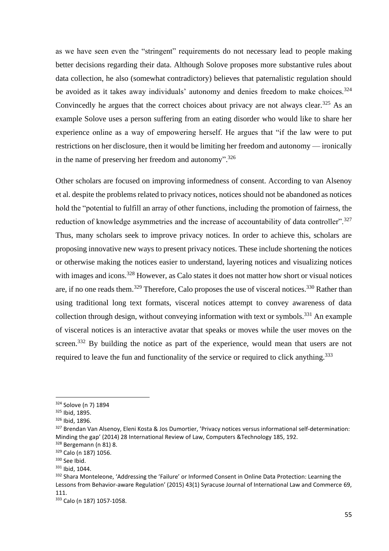as we have seen even the "stringent" requirements do not necessary lead to people making better decisions regarding their data. Although Solove proposes more substantive rules about data collection, he also (somewhat contradictory) believes that paternalistic regulation should be avoided as it takes away individuals' autonomy and denies freedom to make choices.<sup>324</sup> Convincedly he argues that the correct choices about privacy are not always clear.<sup>325</sup> As an example Solove uses a person suffering from an eating disorder who would like to share her experience online as a way of empowering herself. He argues that "if the law were to put restrictions on her disclosure, then it would be limiting her freedom and autonomy — ironically in the name of preserving her freedom and autonomy".<sup>326</sup>

Other scholars are focused on improving informedness of consent. According to van Alsenoy et al. despite the problems related to privacy notices, notices should not be abandoned as notices hold the "potential to fulfill an array of other functions, including the promotion of fairness, the reduction of knowledge asymmetries and the increase of accountability of data controller".<sup>327</sup> Thus, many scholars seek to improve privacy notices. In order to achieve this, scholars are proposing innovative new ways to present privacy notices. These include shortening the notices or otherwise making the notices easier to understand, layering notices and visualizing notices with images and icons.<sup>328</sup> However, as Calo states it does not matter how short or visual notices are, if no one reads them.<sup>329</sup> Therefore, Calo proposes the use of visceral notices.<sup>330</sup> Rather than using traditional long text formats, visceral notices attempt to convey awareness of data collection through design, without conveying information with text or symbols.<sup>331</sup> An example of visceral notices is an interactive avatar that speaks or moves while the user moves on the screen.<sup>332</sup> By building the notice as part of the experience, would mean that users are not required to leave the fun and functionality of the service or required to click anything.<sup>333</sup>

<sup>324</sup> Solove (n 7) 1894

<sup>325</sup> Ibid, 1895.

<sup>326</sup> Ibid, 1896.

<sup>327</sup> Brendan Van Alsenoy, Eleni Kosta & Jos Dumortier, 'Privacy notices versus informational self-determination: Minding the gap' (2014) 28 International Review of Law, Computers &Technology 185, 192.

<sup>328</sup> Bergemann (n 81) 8.

<sup>329</sup> Calo (n 187) 1056.

<sup>330</sup> See Ibid.

<sup>331</sup> Ibid, 1044.

<sup>&</sup>lt;sup>332</sup> Shara Monteleone, 'Addressing the 'Failure' or Informed Consent in Online Data Protection: Learning the Lessons from Behavior-aware Regulation' (2015) 43(1) Syracuse Journal of International Law and Commerce 69, 111.

<sup>333</sup> Calo (n 187) 1057-1058.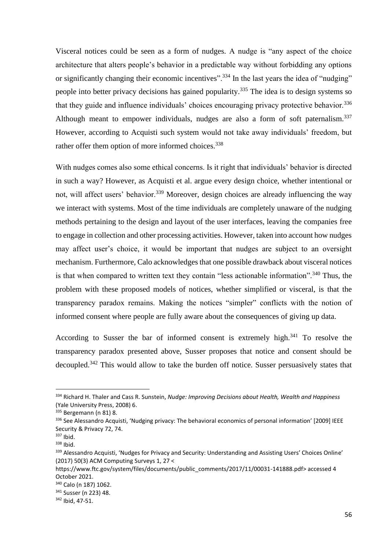Visceral notices could be seen as a form of nudges. A nudge is "any aspect of the choice architecture that alters people's behavior in a predictable way without forbidding any options or significantly changing their economic incentives".<sup>334</sup> In the last years the idea of "nudging" people into better privacy decisions has gained popularity.<sup>335</sup> The idea is to design systems so that they guide and influence individuals' choices encouraging privacy protective behavior.<sup>336</sup> Although meant to empower individuals, nudges are also a form of soft paternalism.<sup>337</sup> However, according to Acquisti such system would not take away individuals' freedom, but rather offer them option of more informed choices.<sup>338</sup>

With nudges comes also some ethical concerns. Is it right that individuals' behavior is directed in such a way? However, as Acquisti et al. argue every design choice, whether intentional or not, will affect users' behavior.<sup>339</sup> Moreover, design choices are already influencing the way we interact with systems. Most of the time individuals are completely unaware of the nudging methods pertaining to the design and layout of the user interfaces, leaving the companies free to engage in collection and other processing activities. However, taken into account how nudges may affect user's choice, it would be important that nudges are subject to an oversight mechanism. Furthermore, Calo acknowledges that one possible drawback about visceral notices is that when compared to written text they contain "less actionable information".<sup>340</sup> Thus, the problem with these proposed models of notices, whether simplified or visceral, is that the transparency paradox remains. Making the notices "simpler" conflicts with the notion of informed consent where people are fully aware about the consequences of giving up data.

According to Susser the bar of informed consent is extremely high.<sup>341</sup> To resolve the transparency paradox presented above, Susser proposes that notice and consent should be decoupled.<sup>342</sup> This would allow to take the burden off notice. Susser persuasively states that

<sup>334</sup> Richard H. Thaler and Cass R. Sunstein, *Nudge: Improving Decisions about Health, Wealth and Happiness*  (Yale University Press, 2008) 6.

<sup>335</sup> Bergemann (n 81) 8.

<sup>&</sup>lt;sup>336</sup> See Alessandro Acquisti, 'Nudging privacy: The behavioral economics of personal information' [2009] IEEE Security & Privacy 72, 74.

 $337$  Ibid.

<sup>338</sup> Ibid.

<sup>339</sup> Alessandro Acquisti, 'Nudges for Privacy and Security: Understanding and Assisting Users' Choices Online' (2017) 50(3) ACM Computing Surveys 1, 27 <

https://www.ftc.gov/system/files/documents/public\_comments/2017/11/00031-141888.pdf> accessed 4 October 2021.

<sup>340</sup> Calo (n 187) 1062.

<sup>341</sup> Susser (n 223) 48.

<sup>342</sup> Ibid, 47-51.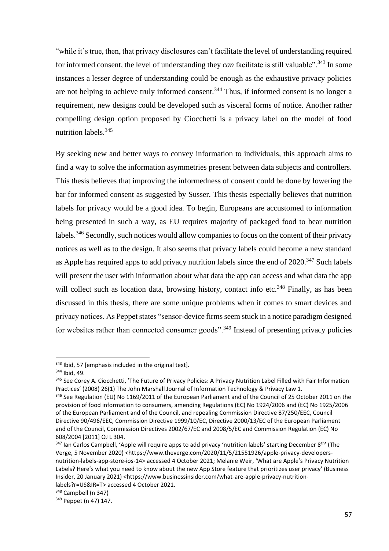"while it's true, then, that privacy disclosures can't facilitate the level of understanding required for informed consent, the level of understanding they *can* facilitate is still valuable".<sup>343</sup> In some instances a lesser degree of understanding could be enough as the exhaustive privacy policies are not helping to achieve truly informed consent.<sup>344</sup> Thus, if informed consent is no longer a requirement, new designs could be developed such as visceral forms of notice. Another rather compelling design option proposed by Ciocchetti is a privacy label on the model of food nutrition labels.<sup>345</sup>

By seeking new and better ways to convey information to individuals, this approach aims to find a way to solve the information asymmetries present between data subjects and controllers. This thesis believes that improving the informedness of consent could be done by lowering the bar for informed consent as suggested by Susser. This thesis especially believes that nutrition labels for privacy would be a good idea. To begin, Europeans are accustomed to information being presented in such a way, as EU requires majority of packaged food to bear nutrition labels.<sup>346</sup> Secondly, such notices would allow companies to focus on the content of their privacy notices as well as to the design. It also seems that privacy labels could become a new standard as Apple has required apps to add privacy nutrition labels since the end of 2020.<sup>347</sup> Such labels will present the user with information about what data the app can access and what data the app will collect such as location data, browsing history, contact info etc.<sup>348</sup> Finally, as has been discussed in this thesis, there are some unique problems when it comes to smart devices and privacy notices. As Peppet states "sensor-device firms seem stuck in a notice paradigm designed for websites rather than connected consumer goods".<sup>349</sup> Instead of presenting privacy policies

<sup>343</sup> Ibid, 57 [emphasis included in the original text].

<sup>344</sup> Ibid, 49.

<sup>&</sup>lt;sup>345</sup> See Corey A. Ciocchetti, 'The Future of Privacy Policies: A Privacy Nutrition Label Filled with Fair Information Practices' (2008) 26(1) The John Marshall Journal of Information Technology & Privacy Law 1.

<sup>346</sup> See Regulation (EU) No 1169/2011 of the European Parliament and of the Council of 25 October 2011 on the provision of food information to consumers, amending Regulations (EC) No 1924/2006 and (EC) No 1925/2006 of the European Parliament and of the Council, and repealing Commission Directive 87/250/EEC, Council Directive 90/496/EEC, Commission Directive 1999/10/EC, Directive 2000/13/EC of the European Parliament and of the Council, Commission Directives 2002/67/EC and 2008/5/EC and Commission Regulation (EC) No 608/2004 [2011] OJ L 304.

<sup>&</sup>lt;sup>347</sup> Ian Carlos Campbell, 'Apple will require apps to add privacy 'nutrition labels' starting December 8<sup>th</sup>' (The Verge, 5 November 2020) <https://www.theverge.com/2020/11/5/21551926/apple-privacy-developersnutrition-labels-app-store-ios-14> accessed 4 October 2021; Melanie Weir, 'What are Apple's Privacy Nutrition Labels? Here's what you need to know about the new App Store feature that prioritizes user privacy' (Business Insider, 20 January 2021) <https://www.businessinsider.com/what-are-apple-privacy-nutritionlabels?r=US&IR=T> accessed 4 October 2021.

<sup>348</sup> Campbell (n 347)

<sup>349</sup> Peppet (n 47) 147.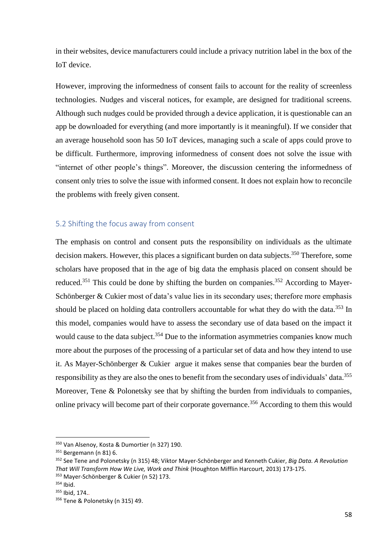in their websites, device manufacturers could include a privacy nutrition label in the box of the IoT device.

However, improving the informedness of consent fails to account for the reality of screenless technologies. Nudges and visceral notices, for example, are designed for traditional screens. Although such nudges could be provided through a device application, it is questionable can an app be downloaded for everything (and more importantly is it meaningful). If we consider that an average household soon has 50 IoT devices, managing such a scale of apps could prove to be difficult. Furthermore, improving informedness of consent does not solve the issue with "internet of other people's things". Moreover, the discussion centering the informedness of consent only tries to solve the issue with informed consent. It does not explain how to reconcile the problems with freely given consent.

### 5.2 Shifting the focus away from consent

The emphasis on control and consent puts the responsibility on individuals as the ultimate decision makers. However, this places a significant burden on data subjects.<sup>350</sup> Therefore, some scholars have proposed that in the age of big data the emphasis placed on consent should be reduced.<sup>351</sup> This could be done by shifting the burden on companies.<sup>352</sup> According to Mayer-Schönberger & Cukier most of data's value lies in its secondary uses; therefore more emphasis should be placed on holding data controllers accountable for what they do with the data.<sup>353</sup> In this model, companies would have to assess the secondary use of data based on the impact it would cause to the data subject.<sup>354</sup> Due to the information asymmetries companies know much more about the purposes of the processing of a particular set of data and how they intend to use it. As Mayer-Schönberger & Cukier argue it makes sense that companies bear the burden of responsibility as they are also the ones to benefit from the secondary uses of individuals' data.<sup>355</sup> Moreover, Tene & Polonetsky see that by shifting the burden from individuals to companies, online privacy will become part of their corporate governance.<sup>356</sup> According to them this would

<sup>350</sup> Van Alsenoy, Kosta & Dumortier (n 327) 190.

<sup>351</sup> Bergemann (n 81) 6.

<sup>352</sup> See Tene and Polonetsky (n 315) 48; Viktor Mayer-Schönberger and Kenneth Cukier, *Big Data. A Revolution That Will Transform How We Live, Work and Think* (Houghton Mifflin Harcourt, 2013) 173-175. <sup>353</sup> Mayer-Schönberger & Cukier (n 52) 173.

<sup>354</sup> Ibid.

<sup>355</sup> Ibid, 174..

<sup>356</sup> Tene & Polonetsky (n 315) 49.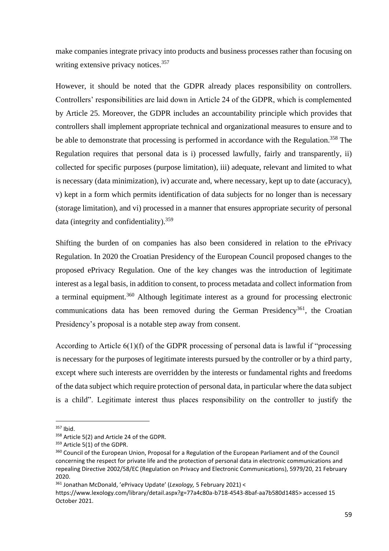make companies integrate privacy into products and business processes rather than focusing on writing extensive privacy notices.<sup>357</sup>

However, it should be noted that the GDPR already places responsibility on controllers. Controllers' responsibilities are laid down in Article 24 of the GDPR, which is complemented by Article 25. Moreover, the GDPR includes an accountability principle which provides that controllers shall implement appropriate technical and organizational measures to ensure and to be able to demonstrate that processing is performed in accordance with the Regulation.<sup>358</sup> The Regulation requires that personal data is i) processed lawfully, fairly and transparently, ii) collected for specific purposes (purpose limitation), iii) adequate, relevant and limited to what is necessary (data minimization), iv) accurate and, where necessary, kept up to date (accuracy), v) kept in a form which permits identification of data subjects for no longer than is necessary (storage limitation), and vi) processed in a manner that ensures appropriate security of personal data (integrity and confidentiality).<sup>359</sup>

Shifting the burden of on companies has also been considered in relation to the ePrivacy Regulation. In 2020 the Croatian Presidency of the European Council proposed changes to the proposed ePrivacy Regulation. One of the key changes was the introduction of legitimate interest as a legal basis, in addition to consent, to process metadata and collect information from a terminal equipment.<sup>360</sup> Although legitimate interest as a ground for processing electronic communications data has been removed during the German Presidency<sup>361</sup>, the Croatian Presidency's proposal is a notable step away from consent.

According to Article 6(1)(f) of the GDPR processing of personal data is lawful if "processing is necessary for the purposes of legitimate interests pursued by the controller or by a third party, except where such interests are overridden by the interests or fundamental rights and freedoms of the data subject which require protection of personal data, in particular where the data subject is a child". Legitimate interest thus places responsibility on the controller to justify the

 $357$  Ihid.

<sup>358</sup> Article 5(2) and Article 24 of the GDPR.

<sup>359</sup> Article 5(1) of the GDPR.

<sup>&</sup>lt;sup>360</sup> Council of the European Union, Proposal for a Regulation of the European Parliament and of the Council concerning the respect for private life and the protection of personal data in electronic communications and repealing Directive 2002/58/EC (Regulation on Privacy and Electronic Communications), 5979/20, 21 February 2020.

<sup>361</sup> Jonathan McDonald, 'ePrivacy Update' (*Lexology,* 5 February 2021) <

https://www.lexology.com/library/detail.aspx?g=77a4c80a-b718-4543-8baf-aa7b580d1485> accessed 15 October 2021.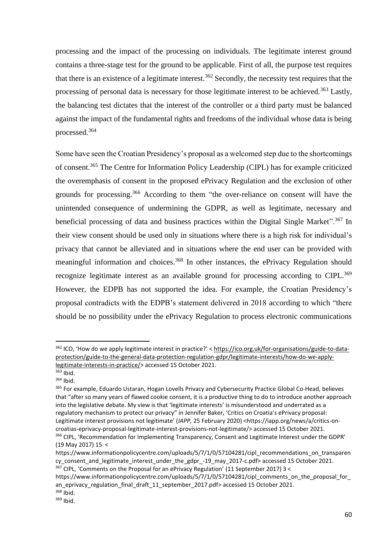processing and the impact of the processing on individuals. The legitimate interest ground contains a three-stage test for the ground to be applicable. First of all, the purpose test requires that there is an existence of a legitimate interest.<sup>362</sup> Secondly, the necessity test requires that the processing of personal data is necessary for those legitimate interest to be achieved.<sup>363</sup> Lastly, the balancing test dictates that the interest of the controller or a third party must be balanced against the impact of the fundamental rights and freedoms of the individual whose data is being processed.<sup>364</sup>

Some have seen the Croatian Presidency's proposal as a welcomed step due to the shortcomings of consent.<sup>365</sup> The Centre for Information Policy Leadership (CIPL) has for example criticized the overemphasis of consent in the proposed ePrivacy Regulation and the exclusion of other grounds for processing.<sup>366</sup> According to them "the over-reliance on consent will have the unintended consequence of undermining the GDPR, as well as legitimate, necessary and beneficial processing of data and business practices within the Digital Single Market".<sup>367</sup> In their view consent should be used only in situations where there is a high risk for individual's privacy that cannot be alleviated and in situations where the end user can be provided with meaningful information and choices.<sup>368</sup> In other instances, the ePrivacy Regulation should recognize legitimate interest as an available ground for processing according to CIPL.<sup>369</sup> However, the EDPB has not supported the idea. For example, the Croatian Presidency's proposal contradicts with the EDPB's statement delivered in 2018 according to which "there should be no possibility under the ePrivacy Regulation to process electronic communications

<sup>362</sup> ICO, 'How do we apply legitimate interest in practice?' [< https://ico.org.uk/for-organisations/guide-to-data](https://ico.org.uk/for-organisations/guide-to-data-protection/guide-to-the-general-data-protection-regulation-gdpr/legitimate-interests/how-do-we-apply-legitimate-interests-in-practice/)[protection/guide-to-the-general-data-protection-regulation-gdpr/legitimate-interests/how-do-we-apply](https://ico.org.uk/for-organisations/guide-to-data-protection/guide-to-the-general-data-protection-regulation-gdpr/legitimate-interests/how-do-we-apply-legitimate-interests-in-practice/)[legitimate-interests-in-practice/>](https://ico.org.uk/for-organisations/guide-to-data-protection/guide-to-the-general-data-protection-regulation-gdpr/legitimate-interests/how-do-we-apply-legitimate-interests-in-practice/) accessed 15 October 2021.

<sup>363</sup> Ibid.  $364$  Ibid.

<sup>365</sup> For example, Eduardo Ustaran, Hogan Lovells Privacy and Cybersecurity Practice Global Co-Head, believes that "after so many years of flawed cookie consent, it is a productive thing to do to introduce another approach into the legislative debate. My view is that 'legitimate interests' is misunderstood and underrated as a regulatory mechanism to protect our privacy" in Jennifer Baker, 'Critics on Croatia's ePrivacy proposal: Legitimate interest provisions not legitimate' (*IAPP,* 25 February 2020) <https://iapp.org/news/a/critics-oncroatias-eprivacy-proposal-legitimate-interest-provisions-not-legitimate/> accessed 15 October 2021. 366 CIPL, 'Recommendation for Implementing Transparency, Consent and Legitimate Interest under the GDPR' (19 May 2017) 15 <

https://www.informationpolicycentre.com/uploads/5/7/1/0/57104281/cipl\_recommendations\_on\_transparen cy\_consent\_and\_legitimate\_interest\_under\_the\_gdpr\_-19\_may\_2017-c.pdf> accessed 15 October 2021.  $367$  CIPL, 'Comments on the Proposal for an ePrivacy Regulation' (11 September 2017) 3 <

https://www.informationpolicycentre.com/uploads/5/7/1/0/57104281/cipl\_comments\_on\_the\_proposal\_for an eprivacy regulation final draft 11 september 2017.pdf> accessed 15 October 2021.

<sup>368</sup> Ibid.

<sup>369</sup> Ibid.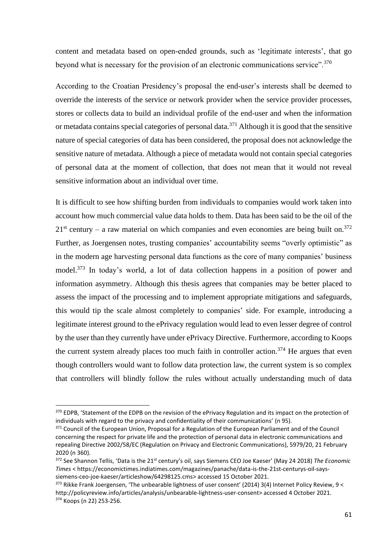content and metadata based on open-ended grounds, such as 'legitimate interests', that go beyond what is necessary for the provision of an electronic communications service".<sup>370</sup>

According to the Croatian Presidency's proposal the end-user's interests shall be deemed to override the interests of the service or network provider when the service provider processes, stores or collects data to build an individual profile of the end-user and when the information or metadata contains special categories of personal data.<sup>371</sup> Although it is good that the sensitive nature of special categories of data has been considered, the proposal does not acknowledge the sensitive nature of metadata. Although a piece of metadata would not contain special categories of personal data at the moment of collection, that does not mean that it would not reveal sensitive information about an individual over time.

It is difficult to see how shifting burden from individuals to companies would work taken into account how much commercial value data holds to them. Data has been said to be the oil of the  $21<sup>st</sup>$  century – a raw material on which companies and even economies are being built on.<sup>372</sup> Further, as Joergensen notes, trusting companies' accountability seems "overly optimistic" as in the modern age harvesting personal data functions as the core of many companies' business model.<sup>373</sup> In today's world, a lot of data collection happens in a position of power and information asymmetry. Although this thesis agrees that companies may be better placed to assess the impact of the processing and to implement appropriate mitigations and safeguards, this would tip the scale almost completely to companies' side. For example, introducing a legitimate interest ground to the ePrivacy regulation would lead to even lesser degree of control by the user than they currently have under ePrivacy Directive. Furthermore, according to Koops the current system already places too much faith in controller action.<sup>374</sup> He argues that even though controllers would want to follow data protection law, the current system is so complex that controllers will blindly follow the rules without actually understanding much of data

<sup>&</sup>lt;sup>370</sup> EDPB, 'Statement of the EDPB on the revision of the ePrivacy Regulation and its impact on the protection of individuals with regard to the privacy and confidentiality of their communications' (n 95).

<sup>371</sup> Council of the European Union, Proposal for a Regulation of the European Parliament and of the Council concerning the respect for private life and the protection of personal data in electronic communications and repealing Directive 2002/58/EC (Regulation on Privacy and Electronic Communications), 5979/20, 21 February 2020 (n 360).

<sup>&</sup>lt;sup>372</sup> See Shannon Tellis, 'Data is the 21<sup>st</sup> century's oil, says Siemens CEO Joe Kaeser' (May 24 2018) The Economic *Times* < https://economictimes.indiatimes.com/magazines/panache/data-is-the-21st-centurys-oil-sayssiemens-ceo-joe-kaeser/articleshow/64298125.cms> accessed 15 October 2021.

<sup>373</sup> Rikke Frank Joergensen, 'The unbearable lightness of user consent' (2014) 3(4) Internet Policy Review, 9 < [http://policyreview.info/articles/analysis/unbearable-lightness-user-consent>](http://policyreview.info/articles/analysis/unbearable-lightness-user-consent) accessed 4 October 2021. <sup>374</sup> Koops (n 22) 253-256.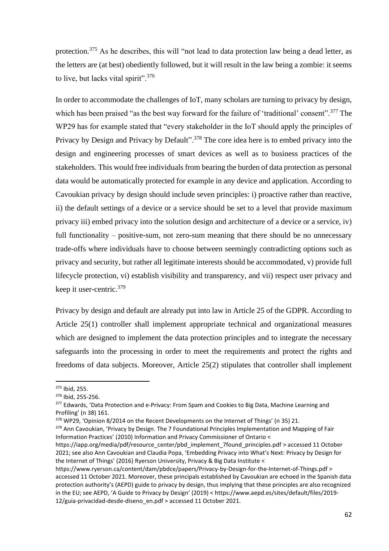protection.<sup>375</sup> As he describes, this will "not lead to data protection law being a dead letter, as the letters are (at best) obediently followed, but it will result in the law being a zombie: it seems to live, but lacks vital spirit".<sup>376</sup>

In order to accommodate the challenges of IoT, many scholars are turning to privacy by design, which has been praised "as the best way forward for the failure of 'traditional' consent".<sup>377</sup> The WP29 has for example stated that "every stakeholder in the IoT should apply the principles of Privacy by Design and Privacy by Default".<sup>378</sup> The core idea here is to embed privacy into the design and engineering processes of smart devices as well as to business practices of the stakeholders. This would free individuals from bearing the burden of data protection as personal data would be automatically protected for example in any device and application. According to Cavoukian privacy by design should include seven principles: i) proactive rather than reactive, ii) the default settings of a device or a service should be set to a level that provide maximum privacy iii) embed privacy into the solution design and architecture of a device or a service, iv) full functionality – positive-sum, not zero-sum meaning that there should be no unnecessary trade-offs where individuals have to choose between seemingly contradicting options such as privacy and security, but rather all legitimate interests should be accommodated, v) provide full lifecycle protection, vi) establish visibility and transparency, and vii) respect user privacy and keep it user-centric.<sup>379</sup>

Privacy by design and default are already put into law in Article 25 of the GDPR. According to Article 25(1) controller shall implement appropriate technical and organizational measures which are designed to implement the data protection principles and to integrate the necessary safeguards into the processing in order to meet the requirements and protect the rights and freedoms of data subjects. Moreover, Article 25(2) stipulates that controller shall implement

<sup>375</sup> Ibid, 255.

<sup>376</sup> Ibid, 255-256.

<sup>&</sup>lt;sup>377</sup> Edwards, 'Data Protection and e-Privacy: From Spam and Cookies to Big Data, Machine Learning and Profiling' (n 38) 161.

<sup>378</sup> WP29, 'Opinion 8/2014 on the Recent Developments on the Internet of Things' (n 35) 21.

<sup>379</sup> Ann Cavoukian, 'Privacy by Design. The 7 Foundational Principles Implementation and Mapping of Fair Information Practices' (2010) Information and Privacy Commissioner of Ontario <

https://iapp.org/media/pdf/resource\_center/pbd\_implement\_7found\_principles.pdf > accessed 11 October 2021; see also Ann Cavoukian and Claudia Popa, 'Embedding Privacy into What's Next: Privacy by Design for the Internet of Things' (2016) Ryerson University, Privacy & Big Data Institute <

https://www.ryerson.ca/content/dam/pbdce/papers/Privacy-by-Design-for-the-Internet-of-Things.pdf > accessed 11 October 2021. Moreover, these principals established by Cavoukian are echoed in the Spanish data protection authority's (AEPD) guide to privacy by design, thus implying that these principles are also recognized in the EU; see AEPD, 'A Guide to Privacy by Design' (2019) < https://www.aepd.es/sites/default/files/2019- 12/guia-privacidad-desde-diseno\_en.pdf > accessed 11 October 2021.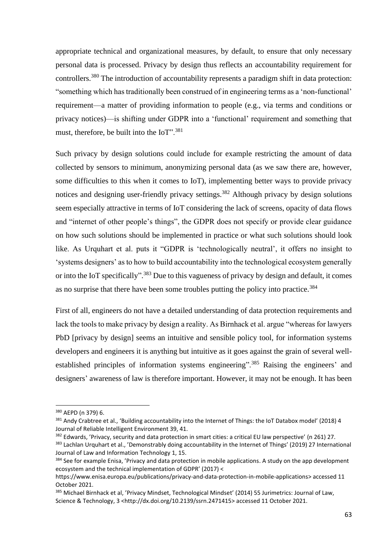appropriate technical and organizational measures, by default, to ensure that only necessary personal data is processed. Privacy by design thus reflects an accountability requirement for controllers.<sup>380</sup> The introduction of accountability represents a paradigm shift in data protection: "something which has traditionally been construed of in engineering terms as a 'non-functional' requirement—a matter of providing information to people (e.g., via terms and conditions or privacy notices)—is shifting under GDPR into a 'functional' requirement and something that must, therefore, be built into the IoT".<sup>381</sup>

Such privacy by design solutions could include for example restricting the amount of data collected by sensors to minimum, anonymizing personal data (as we saw there are, however, some difficulties to this when it comes to IoT), implementing better ways to provide privacy notices and designing user-friendly privacy settings.<sup>382</sup> Although privacy by design solutions seem especially attractive in terms of IoT considering the lack of screens, opacity of data flows and "internet of other people's things", the GDPR does not specify or provide clear guidance on how such solutions should be implemented in practice or what such solutions should look like. As Urquhart et al. puts it "GDPR is 'technologically neutral', it offers no insight to 'systems designers' as to how to build accountability into the technological ecosystem generally or into the IoT specifically".<sup>383</sup> Due to this vagueness of privacy by design and default, it comes as no surprise that there have been some troubles putting the policy into practice.<sup>384</sup>

First of all, engineers do not have a detailed understanding of data protection requirements and lack the tools to make privacy by design a reality. As Birnhack et al. argue "whereas for lawyers PbD [privacy by design] seems an intuitive and sensible policy tool, for information systems developers and engineers it is anything but intuitive as it goes against the grain of several wellestablished principles of information systems engineering".<sup>385</sup> Raising the engineers' and designers' awareness of law is therefore important. However, it may not be enough. It has been

<sup>380</sup> AEPD (n 379) 6.

<sup>381</sup> Andy Crabtree et al., 'Building accountability into the Internet of Things: the IoT Databox model' (2018) 4 Journal of Reliable Intelligent Environment 39, 41.

<sup>382</sup> Edwards, 'Privacy, security and data protection in smart cities: a critical EU law perspective' (n 261) 27.

<sup>&</sup>lt;sup>383</sup> Lachlan Urquhart et al., 'Demonstrably doing accountability in the Internet of Things' (2019) 27 International Journal of Law and Information Technology 1, 15.

<sup>384</sup> See for example Enisa, 'Privacy and data protection in mobile applications. A study on the app development ecosystem and the technical implementation of GDPR' (2017) <

https://www.enisa.europa.eu/publications/privacy-and-data-protection-in-mobile-applications> accessed 11 October 2021.

<sup>385</sup> Michael Birnhack et al, 'Privacy Mindset, Technological Mindset' (2014) 55 Jurimetrics: Journal of Law, Science & Technology, 3 [<http://dx.doi.org/10.2139/ssrn.2471415>](https://dx.doi.org/10.2139/ssrn.2471415) accessed 11 October 2021.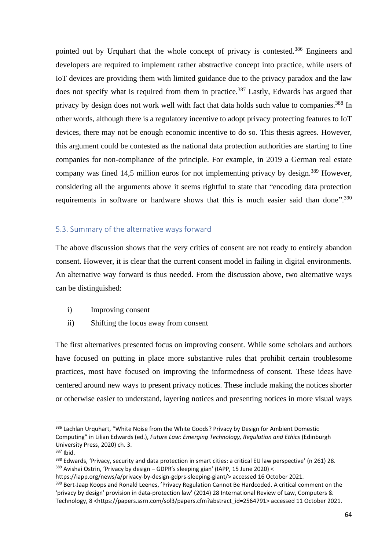pointed out by Urquhart that the whole concept of privacy is contested.<sup>386</sup> Engineers and developers are required to implement rather abstractive concept into practice, while users of IoT devices are providing them with limited guidance due to the privacy paradox and the law does not specify what is required from them in practice.<sup>387</sup> Lastly, Edwards has argued that privacy by design does not work well with fact that data holds such value to companies.<sup>388</sup> In other words, although there is a regulatory incentive to adopt privacy protecting features to IoT devices, there may not be enough economic incentive to do so. This thesis agrees. However, this argument could be contested as the national data protection authorities are starting to fine companies for non-compliance of the principle. For example, in 2019 a German real estate company was fined 14,5 million euros for not implementing privacy by design.<sup>389</sup> However, considering all the arguments above it seems rightful to state that "encoding data protection requirements in software or hardware shows that this is much easier said than done".<sup>390</sup>

### 5.3. Summary of the alternative ways forward

The above discussion shows that the very critics of consent are not ready to entirely abandon consent. However, it is clear that the current consent model in failing in digital environments. An alternative way forward is thus needed. From the discussion above, two alternative ways can be distinguished:

- i) Improving consent
- ii) Shifting the focus away from consent

The first alternatives presented focus on improving consent. While some scholars and authors have focused on putting in place more substantive rules that prohibit certain troublesome practices, most have focused on improving the informedness of consent. These ideas have centered around new ways to present privacy notices. These include making the notices shorter or otherwise easier to understand, layering notices and presenting notices in more visual ways

<sup>386</sup> Lachlan Urquhart, "White Noise from the White Goods? Privacy by Design for Ambient Domestic Computing" in Lilian Edwards (ed.), *Future Law: Emerging Technology, Regulation and Ethics* (Edinburgh University Press, 2020) ch. 3.

<sup>387</sup> Ibid.

<sup>388</sup> Edwards, 'Privacy, security and data protection in smart cities: a critical EU law perspective' (n 261) 28. 389 Avishai Ostrin, 'Privacy by design - GDPR's sleeping gian' (IAPP, 15 June 2020) <

https://iapp.org/news/a/privacy-by-design-gdprs-sleeping-giant/> accessed 16 October 2021.

<sup>390</sup> Bert-Jaap Koops and Ronald Leenes, 'Privacy Regulation Cannot Be Hardcoded. A critical comment on the 'privacy by design' provision in data-protection law' (2014) 28 International Review of Law, Computers & Technology, 8 <https://papers.ssrn.com/sol3/papers.cfm?abstract\_id=2564791> accessed 11 October 2021.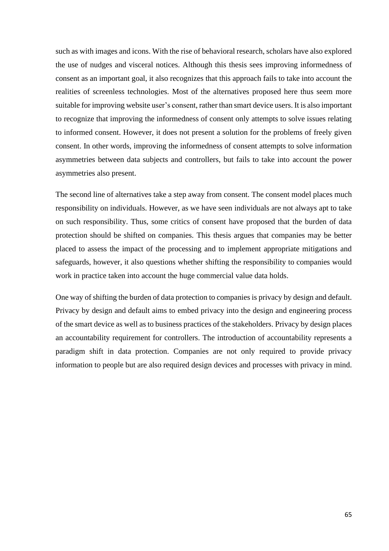such as with images and icons. With the rise of behavioral research, scholars have also explored the use of nudges and visceral notices. Although this thesis sees improving informedness of consent as an important goal, it also recognizes that this approach fails to take into account the realities of screenless technologies. Most of the alternatives proposed here thus seem more suitable for improving website user's consent, rather than smart device users. It is also important to recognize that improving the informedness of consent only attempts to solve issues relating to informed consent. However, it does not present a solution for the problems of freely given consent. In other words, improving the informedness of consent attempts to solve information asymmetries between data subjects and controllers, but fails to take into account the power asymmetries also present.

The second line of alternatives take a step away from consent. The consent model places much responsibility on individuals. However, as we have seen individuals are not always apt to take on such responsibility. Thus, some critics of consent have proposed that the burden of data protection should be shifted on companies. This thesis argues that companies may be better placed to assess the impact of the processing and to implement appropriate mitigations and safeguards, however, it also questions whether shifting the responsibility to companies would work in practice taken into account the huge commercial value data holds.

One way of shifting the burden of data protection to companies is privacy by design and default. Privacy by design and default aims to embed privacy into the design and engineering process of the smart device as well as to business practices of the stakeholders. Privacy by design places an accountability requirement for controllers. The introduction of accountability represents a paradigm shift in data protection. Companies are not only required to provide privacy information to people but are also required design devices and processes with privacy in mind.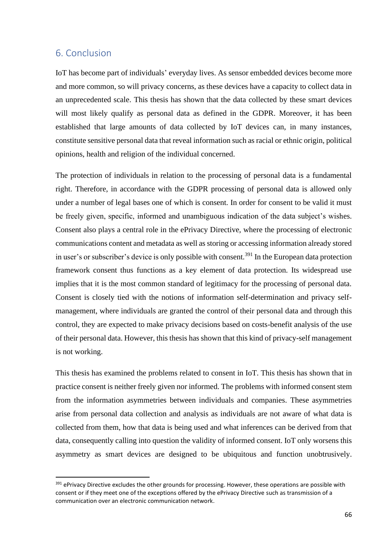# 6. Conclusion

IoT has become part of individuals' everyday lives. As sensor embedded devices become more and more common, so will privacy concerns, as these devices have a capacity to collect data in an unprecedented scale. This thesis has shown that the data collected by these smart devices will most likely qualify as personal data as defined in the GDPR. Moreover, it has been established that large amounts of data collected by IoT devices can, in many instances, constitute sensitive personal data that reveal information such as racial or ethnic origin, political opinions, health and religion of the individual concerned.

The protection of individuals in relation to the processing of personal data is a fundamental right. Therefore, in accordance with the GDPR processing of personal data is allowed only under a number of legal bases one of which is consent. In order for consent to be valid it must be freely given, specific, informed and unambiguous indication of the data subject's wishes. Consent also plays a central role in the ePrivacy Directive, where the processing of electronic communications content and metadata as well as storing or accessing information already stored in user's or subscriber's device is only possible with consent.<sup>391</sup> In the European data protection framework consent thus functions as a key element of data protection. Its widespread use implies that it is the most common standard of legitimacy for the processing of personal data. Consent is closely tied with the notions of information self-determination and privacy selfmanagement, where individuals are granted the control of their personal data and through this control, they are expected to make privacy decisions based on costs-benefit analysis of the use of their personal data. However, this thesis has shown that this kind of privacy-self management is not working.

This thesis has examined the problems related to consent in IoT. This thesis has shown that in practice consent is neither freely given nor informed. The problems with informed consent stem from the information asymmetries between individuals and companies. These asymmetries arise from personal data collection and analysis as individuals are not aware of what data is collected from them, how that data is being used and what inferences can be derived from that data, consequently calling into question the validity of informed consent. IoT only worsens this asymmetry as smart devices are designed to be ubiquitous and function unobtrusively.

<sup>&</sup>lt;sup>391</sup> ePrivacy Directive excludes the other grounds for processing. However, these operations are possible with consent or if they meet one of the exceptions offered by the ePrivacy Directive such as transmission of a communication over an electronic communication network.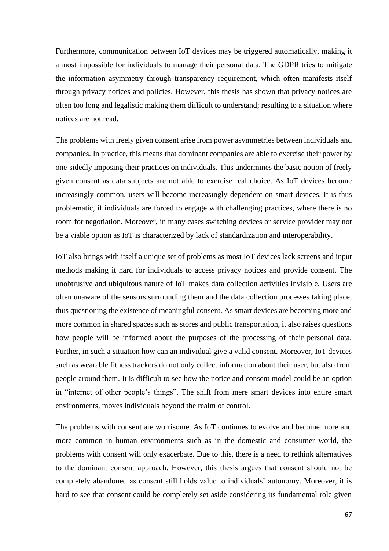Furthermore, communication between IoT devices may be triggered automatically, making it almost impossible for individuals to manage their personal data. The GDPR tries to mitigate the information asymmetry through transparency requirement, which often manifests itself through privacy notices and policies. However, this thesis has shown that privacy notices are often too long and legalistic making them difficult to understand; resulting to a situation where notices are not read.

The problems with freely given consent arise from power asymmetries between individuals and companies. In practice, this means that dominant companies are able to exercise their power by one-sidedly imposing their practices on individuals. This undermines the basic notion of freely given consent as data subjects are not able to exercise real choice. As IoT devices become increasingly common, users will become increasingly dependent on smart devices. It is thus problematic, if individuals are forced to engage with challenging practices, where there is no room for negotiation. Moreover, in many cases switching devices or service provider may not be a viable option as IoT is characterized by lack of standardization and interoperability.

IoT also brings with itself a unique set of problems as most IoT devices lack screens and input methods making it hard for individuals to access privacy notices and provide consent. The unobtrusive and ubiquitous nature of IoT makes data collection activities invisible. Users are often unaware of the sensors surrounding them and the data collection processes taking place, thus questioning the existence of meaningful consent. As smart devices are becoming more and more common in shared spaces such as stores and public transportation, it also raises questions how people will be informed about the purposes of the processing of their personal data. Further, in such a situation how can an individual give a valid consent. Moreover, IoT devices such as wearable fitness trackers do not only collect information about their user, but also from people around them. It is difficult to see how the notice and consent model could be an option in "internet of other people's things". The shift from mere smart devices into entire smart environments, moves individuals beyond the realm of control.

The problems with consent are worrisome. As IoT continues to evolve and become more and more common in human environments such as in the domestic and consumer world, the problems with consent will only exacerbate. Due to this, there is a need to rethink alternatives to the dominant consent approach. However, this thesis argues that consent should not be completely abandoned as consent still holds value to individuals' autonomy. Moreover, it is hard to see that consent could be completely set aside considering its fundamental role given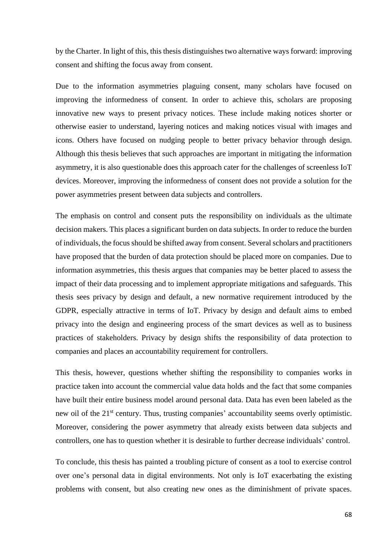by the Charter. In light of this, this thesis distinguishes two alternative ways forward: improving consent and shifting the focus away from consent.

Due to the information asymmetries plaguing consent, many scholars have focused on improving the informedness of consent. In order to achieve this, scholars are proposing innovative new ways to present privacy notices. These include making notices shorter or otherwise easier to understand, layering notices and making notices visual with images and icons. Others have focused on nudging people to better privacy behavior through design. Although this thesis believes that such approaches are important in mitigating the information asymmetry, it is also questionable does this approach cater for the challenges of screenless IoT devices. Moreover, improving the informedness of consent does not provide a solution for the power asymmetries present between data subjects and controllers.

The emphasis on control and consent puts the responsibility on individuals as the ultimate decision makers. This places a significant burden on data subjects. In order to reduce the burden of individuals, the focus should be shifted away from consent. Several scholars and practitioners have proposed that the burden of data protection should be placed more on companies. Due to information asymmetries, this thesis argues that companies may be better placed to assess the impact of their data processing and to implement appropriate mitigations and safeguards. This thesis sees privacy by design and default, a new normative requirement introduced by the GDPR, especially attractive in terms of IoT. Privacy by design and default aims to embed privacy into the design and engineering process of the smart devices as well as to business practices of stakeholders. Privacy by design shifts the responsibility of data protection to companies and places an accountability requirement for controllers.

This thesis, however, questions whether shifting the responsibility to companies works in practice taken into account the commercial value data holds and the fact that some companies have built their entire business model around personal data. Data has even been labeled as the new oil of the 21<sup>st</sup> century. Thus, trusting companies' accountability seems overly optimistic. Moreover, considering the power asymmetry that already exists between data subjects and controllers, one has to question whether it is desirable to further decrease individuals' control.

To conclude, this thesis has painted a troubling picture of consent as a tool to exercise control over one's personal data in digital environments. Not only is IoT exacerbating the existing problems with consent, but also creating new ones as the diminishment of private spaces.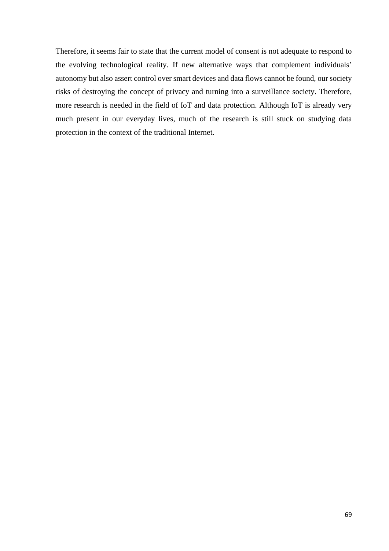Therefore, it seems fair to state that the current model of consent is not adequate to respond to the evolving technological reality. If new alternative ways that complement individuals' autonomy but also assert control over smart devices and data flows cannot be found, our society risks of destroying the concept of privacy and turning into a surveillance society. Therefore, more research is needed in the field of IoT and data protection. Although IoT is already very much present in our everyday lives, much of the research is still stuck on studying data protection in the context of the traditional Internet.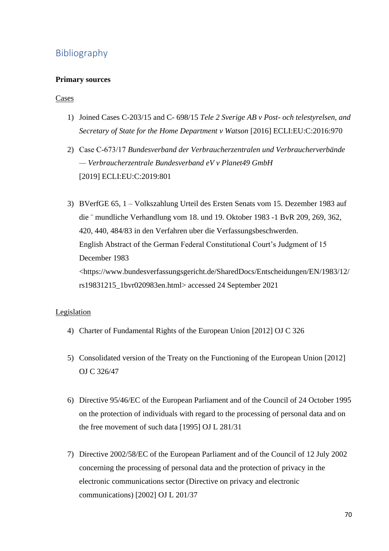# Bibliography

## **Primary sources**

### Cases

- 1) Joined Cases C-203/15 and C- 698/15 *Tele 2 Sverige AB v Post- och telestyrelsen, and Secretary of State for the Home Department v Watson* [2016] ECLI:EU:C:2016:970
- 2) Case C‑673/17 *Bundesverband der Verbraucherzentralen und Verbraucherverbände — Verbraucherzentrale Bundesverband eV v Planet49 GmbH* [2019] ECLI:EU:C:2019:801
- 3) BVerfGE 65, 1 Volkszahlung Urteil des Ersten Senats vom 15. Dezember 1983 auf die ¨ mundliche Verhandlung vom 18. und 19. Oktober 1983 -1 BvR 209, 269, 362, 420, 440, 484/83 in den Verfahren uber die Verfassungsbeschwerden. English Abstract of the German Federal Constitutional Court's Judgment of 15 December 1983 <https://www.bundesverfassungsgericht.de/SharedDocs/Entscheidungen/EN/1983/12/ rs19831215\_1bvr020983en.html> accessed 24 September 2021

### Legislation

- 4) Charter of Fundamental Rights of the European Union [2012] OJ C 326
- 5) Consolidated version of the Treaty on the Functioning of the European Union [2012] OJ C 326/47
- 6) Directive 95/46/EC of the European Parliament and of the Council of 24 October 1995 on the protection of individuals with regard to the processing of personal data and on the free movement of such data [1995] OJ L 281/31
- 7) Directive 2002/58/EC of the European Parliament and of the Council of 12 July 2002 concerning the processing of personal data and the protection of privacy in the electronic communications sector (Directive on privacy and electronic communications) [2002] OJ L 201/37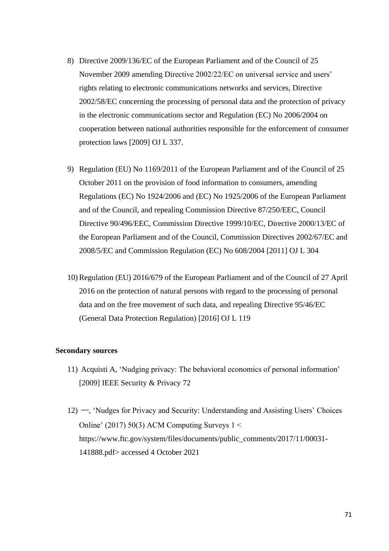- 8) Directive 2009/136/EC of the European Parliament and of the Council of 25 November 2009 amending Directive 2002/22/EC on universal service and users' rights relating to electronic communications networks and services, Directive 2002/58/EC concerning the processing of personal data and the protection of privacy in the electronic communications sector and Regulation (EC) No 2006/2004 on cooperation between national authorities responsible for the enforcement of consumer protection laws [2009] OJ L 337.
- 9) Regulation (EU) No 1169/2011 of the European Parliament and of the Council of 25 October 2011 on the provision of food information to consumers, amending Regulations (EC) No 1924/2006 and (EC) No 1925/2006 of the European Parliament and of the Council, and repealing Commission Directive 87/250/EEC, Council Directive 90/496/EEC, Commission Directive 1999/10/EC, Directive 2000/13/EC of the European Parliament and of the Council, Commission Directives 2002/67/EC and 2008/5/EC and Commission Regulation (EC) No 608/2004 [2011] OJ L 304
- 10) Regulation (EU) 2016/679 of the European Parliament and of the Council of 27 April 2016 on the protection of natural persons with regard to the processing of personal data and on the free movement of such data, and repealing Directive 95/46/EC (General Data Protection Regulation) [2016] OJ L 119

### **Secondary sources**

- 11) Acquisti A, 'Nudging privacy: The behavioral economics of personal information' [2009] IEEE Security & Privacy 72
- 12) ——, 'Nudges for Privacy and Security: Understanding and Assisting Users' Choices Online' (2017) 50(3) ACM Computing Surveys 1 < https://www.ftc.gov/system/files/documents/public\_comments/2017/11/00031- 141888.pdf> accessed 4 October 2021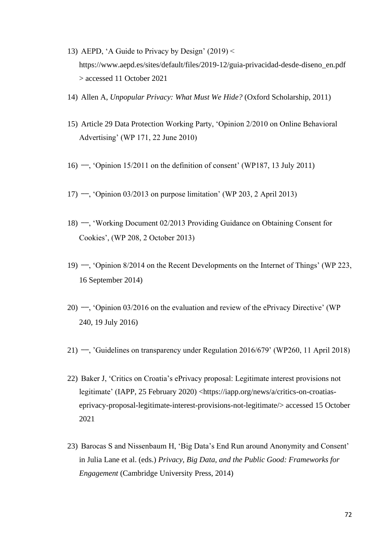- 13) AEPD, 'A Guide to Privacy by Design' (2019) < https://www.aepd.es/sites/default/files/2019-12/guia-privacidad-desde-diseno\_en.pdf > accessed 11 October 2021
- 14) Allen A, *Unpopular Privacy: What Must We Hide?* (Oxford Scholarship, 2011)
- 15) Article 29 Data Protection Working Party, 'Opinion 2/2010 on Online Behavioral Advertising' (WP 171, 22 June 2010)
- 16) ——, 'Opinion 15/2011 on the definition of consent' (WP187, 13 July 2011)
- $17)$  —, 'Opinion 03/2013 on purpose limitation' (WP 203, 2 April 2013)
- 18) ——, 'Working Document 02/2013 Providing Guidance on Obtaining Consent for Cookies', (WP 208, 2 October 2013)
- 19) ——, 'Opinion 8/2014 on the Recent Developments on the Internet of Things' (WP 223, 16 September 2014)
- 20) ——, 'Opinion 03/2016 on the evaluation and review of the ePrivacy Directive' (WP 240, 19 July 2016)
- 21) ——, 'Guidelines on transparency under Regulation 2016/679' (WP260, 11 April 2018)
- 22) Baker J, 'Critics on Croatia's ePrivacy proposal: Legitimate interest provisions not legitimate' (IAPP, 25 February 2020) <https://iapp.org/news/a/critics-on-croatiaseprivacy-proposal-legitimate-interest-provisions-not-legitimate/> accessed 15 October 2021
- 23) Barocas S and Nissenbaum H, 'Big Data's End Run around Anonymity and Consent' in Julia Lane et al. (eds.) *Privacy, Big Data, and the Public Good: Frameworks for Engagement* (Cambridge University Press, 2014)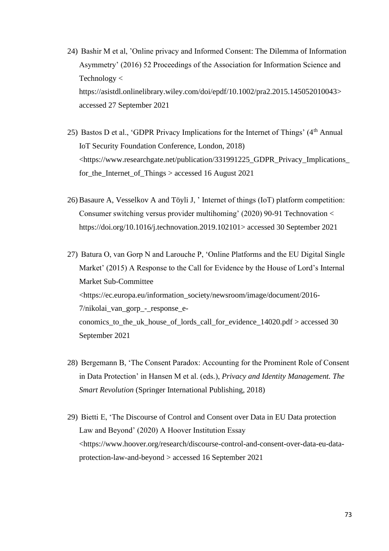- 24) Bashir M et al, 'Online privacy and Informed Consent: The Dilemma of Information Asymmetry' (2016) 52 Proceedings of the Association for Information Science and Technology < https://asistdl.onlinelibrary.wiley.com/doi/epdf/10.1002/pra2.2015.145052010043> accessed 27 September 2021
- 25) Bastos D et al., 'GDPR Privacy Implications for the Internet of Things' (4<sup>th</sup> Annual IoT Security Foundation Conference, London, 2018) <https://www.researchgate.net/publication/331991225\_GDPR\_Privacy\_Implications\_ for\_the\_Internet\_of\_Things > accessed 16 August 2021
- 26) Basaure A, Vesselkov A and Töyli J, ' Internet of things (IoT) platform competition: Consumer switching versus provider multihoming' (2020) 90-91 Technovation < [https://doi.org/10.1016/j.technovation.2019.102101>](https://doi.org/10.1016/j.technovation.2019.102101) accessed 30 September 2021
- 27) Batura O, van Gorp N and Larouche P, 'Online Platforms and the EU Digital Single Market' (2015) A Response to the Call for Evidence by the House of Lord's Internal Market Sub-Committee <https://ec.europa.eu/information\_society/newsroom/image/document/2016- 7/nikolai\_van\_gorp\_-\_response\_economics\_to\_the\_uk\_house\_of\_lords\_call\_for\_evidence\_14020.pdf > accessed 30 September 2021
- 28) Bergemann B, 'The Consent Paradox: Accounting for the Prominent Role of Consent in Data Protection' in Hansen M et al. (eds.), *Privacy and Identity Management. The Smart Revolution* (Springer International Publishing, 2018)
- 29) Bietti E, 'The Discourse of Control and Consent over Data in EU Data protection Law and Beyond' (2020) A Hoover Institution Essay <https://www.hoover.org/research/discourse-control-and-consent-over-data-eu-dataprotection-law-and-beyond > accessed 16 September 2021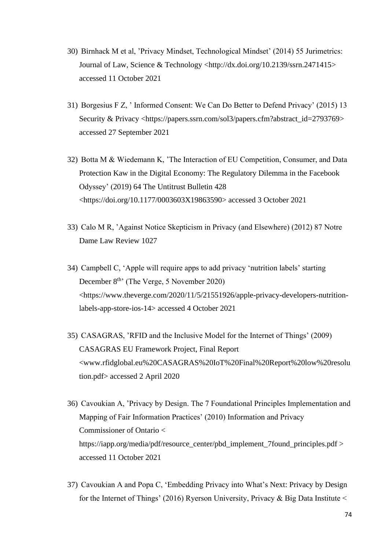- 30) Birnhack M et al, 'Privacy Mindset, Technological Mindset' (2014) 55 Jurimetrics: Journal of Law, Science & Technology [<http://dx.doi.org/10.2139/ssrn.2471415>](https://dx.doi.org/10.2139/ssrn.2471415) accessed 11 October 2021
- 31) Borgesius F Z, ' Informed Consent: We Can Do Better to Defend Privacy' (2015) 13 Security & Privacy <https://papers.ssrn.com/sol3/papers.cfm?abstract\_id=2793769> accessed 27 September 2021
- 32) Botta M & Wiedemann K, 'The Interaction of EU Competition, Consumer, and Data Protection Kaw in the Digital Economy: The Regulatory Dilemma in the Facebook Odyssey' (2019) 64 The Untitrust Bulletin 428 <https://doi.org/10.1177/0003603X19863590> accessed 3 October 2021
- 33) Calo M R, 'Against Notice Skepticism in Privacy (and Elsewhere) (2012) 87 Notre Dame Law Review 1027
- 34) Campbell C, 'Apple will require apps to add privacy 'nutrition labels' starting December 8<sup>th</sup>' (The Verge, 5 November 2020) <https://www.theverge.com/2020/11/5/21551926/apple-privacy-developers-nutritionlabels-app-store-ios-14> accessed 4 October 2021
- 35) CASAGRAS, 'RFID and the Inclusive Model for the Internet of Things' (2009) CASAGRAS EU Framework Project, Final Report <www.rfidglobal.eu%20CASAGRAS%20IoT%20Final%20Report%20low%20resolu tion.pdf> accessed 2 April 2020
- 36) Cavoukian A, 'Privacy by Design. The 7 Foundational Principles Implementation and Mapping of Fair Information Practices' (2010) Information and Privacy Commissioner of Ontario < https://iapp.org/media/pdf/resource\_center/pbd\_implement\_7found\_principles.pdf > accessed 11 October 2021
- 37) Cavoukian A and Popa C, 'Embedding Privacy into What's Next: Privacy by Design for the Internet of Things' (2016) Ryerson University, Privacy & Big Data Institute <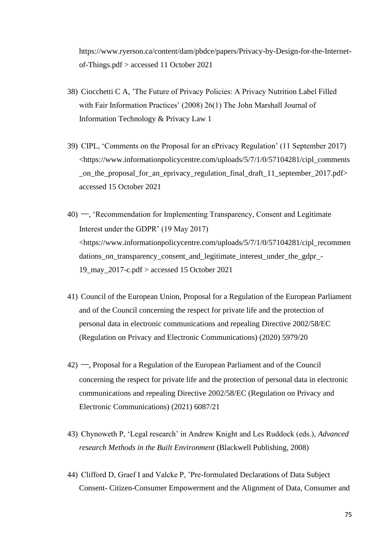https://www.ryerson.ca/content/dam/pbdce/papers/Privacy-by-Design-for-the-Internetof-Things.pdf > accessed 11 October 2021

- 38) Ciocchetti C A, 'The Future of Privacy Policies: A Privacy Nutrition Label Filled with Fair Information Practices' (2008) 26(1) The John Marshall Journal of Information Technology & Privacy Law 1
- 39) CIPL, 'Comments on the Proposal for an ePrivacy Regulation' (11 September 2017) <https://www.informationpolicycentre.com/uploads/5/7/1/0/57104281/cipl\_comments \_on\_the\_proposal\_for\_an\_eprivacy\_regulation\_final\_draft\_11\_september\_2017.pdf> accessed 15 October 2021
- 40) ——, 'Recommendation for Implementing Transparency, Consent and Legitimate Interest under the GDPR' (19 May 2017) <https://www.informationpolicycentre.com/uploads/5/7/1/0/57104281/cipl\_recommen dations\_on\_transparency\_consent\_and\_legitimate\_interest\_under\_the\_gdpr\_- 19 may 2017-c.pdf  $>$  accessed 15 October 2021
- 41) Council of the European Union, Proposal for a Regulation of the European Parliament and of the Council concerning the respect for private life and the protection of personal data in electronic communications and repealing Directive 2002/58/EC (Regulation on Privacy and Electronic Communications) (2020) 5979/20
- 42) ——, Proposal for a Regulation of the European Parliament and of the Council concerning the respect for private life and the protection of personal data in electronic communications and repealing Directive 2002/58/EC (Regulation on Privacy and Electronic Communications) (2021) 6087/21
- 43) Chynoweth P, 'Legal research' in Andrew Knight and Les Ruddock (eds.), *Advanced research Methods in the Built Environment* (Blackwell Publishing, 2008)
- 44) Clifford D, Graef I and Valcke P, 'Pre-formulated Declarations of Data Subject Consent- Citizen-Consumer Empowerment and the Alignment of Data, Consumer and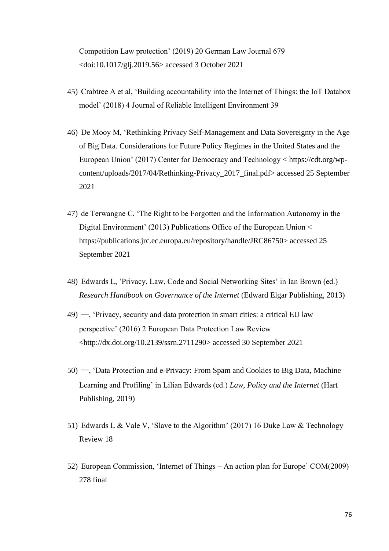Competition Law protection' (2019) 20 German Law Journal 679 <doi:10.1017/glj.2019.56> accessed 3 October 2021

- 45) Crabtree A et al, 'Building accountability into the Internet of Things: the IoT Databox model' (2018) 4 Journal of Reliable Intelligent Environment 39
- 46) De Mooy M, 'Rethinking Privacy Self-Management and Data Sovereignty in the Age of Big Data. Considerations for Future Policy Regimes in the United States and the European Union' (2017) Center for Democracy and Technology < https://cdt.org/wpcontent/uploads/2017/04/Rethinking-Privacy\_2017\_final.pdf> accessed 25 September 2021
- 47) de Terwangne C, 'The Right to be Forgotten and the Information Autonomy in the Digital Environment' (2013) Publications Office of the European Union < https://publications.jrc.ec.europa.eu/repository/handle/JRC86750> accessed 25 September 2021
- 48) Edwards L, 'Privacy, Law, Code and Social Networking Sites' in Ian Brown (ed.) *Research Handbook on Governance of the Internet* (Edward Elgar Publishing, 2013)
- 49) ——, 'Privacy, security and data protection in smart cities: a critical EU law perspective' (2016) 2 European Data Protection Law Review [<http://dx.doi.org/10.2139/ssrn.2711290>](https://dx.doi.org/10.2139/ssrn.2711290) accessed 30 September 2021
- 50) ——, 'Data Protection and e-Privacy: From Spam and Cookies to Big Data, Machine Learning and Profiling' in Lilian Edwards (ed.) *Law, Policy and the Internet* (Hart Publishing, 2019)
- 51) Edwards L & Vale V, 'Slave to the Algorithm' (2017) 16 Duke Law & Technology Review 18
- 52) European Commission, 'Internet of Things An action plan for Europe' COM(2009) 278 final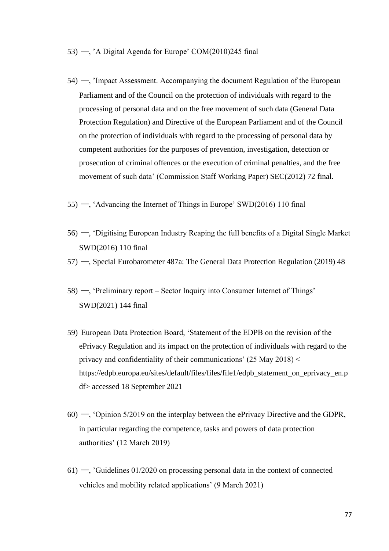- 53) —, 'A Digital Agenda for Europe' COM $(2010)245$  final
- 54) ——, 'Impact Assessment. Accompanying the document Regulation of the European Parliament and of the Council on the protection of individuals with regard to the processing of personal data and on the free movement of such data (General Data Protection Regulation) and Directive of the European Parliament and of the Council on the protection of individuals with regard to the processing of personal data by competent authorities for the purposes of prevention, investigation, detection or prosecution of criminal offences or the execution of criminal penalties, and the free movement of such data' (Commission Staff Working Paper) SEC(2012) 72 final.
- 55) ——, 'Advancing the Internet of Things in Europe' SWD(2016) 110 final
- 56) ——, 'Digitising European Industry Reaping the full benefits of a Digital Single Market SWD(2016) 110 final
- 57) ——, Special Eurobarometer 487a: The General Data Protection Regulation (2019) 48
- 58) ——, 'Preliminary report Sector Inquiry into Consumer Internet of Things' SWD(2021) 144 final
- 59) European Data Protection Board, 'Statement of the EDPB on the revision of the ePrivacy Regulation and its impact on the protection of individuals with regard to the privacy and confidentiality of their communications' (25 May 2018) < https://edpb.europa.eu/sites/default/files/files/file1/edpb\_statement\_on\_eprivacy\_en.p df> accessed 18 September 2021
- 60) ——, 'Opinion 5/2019 on the interplay between the ePrivacy Directive and the GDPR, in particular regarding the competence, tasks and powers of data protection authorities' (12 March 2019)
- 61) —, 'Guidelines  $01/2020$  on processing personal data in the context of connected vehicles and mobility related applications' (9 March 2021)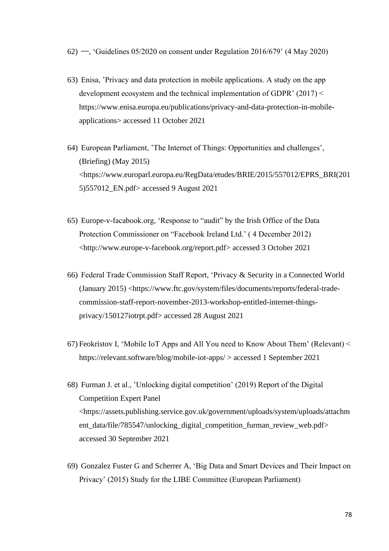- 62) ——, 'Guidelines 05/2020 on consent under Regulation 2016/679' (4 May 2020)
- 63) Enisa, 'Privacy and data protection in mobile applications. A study on the app development ecosystem and the technical implementation of GDPR' (2017) < https://www.enisa.europa.eu/publications/privacy-and-data-protection-in-mobileapplications> accessed 11 October 2021
- 64) European Parliament, 'The Internet of Things: Opportunities and challenges', (Briefing) (May 2015) <https://www.europarl.europa.eu/RegData/etudes/BRIE/2015/557012/EPRS\_BRI(201 5)557012\_EN.pdf> accessed 9 August 2021
- 65) Europe-v-facabook.org, 'Response to "audit" by the Irish Office of the Data Protection Commissioner on "Facebook Ireland Ltd.' ( 4 December 2012) <http://www.europe-v-facebook.org/report.pdf> accessed 3 October 2021
- 66) Federal Trade Commission Staff Report, 'Privacy & Security in a Connected World (January 2015) <https://www.ftc.gov/system/files/documents/reports/federal-tradecommission-staff-report-november-2013-workshop-entitled-internet-thingsprivacy/150127iotrpt.pdf> accessed 28 August 2021
- 67) Feokristov I, 'Mobile IoT Apps and All You need to Know About Them' (Relevant) < https://relevant.software/blog/mobile-iot-apps/ > accessed 1 September 2021
- 68) Furman J. et al., 'Unlocking digital competition' (2019) Report of the Digital Competition Expert Panel <https://assets.publishing.service.gov.uk/government/uploads/system/uploads/attachm ent\_data/file/785547/unlocking\_digital\_competition\_furman\_review\_web.pdf> accessed 30 September 2021
- 69) Gonzalez Fuster G and Scherrer A, 'Big Data and Smart Devices and Their Impact on Privacy' (2015) Study for the LIBE Committee (European Parliament)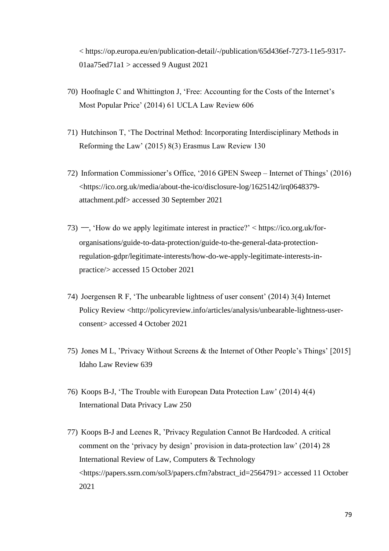< https://op.europa.eu/en/publication-detail/-/publication/65d436ef-7273-11e5-9317-  $01$ aa $75$ ed $71a1 >$ accessed 9 August 2021

- 70) Hoofnagle C and Whittington J, 'Free: Accounting for the Costs of the Internet's Most Popular Price' (2014) 61 UCLA Law Review 606
- 71) Hutchinson T, 'The Doctrinal Method: Incorporating Interdisciplinary Methods in Reforming the Law' (2015) 8(3) Erasmus Law Review 130
- 72) Information Commissioner's Office, '2016 GPEN Sweep Internet of Things' (2016) <https://ico.org.uk/media/about-the-ico/disclosure-log/1625142/irq0648379 attachment.pdf> accessed 30 September 2021
- 73) ——, 'How do we apply legitimate interest in practice?' < [https://ico.org.uk/for](https://ico.org.uk/for-organisations/guide-to-data-protection/guide-to-the-general-data-protection-regulation-gdpr/legitimate-interests/how-do-we-apply-legitimate-interests-in-practice/)[organisations/guide-to-data-protection/guide-to-the-general-data-protection](https://ico.org.uk/for-organisations/guide-to-data-protection/guide-to-the-general-data-protection-regulation-gdpr/legitimate-interests/how-do-we-apply-legitimate-interests-in-practice/)[regulation-gdpr/legitimate-interests/how-do-we-apply-legitimate-interests-in](https://ico.org.uk/for-organisations/guide-to-data-protection/guide-to-the-general-data-protection-regulation-gdpr/legitimate-interests/how-do-we-apply-legitimate-interests-in-practice/)[practice/>](https://ico.org.uk/for-organisations/guide-to-data-protection/guide-to-the-general-data-protection-regulation-gdpr/legitimate-interests/how-do-we-apply-legitimate-interests-in-practice/) accessed 15 October 2021
- 74) Joergensen R F, 'The unbearable lightness of user consent' (2014) 3(4) Internet Policy Review <http://policyreview.info/articles/analysis/unbearable-lightness-userconsent> accessed 4 October 2021
- 75) Jones M L, 'Privacy Without Screens & the Internet of Other People's Things' [2015] Idaho Law Review 639
- 76) Koops B-J, 'The Trouble with European Data Protection Law' (2014) 4(4) International Data Privacy Law 250
- 77) Koops B-J and Leenes R, 'Privacy Regulation Cannot Be Hardcoded. A critical comment on the 'privacy by design' provision in data-protection law' (2014) 28 International Review of Law, Computers & Technology <https://papers.ssrn.com/sol3/papers.cfm?abstract\_id=2564791> accessed 11 October 2021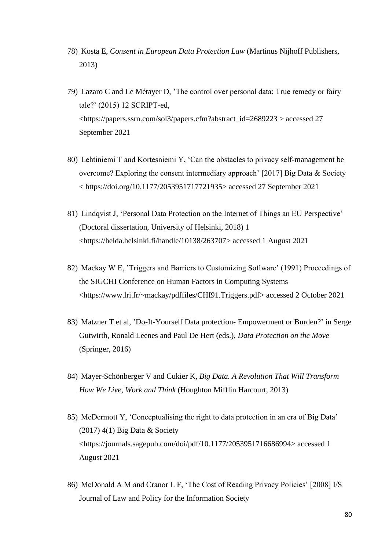- 78) Kosta E, *Consent in European Data Protection Law* (Martinus Nijhoff Publishers, 2013)
- 79) Lazaro C and Le Métayer D, 'The control over personal data: True remedy or fairy tale?' (2015) 12 SCRIPT-ed, <https://papers.ssrn.com/sol3/papers.cfm?abstract\_id=2689223 > accessed 27 September 2021
- 80) Lehtiniemi T and Kortesniemi Y, 'Can the obstacles to privacy self-management be overcome? Exploring the consent intermediary approach' [2017] Big Data & Society < [https://doi.org/10.1177/2053951717721935>](https://doi.org/10.1177%2F2053951717721935) accessed 27 September 2021
- 81) Lindqvist J, 'Personal Data Protection on the Internet of Things an EU Perspective' (Doctoral dissertation, University of Helsinki, 2018) 1 <https://helda.helsinki.fi/handle/10138/263707> accessed 1 August 2021
- 82) Mackay W E, 'Triggers and Barriers to Customizing Software' (1991) Proceedings of the SIGCHI Conference on Human Factors in Computing Systems <https://www.lri.fr/~mackay/pdffiles/CHI91.Triggers.pdf> accessed 2 October 2021
- 83) Matzner T et al, 'Do-It-Yourself Data protection- Empowerment or Burden?' in Serge Gutwirth, Ronald Leenes and Paul De Hert (eds.), *Data Protection on the Move*  (Springer, 2016)
- 84) Mayer-Schönberger V and Cukier K, *Big Data. A Revolution That Will Transform How We Live, Work and Think* (Houghton Mifflin Harcourt, 2013)
- 85) McDermott Y, 'Conceptualising the right to data protection in an era of Big Data' (2017) 4(1) Big Data & Society <https://journals.sagepub.com/doi/pdf/10.1177/2053951716686994> accessed 1 August 2021
- 86) McDonald A M and Cranor L F, 'The Cost of Reading Privacy Policies' [2008] I/S Journal of Law and Policy for the Information Society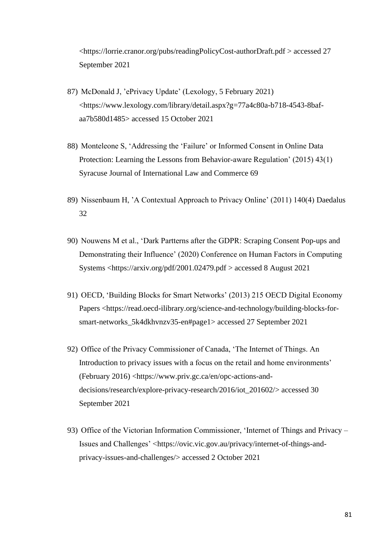<https://lorrie.cranor.org/pubs/readingPolicyCost-authorDraft.pdf > accessed 27 September 2021

- 87) McDonald J, 'ePrivacy Update' (Lexology, 5 February 2021) <https://www.lexology.com/library/detail.aspx?g=77a4c80a-b718-4543-8bafaa7b580d1485> accessed 15 October 2021
- 88) Monteleone S, 'Addressing the 'Failure' or Informed Consent in Online Data Protection: Learning the Lessons from Behavior-aware Regulation' (2015) 43(1) Syracuse Journal of International Law and Commerce 69
- 89) Nissenbaum H, 'A Contextual Approach to Privacy Online' (2011) 140(4) Daedalus 32
- 90) Nouwens M et al., 'Dark Partterns after the GDPR: Scraping Consent Pop-ups and Demonstrating their Influence' (2020) Conference on Human Factors in Computing Systems <https://arxiv.org/pdf/2001.02479.pdf > accessed 8 August 2021
- 91) OECD, 'Building Blocks for Smart Networks' (2013) 215 OECD Digital Economy Papers <https://read.oecd-ilibrary.org/science-and-technology/building-blocks-forsmart-networks\_5k4dkhvnzv35-en#page1> accessed 27 September 2021
- 92) Office of the Privacy Commissioner of Canada, 'The Internet of Things. An Introduction to privacy issues with a focus on the retail and home environments' (February 2016) <https://www.priv.gc.ca/en/opc-actions-anddecisions/research/explore-privacy-research/2016/iot\_201602/> accessed 30 September 2021
- 93) Office of the Victorian Information Commissioner, 'Internet of Things and Privacy Issues and Challenges' <https://ovic.vic.gov.au/privacy/internet-of-things-andprivacy-issues-and-challenges/> accessed 2 October 2021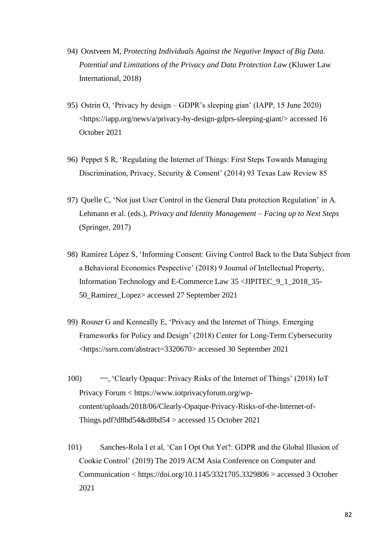- 94) Oostveen M, *Protecting Individuals Against the Negative Impact of Big Data. Potential and Limitations of the Privacy and Data Protection Law* (Kluwer Law International, 2018)
- 95) Ostrin O, 'Privacy by design GDPR's sleeping gian' (IAPP, 15 June 2020) <https://iapp.org/news/a/privacy-by-design-gdprs-sleeping-giant/> accessed 16 October 2021
- 96) Peppet S R, 'Regulating the Internet of Things: First Steps Towards Managing Discrimination, Privacy, Security & Consent' (2014) 93 Texas Law Review 85
- 97) Quelle C, 'Not just User Control in the General Data protection Regulation' in A. Lehmann et al. (eds.), *Privacy and Identity Management – Facing up to Next Steps* (Springer, 2017)
- 98) [Ramírez López](https://www.jipitec.eu/author?contributor=Ram%C3%ADrez%20L%C3%B3pez,%20Santiago) S, 'Informing Consent: Giving Control Back to the Data Subject from a Behavioral Economics Pespective' (2018) 9 Journal of Intellectual Property, Information Technology and E-Commerce Law 35 <JIPITEC\_9\_1\_2018\_35- 50\_Ramirez\_Lopez> accessed 27 September 2021
- 99) Rosner G and Kenneally E, 'Privacy and the Internet of Things. Emerging Frameworks for Policy and Design' (2018) Center for Long-Term Cybersecurity [<https://ssrn.com/abstract=3320670>](https://ssrn.com/abstract=3320670) accessed 30 September 2021
- 100) ——, 'Clearly Opaque: Privacy Risks of the Internet of Things' (2018) IoT Privacy Forum < https://www.iotprivacyforum.org/wpcontent/uploads/2018/06/Clearly-Opaque-Privacy-Risks-of-the-Internet-of-Things.pdf?d8bd54&d8bd54 > accessed 15 October 2021
- 101) Sanches-Rola I et al, 'Can I Opt Out Yet?: GDPR and the Global Illusion of Cookie Control' (2019) The 2019 ACM Asia Conference on Computer and Communication <<https://doi.org/10.1145/3321705.3329806> > accessed 3 October 2021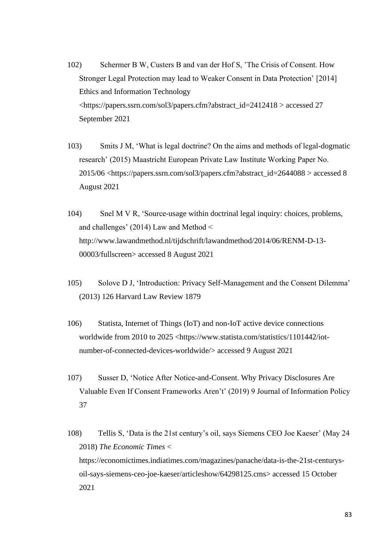- 102) Schermer B W, Custers B and van der Hof S, 'The Crisis of Consent. How Stronger Legal Protection may lead to Weaker Consent in Data Protection' [2014] Ethics and Information Technology [<https://papers.ssrn.com/sol3/papers.cfm?abstract\\_id=2412418](https://papers.ssrn.com/sol3/papers.cfm?abstract_id=2412418%20) > accessed 27 September 2021
- 103) Smits J M, 'What is legal doctrine? On the aims and methods of legal-dogmatic research' (2015) Maastricht European Private Law Institute Working Paper No. 2015/06 <https://papers.ssrn.com/sol3/papers.cfm?abstract\_id=2644088 > accessed 8 August 2021
- 104) Snel M V R, 'Source-usage within doctrinal legal inquiry: choices, problems, and challenges' (2014) Law and Method < http://www.lawandmethod.nl/tijdschrift/lawandmethod/2014/06/RENM-D-13- 00003/fullscreen> accessed 8 August 2021
- 105) Solove D J, 'Introduction: Privacy Self-Management and the Consent Dilemma' (2013) 126 Harvard Law Review 1879
- 106) Statista, Internet of Things (IoT) and non-IoT active device connections worldwide from 2010 to 2025 <https://www.statista.com/statistics/1101442/iotnumber-of-connected-devices-worldwide/> accessed 9 August 2021
- 107) Susser D, 'Notice After Notice-and-Consent. Why Privacy Disclosures Are Valuable Even If Consent Frameworks Aren't' (2019) 9 Journal of Information Policy 37
- 108) Tellis S, 'Data is the 21st century's oil, says Siemens CEO Joe Kaeser' (May 24 2018) *The Economic Times* < [https://economictimes.indiatimes.com/magazines/panache/data-is-the-21st-centurys](https://economictimes.indiatimes.com/magazines/panache/data-is-the-21st-centurys-oil-says-siemens-ceo-joe-kaeser/articleshow/64298125.cms)[oil-says-siemens-ceo-joe-kaeser/articleshow/64298125.cms>](https://economictimes.indiatimes.com/magazines/panache/data-is-the-21st-centurys-oil-says-siemens-ceo-joe-kaeser/articleshow/64298125.cms) accessed 15 October 2021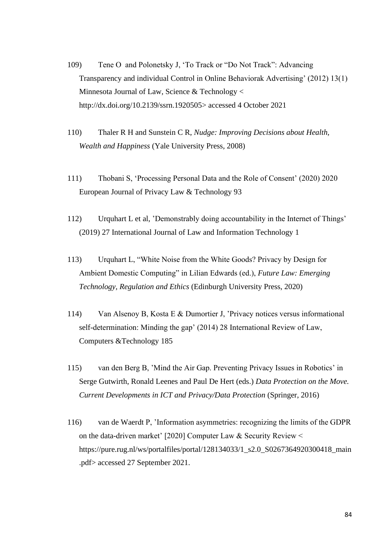- 109) Tene O and Polonetsky J, 'To Track or "Do Not Track": Advancing Transparency and individual Control in Online Behaviorak Advertising' (2012) 13(1) Minnesota Journal of Law, Science & Technology < [http://dx.doi.org/10.2139/ssrn.1920505>](https://dx.doi.org/10.2139/ssrn.1920505) accessed 4 October 2021
- 110) Thaler R H and Sunstein C R, *Nudge: Improving Decisions about Health, Wealth and Happiness* (Yale University Press, 2008)
- 111) Thobani S, 'Processing Personal Data and the Role of Consent' (2020) 2020 European Journal of Privacy Law & Technology 93
- 112) Urquhart L et al, 'Demonstrably doing accountability in the Internet of Things' (2019) 27 International Journal of Law and Information Technology 1
- 113) Urquhart L, "White Noise from the White Goods? Privacy by Design for Ambient Domestic Computing" in Lilian Edwards (ed.), *Future Law: Emerging Technology, Regulation and Ethics* (Edinburgh University Press, 2020)
- 114) Van Alsenoy B, Kosta E & Dumortier J, 'Privacy notices versus informational self-determination: Minding the gap' (2014) 28 International Review of Law, Computers &Technology 185
- 115) van den Berg B, 'Mind the Air Gap. Preventing Privacy Issues in Robotics' in Serge Gutwirth, Ronald Leenes and Paul De Hert (eds.) *Data Protection on the Move. Current Developments in ICT and Privacy/Data Protection* (Springer, 2016)
- 116) van de Waerdt P, 'Information asymmetries: recognizing the limits of the GDPR on the data-driven market' [2020] Computer Law & Security Review < https://pure.rug.nl/ws/portalfiles/portal/128134033/1\_s2.0\_S0267364920300418\_main .pdf> accessed 27 September 2021.